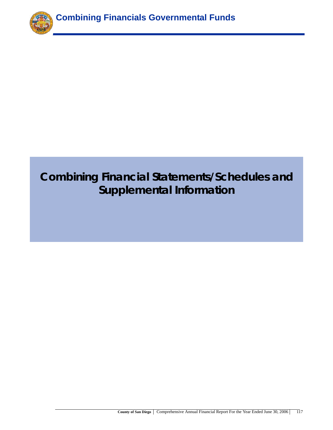

# **Combining Financial Statements/Schedules and Supplemental Information**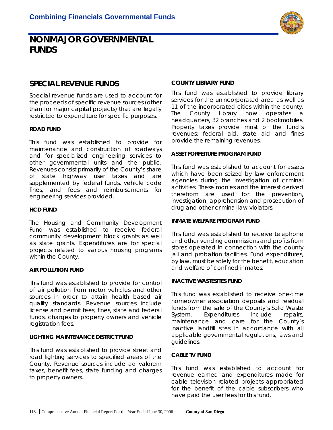

## **NONMAJOR GOVERNMENTAL FUNDS**

## **SPECIAL REVENUE FUNDS**

Special revenue funds are used to account for the proceeds of specific revenue sources (other than for major capital projects) that are legally restricted to expenditure for specific purposes.

## **ROAD FUND**

This fund was established to provide for maintenance and construction of roadways and for specialized engineering services to other governmental units and the public. Revenues consist primarily of the County's share of state highway user taxes and are supplemented by federal funds, vehicle code fines, and fees and reimbursements for engineering services provided.

## **HCD FUND**

The Housing and Community Development Fund was established to receive federal community development block grants as well as state grants. Expenditures are for special projects related to various housing programs within the County.

## **AIR POLLUTION FUND**

This fund was established to provide for control of air pollution from motor vehicles and other sources in order to attain health based air quality standards. Revenue sources include license and permit fees, fines, state and federal funds, charges to property owners and vehicle registration fees.

## **LIGHTING MAINTENANCE DISTRICT FUND**

This fund was established to provide street and road lighting services to specified areas of the County. Revenue sources include ad valorem taxes, benefit fees, state funding and charges to property owners.

## **COUNTY LIBRARY FUND**

This fund was established to provide library services for the unincorporated area as well as 11 of the incorporated cities within the county. The County Library now operates a headquarters, 32 branches and 2 bookmobiles. Property taxes provide most of the fund's revenues; federal aid, state aid and fines provide the remaining revenues.

## **ASSET FORFEITURE PROGRAM FUND**

This fund was established to account for assets which have been seized by law enforcement agencies during the investigation of criminal activities. These monies and the interest derived therefrom are used for the prevention, investigation, apprehension and prosecution of drug and other criminal law violators.

## **INMATE WELFARE PROGRAM FUND**

This fund was established to receive telephone and other vending commissions and profits from stores operated in connection with the county jail and probation facilities. Fund expenditures, by law, must be solely for the benefit, education and welfare of confined inmates.

## **INACTIVE WASTESITES FUND**

This fund was established to receive one-time homeowner association deposits and residual funds from the sale of the County's Solid Waste System. Expenditures include repairs, maintenance and care for the County's inactive landfill sites in accordance with all applicable governmental regulations, laws and guidelines.

## **CABLE TV FUND**

This fund was established to account for revenue earned and expenditures made for cable television related projects appropriated for the benefit of the cable subscribers who have paid the user fees for this fund.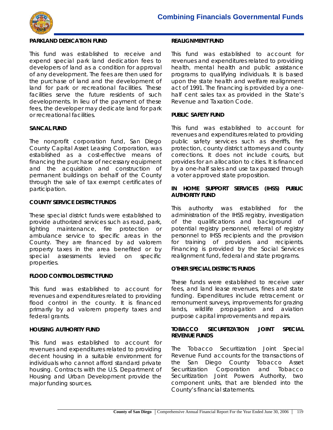

## **PARKLAND DEDICATION FUND**

This fund was established to receive and expend special park land dedication fees to developers of land as a condition for approval of any development. The fees are then used for the purchase of land and the development of land for park or recreational facilities. These facilities serve the future residents of such developments. In lieu of the payment of these fees, the developer may dedicate land for park or recreational facilities.

## **SANCAL FUND**

The nonprofit corporation fund, San Diego County Capital Asset Leasing Corporation, was established as a cost-effective means of financing the purchase of necessary equipment and the acquisition and construction of permanent buildings on behalf of the County through the sale of tax exempt certificates of participation.

## **COUNTY SERVICE DISTRICT FUNDS**

These special district funds were established to provide authorized services such as road, park, lighting maintenance, fire protection or ambulance service to specific areas in the County. They are financed by ad valorem property taxes in the area benefited or by special assessments levied on specific properties.

## **FLOOD CONTROL DISTRICT FUND**

This fund was established to account for revenues and expenditures related to providing flood control in the county. It is financed primarily by ad valorem property taxes and federal grants.

## **HOUSING AUTHORITY FUND**

This fund was established to account for revenues and expenditures related to providing decent housing in a suitable environment for individuals who cannot afford standard private housing. Contracts with the U.S. Department of Housing and Urban Development provide the major funding sources.

## **REALIGNMENT FUND**

This fund was established to account for revenues and expenditures related to providing health, mental health and public assistance programs to qualifying individuals. It is based upon the state health and welfare realignment act of 1991. The financing is provided by a onehalf cent sales tax as provided in the State's Revenue and Taxation Code.

## **PUBLIC SAFETY FUND**

This fund was established to account for revenues and expenditures related to providing public safety services such as sheriffs, fire protection, county district attorneys and county corrections. It does not include courts, but provides for an allocation to cities. It is financed by a one-half sales and use tax passed through a voter approved state proposition.

## **IN HOME SUPPORT SERVICES (IHSS) PUBLIC AUTHORITY FUND**

This authority was established for the administration of the IHSS registry, investigation of the qualifications and background of potential registry personnel, referral of registry personnel to IHSS recipients and the provision for training of providers and recipients. Financing is provided by the Social Services realignment fund, federal and state programs.

## **OTHER SPECIAL DISTRICTS FUNDS**

These funds were established to receive user fees, and land lease revenues, fines and state funding. Expenditures include retracement or remonument surveys, improvements for grazing lands, wildlife propagation and aviation purpose capital improvements and repairs.

## **TOBACCO SECURITIZATION JOINT SPECIAL REVENUE FUNDS**

The Tobacco Securitization Joint Special Revenue Fund accounts for the transactions of the San Diego County Tobacco Asset Securitization Corporation and Tobacco Securitization Joint Powers Authority, two component units, that are blended into the County's financial statements.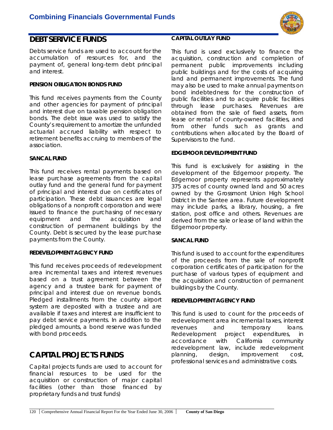

## **DEBT SERIVICE FUNDS**

Debts service funds are used to account for the accumulation of resources for, and the payment of, general long-term debt principal and interest.

## **PENSION OBLIGATION BONDS FUND**

This fund receives payments from the County and other agencies for payment of principal and interest due on taxable pension obligation bonds. The debt issue was used to satisfy the County's requirement to amortize the unfunded actuarial accrued liability with respect to retirement benefits accruing to members of the association.

## **SANCAL FUND**

This fund receives rental payments based on lease purchase agreements from the capital outlay fund and the general fund for payment of principal and interest due on certificates of participation. These debt issuances are legal obligations of a nonprofit corporation and were issued to finance the purchasing of necessary equipment and the acquisition and construction of permanent buildings by the County. Debt is secured by the lease purchase payments from the County.

## **REDEVELOPMENT AGENCY FUND**

This fund receives proceeds of redevelopment area incremental taxes and interest revenues based on a trust agreement between the agency and a trustee bank for payment of principal and interest due on revenue bonds. Pledged installments from the county airport system are deposited with a trustee and are available if taxes and interest are insufficient to pay debt service payments. In addition to the pledged amounts, a bond reserve was funded with bond proceeds.

## **CAPITAL PROJECTS FUNDS**

Capital projects funds are used to account for financial resources to be used for the acquisition or construction of major capital facilities (other than those financed by proprietary funds and trust funds)

## **CAPITAL OUTLAY FUND**

This fund is used exclusively to finance the acquisition, construction and completion of permanent public improvements including public buildings and for the costs of acquiring land and permanent improvements. The fund may also be used to make annual payments on bond indebtedness for the construction of public facilities and to acquire public facilities through lease purchases. Revenues are obtained from the sale of fixed assets, from lease or rental of county-owned facilities, and from other funds such as grants and contributions when allocated by the Board of Supervisors to the fund.

## **EDGEMOOR DEVELOPMENT FUND**

This fund is exclusively for assisting in the development of the Edgemoor property. The Edgemoor property represents approximately 375 acres of county owned land and 50 acres owned by the Grossmont Union High School District in the Santee area. Future development may include parks, a library, housing, a fire station, post office and others. Revenues are derived from the sale or lease of land within the Edgemoor property.

## **SANCAL FUND**

This fund is used to account for the expenditures of the proceeds from the sale of nonprofit corporation certificates of participation for the purchase of various types of equipment and the acquisition and construction of permanent buildings by the County.

## **REDEVELOPMENT AGENCY FUND**

This fund is used to count for the proceeds of redevelopment area incremental taxes, interest revenues and temporary loans. Redevelopment project expenditures, in accordance with California community redevelopment law, include redevelopment planning, design, improvement cost, professional services and administrative costs.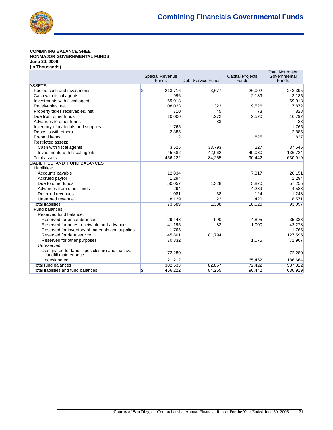

#### **COMBINING BALANCE SHEET NONMAJOR GOVERNMENTAL FUNDS June 30, 2006 (In Thousands)**

|                                                                          | <b>Special Revenue</b><br><b>Funds</b> | <b>Debt Service Funds</b> | <b>Capital Projects</b><br>Funds | <b>Total Nonmajor</b><br>Governmental<br><b>Funds</b> |
|--------------------------------------------------------------------------|----------------------------------------|---------------------------|----------------------------------|-------------------------------------------------------|
| <b>ASSETS</b>                                                            |                                        |                           |                                  |                                                       |
| Pooled cash and investments                                              | $\mathbf{s}$<br>213,716                | 3,677                     | 26,002                           | 243,395                                               |
| Cash with fiscal agents                                                  | 996                                    |                           | 2,189                            | 3,185                                                 |
| Investments with fiscal agents                                           | 69,018                                 |                           |                                  | 69,018                                                |
| Receivables, net                                                         | 108,023                                | 323                       | 9,526                            | 117,872                                               |
| Property taxes receivables, net                                          | 710                                    | 45                        | 73                               | 828                                                   |
| Due from other funds                                                     | 10,000                                 | 4,272                     | 2,520                            | 16,792                                                |
| Advances to other funds                                                  |                                        | 83                        |                                  | 83                                                    |
| Inventory of materials and supplies                                      | 1,765                                  |                           |                                  | 1,765                                                 |
| Deposits with others                                                     | 2,885                                  |                           |                                  | 2,885                                                 |
| Prepaid items                                                            | 2                                      |                           | 825                              | 827                                                   |
| Restricted assets:                                                       |                                        |                           |                                  |                                                       |
| Cash with fiscal agents                                                  | 3,525                                  | 33,793                    | 227                              | 37,545                                                |
| Investments with fiscal agents                                           | 45,582                                 | 42,062                    | 49,080                           | 136,724                                               |
| <b>Total assets</b>                                                      | 456,222                                | 84,255                    | 90,442                           | 630,919                                               |
| <b>LIABILITIES AND FUND BALANCES</b>                                     |                                        |                           |                                  |                                                       |
| Liabilities:                                                             |                                        |                           |                                  |                                                       |
| Accounts payable                                                         | 12,834                                 |                           | 7,317                            | 20,151                                                |
| Accrued payroll                                                          | 1,294                                  |                           |                                  | 1,294                                                 |
| Due to other funds                                                       | 50,057                                 | 1,328                     | 5,870                            | 57,255                                                |
| Advances from other funds                                                | 294                                    |                           | 4,289                            | 4,583                                                 |
| Deferred revenues                                                        | 1,081                                  | 38                        | 124                              | 1,243                                                 |
| Unearned revenue                                                         | 8,129                                  | 22                        | 420                              | 8,571                                                 |
| <b>Total liabilities</b>                                                 | 73,689                                 | 1,388                     | 18,020                           | 93,097                                                |
| Fund balances:                                                           |                                        |                           |                                  |                                                       |
| Reserved fund balance:                                                   |                                        |                           |                                  |                                                       |
| Reserved for encumbrances                                                | 29,448                                 | 990                       | 4,895                            | 35,333                                                |
| Reserved for notes receivable and advances                               | 41,195                                 | 83                        | 1,000                            | 42,278                                                |
| Reserved for inventory of materials and supplies                         | 1,765                                  |                           |                                  | 1,765                                                 |
| Reserved for debt service                                                | 45,801                                 | 81,794                    |                                  | 127,595                                               |
| Reserved for other purposes                                              | 70,832                                 |                           | 1,075                            | 71,907                                                |
| Unreserved:                                                              |                                        |                           |                                  |                                                       |
| Designated for landfill postclosure and inactive<br>landfill maintenance | 72,280                                 |                           |                                  | 72,280                                                |
| Undesignated                                                             | 121,212                                |                           | 65,452                           | 186,664                                               |
| <b>Total fund balances</b>                                               | 382,533                                | 82.867                    | 72,422                           | 537,822                                               |
| Total liabilities and fund balances                                      | 456,222<br>$\overline{\mathbb{S}}$     | 84,255                    | 90,442                           | 630,919                                               |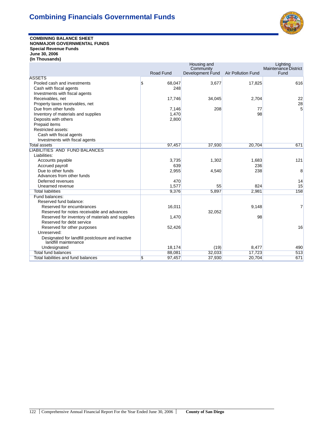

|                                                                          |                        | Housing and                   |                           | Lighting                     |
|--------------------------------------------------------------------------|------------------------|-------------------------------|---------------------------|------------------------------|
|                                                                          | Road Fund              | Community<br>Development Fund | <b>Air Pollution Fund</b> | Maintenance District<br>Fund |
| <b>ASSETS</b>                                                            |                        |                               |                           |                              |
| Pooled cash and investments                                              | \$<br>68,047           | 3,677                         | 17,825                    | 616                          |
| Cash with fiscal agents                                                  | 248                    |                               |                           |                              |
| Investments with fiscal agents                                           |                        |                               |                           |                              |
| Receivables, net                                                         | 17,746                 | 34,045                        | 2,704                     | 22                           |
| Property taxes receivables, net                                          |                        |                               |                           | 28                           |
| Due from other funds                                                     | 7,146                  | 208                           | 77                        | 5                            |
| Inventory of materials and supplies                                      | 1,470                  |                               | 98                        |                              |
| Deposits with others                                                     | 2,800                  |                               |                           |                              |
| Prepaid items                                                            |                        |                               |                           |                              |
| <b>Restricted assets:</b>                                                |                        |                               |                           |                              |
| Cash with fiscal agents                                                  |                        |                               |                           |                              |
| Investments with fiscal agents                                           |                        |                               |                           |                              |
| <b>Total assets</b>                                                      | 97,457                 | 37,930                        | 20,704                    | 671                          |
| <b>LIABILITIES AND FUND BALANCES</b>                                     |                        |                               |                           |                              |
| Liabilities:                                                             |                        |                               |                           |                              |
| Accounts payable                                                         | 3,735                  | 1,302                         | 1,683                     | 121                          |
| Accrued payroll                                                          | 639                    |                               | 236                       |                              |
| Due to other funds                                                       | 2,955                  | 4,540                         | 238                       | 8                            |
| Advances from other funds                                                |                        |                               |                           |                              |
| Deferred revenues                                                        | 470                    |                               |                           | 14                           |
| Unearned revenue                                                         | 1,577                  | 55                            | 824                       | 15                           |
| <b>Total liabilities</b>                                                 | 9,376                  | 5,897                         | 2,981                     | 158                          |
| Fund balances:                                                           |                        |                               |                           |                              |
| Reserved fund balance:                                                   |                        |                               |                           |                              |
| Reserved for encumbrances                                                | 16,011                 |                               | 9,148                     |                              |
| Reserved for notes receivable and advances                               |                        | 32,052                        |                           |                              |
| Reserved for inventory of materials and supplies                         | 1,470                  |                               | 98                        |                              |
| Reserved for debt service                                                |                        |                               |                           |                              |
| Reserved for other purposes                                              | 52,426                 |                               |                           | 16                           |
| Unreserved:                                                              |                        |                               |                           |                              |
| Designated for landfill postclosure and inactive<br>landfill maintenance |                        |                               |                           |                              |
| Undesignated                                                             | 18,174                 | (19)                          | 8,477                     | 490                          |
| <b>Total fund balances</b>                                               | 88,081                 | 32,033                        | 17,723                    | 513                          |
| Total liabilities and fund balances                                      | 97,457<br><sup>S</sup> | 37,930                        | 20,704                    | 671                          |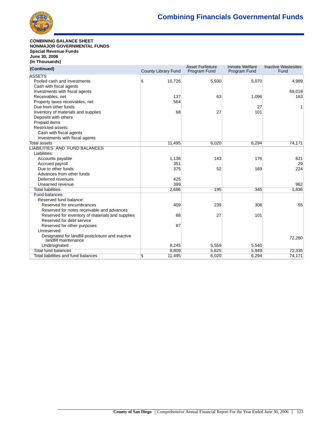

| (Continued)                                                              | <b>County Library Fund</b> | <b>Asset Forfeiture</b><br>Program Fund | Inmate Welfare<br>Program Fund | <b>Inactive Wastesites</b><br>Fund |
|--------------------------------------------------------------------------|----------------------------|-----------------------------------------|--------------------------------|------------------------------------|
| <b>ASSETS</b>                                                            |                            |                                         |                                |                                    |
| Pooled cash and investments                                              | 10,726<br>\$               | 5,930                                   | 5,070                          | 4,989                              |
| Cash with fiscal agents                                                  |                            |                                         |                                |                                    |
| Investments with fiscal agents                                           |                            |                                         |                                | 69,018                             |
| Receivables, net                                                         | 137                        | 63                                      | 1,096                          | 163                                |
| Property taxes receivables, net                                          | 564                        |                                         |                                |                                    |
| Due from other funds                                                     |                            |                                         | 27                             |                                    |
| Inventory of materials and supplies                                      | 68                         | 27                                      | 101                            |                                    |
| Deposits with others                                                     |                            |                                         |                                |                                    |
| Prepaid items                                                            |                            |                                         |                                |                                    |
| Restricted assets:                                                       |                            |                                         |                                |                                    |
| Cash with fiscal agents                                                  |                            |                                         |                                |                                    |
| Investments with fiscal agents                                           |                            |                                         |                                |                                    |
| <b>Total assets</b>                                                      | 11,495                     | 6,020                                   | 6,294                          | 74,171                             |
| <b>LIABILITIES AND FUND BALANCES</b>                                     |                            |                                         |                                |                                    |
| Liabilities:                                                             |                            |                                         |                                |                                    |
| Accounts payable                                                         | 1,136                      | 143                                     | 176                            | 621                                |
| Accrued payroll                                                          | 351                        |                                         |                                | 29                                 |
| Due to other funds                                                       | 375                        | 52                                      | 169                            | 224                                |
| Advances from other funds                                                |                            |                                         |                                |                                    |
| Deferred revenues                                                        | 425                        |                                         |                                |                                    |
| Unearned revenue                                                         | 399                        |                                         |                                | 962                                |
| <b>Total liabilities</b>                                                 | 2,686                      | 195                                     | 345                            | 1,836                              |
| Fund balances:                                                           |                            |                                         |                                |                                    |
| Reserved fund balance:                                                   |                            |                                         |                                |                                    |
| Reserved for encumbrances                                                | 409                        | 239                                     | 308                            | 55                                 |
| Reserved for notes receivable and advances                               |                            |                                         |                                |                                    |
| Reserved for inventory of materials and supplies                         | 68                         | 27                                      | 101                            |                                    |
| Reserved for debt service                                                |                            |                                         |                                |                                    |
| Reserved for other purposes                                              | 87                         |                                         |                                |                                    |
| Unreserved:                                                              |                            |                                         |                                |                                    |
| Designated for landfill postclosure and inactive<br>landfill maintenance |                            |                                         |                                | 72,280                             |
| Undesignated                                                             | 8,245                      | 5,559                                   | 5,540                          |                                    |
| <b>Total fund balances</b>                                               | 8,809                      | 5,825                                   | 5,949                          | 72,335                             |
| <b>Total liabilities and fund balances</b>                               | 11,495<br>\$               | 6,020                                   | 6,294                          | 74,171                             |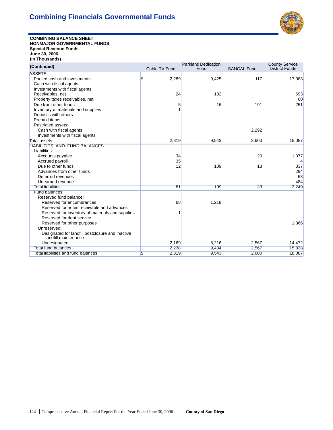

| (Continued)                                                              | Cable TV Fund | <b>Parkland Dedication</b><br>Fund | <b>SANCAL Fund</b> | <b>County Service</b><br><b>District Funds</b> |
|--------------------------------------------------------------------------|---------------|------------------------------------|--------------------|------------------------------------------------|
| <b>ASSETS</b>                                                            |               |                                    |                    |                                                |
| Pooled cash and investments                                              | 2,289<br>\$   | 9,425                              | 117                | 17,083                                         |
| Cash with fiscal agents                                                  |               |                                    |                    |                                                |
| Investments with fiscal agents                                           |               |                                    |                    |                                                |
| Receivables, net                                                         | 24            | 102                                |                    | 693                                            |
| Property taxes receivables, net                                          |               |                                    |                    | 60                                             |
| Due from other funds                                                     | 5             | 16                                 | 191                | 251                                            |
| Inventory of materials and supplies                                      |               |                                    |                    |                                                |
| Deposits with others                                                     |               |                                    |                    |                                                |
| Prepaid items                                                            |               |                                    |                    |                                                |
| Restricted assets:                                                       |               |                                    |                    |                                                |
| Cash with fiscal agents                                                  |               |                                    | 2,292              |                                                |
| Investments with fiscal agents                                           |               |                                    |                    |                                                |
| <b>Total assets</b>                                                      | 2,319         | 9,543                              | 2,600              | 18,087                                         |
| <b>LIABILITIES AND FUND BALANCES</b>                                     |               |                                    |                    |                                                |
| Liabilities:                                                             |               |                                    |                    |                                                |
| Accounts payable                                                         | 34            |                                    | 20                 | 1,077                                          |
| Accrued payroll                                                          | 35            |                                    |                    | 4                                              |
| Due to other funds                                                       | 12            | 109                                | 13                 | 337                                            |
| Advances from other funds                                                |               |                                    |                    | 294                                            |
| Deferred revenues                                                        |               |                                    |                    | 53                                             |
| Unearned revenue                                                         |               |                                    |                    | 484                                            |
| <b>Total liabilities</b>                                                 | 81            | 109                                | 33                 | 2,249                                          |
| Fund balances:                                                           |               |                                    |                    |                                                |
| Reserved fund balance:                                                   |               |                                    |                    |                                                |
| Reserved for encumbrances                                                | 68            | 1,218                              |                    |                                                |
| Reserved for notes receivable and advances                               |               |                                    |                    |                                                |
| Reserved for inventory of materials and supplies                         |               |                                    |                    |                                                |
| Reserved for debt service                                                |               |                                    |                    |                                                |
| Reserved for other purposes                                              |               |                                    |                    | 1,366                                          |
| Unreserved:                                                              |               |                                    |                    |                                                |
| Designated for landfill postclosure and inactive<br>landfill maintenance |               |                                    |                    |                                                |
| Undesignated                                                             | 2,169         | 8,216                              | 2,567              | 14,472                                         |
| <b>Total fund balances</b>                                               | 2,238         | 9,434                              | 2,567              | 15,838                                         |
| Total liabilities and fund balances                                      | 2,319<br>\$   | 9,543                              | 2,600              | 18,087                                         |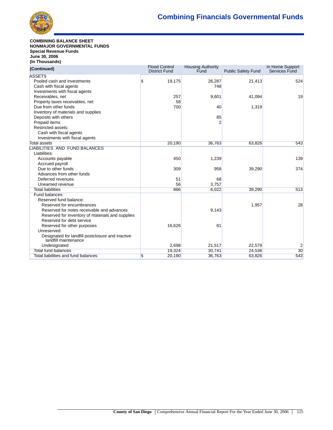

#### **COMBINING BALANCE SHEET NONMAJOR GOVERNMENTAL FUNDS Special Revenue Funds June 30, 2006**

| (Continued)                                                              | <b>Flood Control</b><br><b>District Fund</b> | <b>Housing Authority</b><br>Fund | <b>Public Safety Fund</b> | In Home Support<br>Services Fund |
|--------------------------------------------------------------------------|----------------------------------------------|----------------------------------|---------------------------|----------------------------------|
| <b>ASSETS</b>                                                            |                                              |                                  |                           |                                  |
| Pooled cash and investments                                              | \$<br>19,175                                 | 26,287                           | 21,413                    | 524                              |
| Cash with fiscal agents                                                  |                                              | 748                              |                           |                                  |
| Investments with fiscal agents                                           |                                              |                                  |                           |                                  |
| Receivables, net                                                         | 257                                          | 9,601                            | 41,094                    | 19                               |
| Property taxes receivables, net                                          | 58                                           |                                  |                           |                                  |
| Due from other funds                                                     | 700                                          | 40                               | 1,319                     |                                  |
| Inventory of materials and supplies                                      |                                              |                                  |                           |                                  |
| Deposits with others                                                     |                                              | 85                               |                           |                                  |
| Prepaid items                                                            |                                              | 2                                |                           |                                  |
| Restricted assets:                                                       |                                              |                                  |                           |                                  |
| Cash with fiscal agents                                                  |                                              |                                  |                           |                                  |
| Investments with fiscal agents                                           |                                              |                                  |                           |                                  |
| <b>Total assets</b>                                                      | 20,190                                       | 36,763                           | 63,826                    | 543                              |
| <b>LIABILITIES AND FUND BALANCES</b>                                     |                                              |                                  |                           |                                  |
| Liabilities:                                                             |                                              |                                  |                           |                                  |
| Accounts payable                                                         | 450                                          | 1,239                            |                           | 139                              |
| Accrued payroll                                                          |                                              |                                  |                           |                                  |
| Due to other funds                                                       | 309                                          | 958                              | 39,290                    | 374                              |
| Advances from other funds                                                |                                              |                                  |                           |                                  |
| Deferred revenues                                                        | 51                                           | 68                               |                           |                                  |
| Unearned revenue                                                         | 56                                           | 3,757                            |                           |                                  |
| <b>Total liabilities</b>                                                 | 866                                          | 6,022                            | 39,290                    | 513                              |
| Fund balances:                                                           |                                              |                                  |                           |                                  |
| Reserved fund balance:                                                   |                                              |                                  |                           |                                  |
| Reserved for encumbrances                                                |                                              |                                  | 1,957                     | 28                               |
| Reserved for notes receivable and advances                               |                                              | 9,143                            |                           |                                  |
| Reserved for inventory of materials and supplies                         |                                              |                                  |                           |                                  |
| Reserved for debt service                                                |                                              |                                  |                           |                                  |
| Reserved for other purposes                                              | 16,626                                       | 81                               |                           |                                  |
| Unreserved:                                                              |                                              |                                  |                           |                                  |
| Designated for landfill postclosure and inactive<br>landfill maintenance |                                              |                                  |                           |                                  |
| Undesignated                                                             | 2,698                                        | 21,517                           | 22,579                    | 2                                |
| <b>Total fund balances</b>                                               | 19,324                                       | 30,741                           | 24,536                    | 30                               |
| Total liabilities and fund balances                                      | 20,190<br>\$                                 | 36,763                           | 63,826                    | 543                              |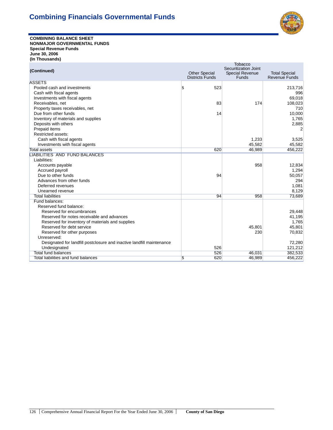

| (Continued)                                                           | <b>Other Special</b><br><b>Districts Funds</b> | Tobacco<br>Securitization Joint<br>Special Revenue<br><b>Funds</b> | <b>Total Special</b><br><b>Revenue Funds</b> |
|-----------------------------------------------------------------------|------------------------------------------------|--------------------------------------------------------------------|----------------------------------------------|
| <b>ASSETS</b>                                                         |                                                |                                                                    |                                              |
| Pooled cash and investments                                           | \$<br>523                                      |                                                                    | 213,716                                      |
| Cash with fiscal agents                                               |                                                |                                                                    | 996                                          |
| Investments with fiscal agents                                        |                                                |                                                                    | 69,018                                       |
| Receivables, net                                                      | 83                                             | 174                                                                | 108,023                                      |
| Property taxes receivables, net                                       |                                                |                                                                    | 710                                          |
| Due from other funds                                                  | 14                                             |                                                                    | 10,000                                       |
| Inventory of materials and supplies                                   |                                                |                                                                    | 1,765                                        |
| Deposits with others                                                  |                                                |                                                                    | 2,885                                        |
| Prepaid items                                                         |                                                |                                                                    | 2                                            |
| <b>Restricted assets:</b>                                             |                                                |                                                                    |                                              |
| Cash with fiscal agents                                               |                                                | 1,233                                                              | 3,525                                        |
| Investments with fiscal agents                                        |                                                | 45,582                                                             | 45,582                                       |
| <b>Total assets</b>                                                   | 620                                            | 46,989                                                             | 456,222                                      |
| <b>LIABILITIES AND FUND BALANCES</b>                                  |                                                |                                                                    |                                              |
| Liabilities:                                                          |                                                |                                                                    |                                              |
| Accounts payable                                                      |                                                | 958                                                                | 12,834                                       |
| Accrued payroll                                                       |                                                |                                                                    | 1,294                                        |
| Due to other funds<br>Advances from other funds                       | 94                                             |                                                                    | 50,057<br>294                                |
|                                                                       |                                                |                                                                    |                                              |
| Deferred revenues<br>Unearned revenue                                 |                                                |                                                                    | 1,081<br>8,129                               |
| <b>Total liabilities</b>                                              | 94                                             | 958                                                                | 73,689                                       |
| Fund balances:                                                        |                                                |                                                                    |                                              |
| Reserved fund balance:                                                |                                                |                                                                    |                                              |
| Reserved for encumbrances                                             |                                                |                                                                    | 29,448                                       |
| Reserved for notes receivable and advances                            |                                                |                                                                    | 41,195                                       |
| Reserved for inventory of materials and supplies                      |                                                |                                                                    | 1,765                                        |
| Reserved for debt service                                             |                                                | 45,801                                                             | 45,801                                       |
| Reserved for other purposes                                           |                                                | 230                                                                | 70,832                                       |
| Unreserved:                                                           |                                                |                                                                    |                                              |
| Designated for landfill postclosure and inactive landfill maintenance |                                                |                                                                    | 72,280                                       |
| Undesignated                                                          | 526                                            |                                                                    | 121,212                                      |
| <b>Total fund balances</b>                                            | 526                                            | 46,031                                                             | 382,533                                      |
| Total liabilities and fund balances                                   | 620<br>$\mathbf{s}$                            | 46,989                                                             | 456,222                                      |
|                                                                       |                                                |                                                                    |                                              |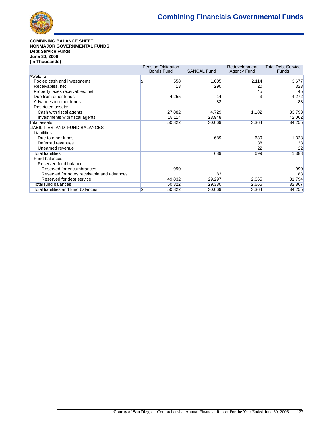

|                                            | Pension Obligation |                    | Redevelopment      | <b>Total Debt Service</b> |
|--------------------------------------------|--------------------|--------------------|--------------------|---------------------------|
|                                            | Bonds Fund         | <b>SANCAL Fund</b> | <b>Agency Fund</b> | <b>Funds</b>              |
| <b>ASSETS</b>                              |                    |                    |                    |                           |
| Pooled cash and investments                | 558                | 1,005              | 2,114              | 3,677                     |
| Receivables, net                           | 13                 | 290                | 20                 | 323                       |
| Property taxes receivables, net            |                    |                    | 45                 | 45                        |
| Due from other funds                       | 4,255              | 14                 |                    | 4,272                     |
| Advances to other funds                    |                    | 83                 |                    | 83                        |
| Restricted assets:                         |                    |                    |                    |                           |
| Cash with fiscal agents                    | 27,882             | 4,729              | 1,182              | 33,793                    |
| Investments with fiscal agents             | 18,114             | 23,948             |                    | 42,062                    |
| Total assets                               | 50,822             | 30,069             | 3,364              | 84,255                    |
| <b>LIABILITIES AND FUND BALANCES</b>       |                    |                    |                    |                           |
| Liabilities:                               |                    |                    |                    |                           |
| Due to other funds                         |                    | 689                | 639                | 1,328                     |
| Deferred revenues                          |                    |                    | 38                 | 38                        |
| Unearned revenue                           |                    |                    | 22                 | 22                        |
| <b>Total liabilities</b>                   |                    | 689                | 699                | 1,388                     |
| Fund balances:                             |                    |                    |                    |                           |
| Reserved fund balance:                     |                    |                    |                    |                           |
| Reserved for encumbrances                  | 990                |                    |                    | 990                       |
| Reserved for notes receivable and advances |                    | 83                 |                    | 83                        |
| Reserved for debt service                  | 49,832             | 29,297             | 2,665              | 81,794                    |
| <b>Total fund balances</b>                 | 50,822             | 29,380             | 2,665              | 82,867                    |
| Total liabilities and fund balances        | 50,822             | 30,069             | 3,364              | 84,255                    |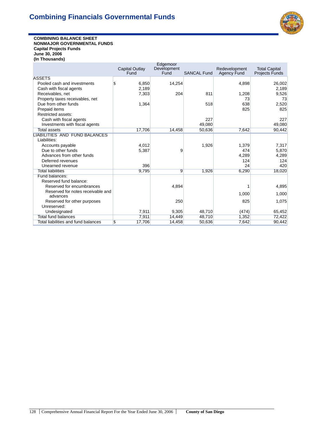

|                                               |                        | Edgemoor            |                    |                                     |                                               |
|-----------------------------------------------|------------------------|---------------------|--------------------|-------------------------------------|-----------------------------------------------|
|                                               | Capital Outlay<br>Fund | Development<br>Fund | <b>SANCAL Fund</b> | Redevelopment<br><b>Agency Fund</b> | <b>Total Capital</b><br><b>Projects Funds</b> |
| <b>ASSETS</b>                                 |                        |                     |                    |                                     |                                               |
| Pooled cash and investments                   | 6,850<br>\$            | 14,254              |                    | 4,898                               | 26,002                                        |
| Cash with fiscal agents                       | 2,189                  |                     |                    |                                     | 2,189                                         |
| Receivables, net                              | 7,303                  | 204                 | 811                | 1,208                               | 9,526                                         |
| Property taxes receivables, net               |                        |                     |                    | 73                                  | 73                                            |
| Due from other funds                          | 1,364                  |                     | 518                | 638                                 | 2,520                                         |
| Prepaid items                                 |                        |                     |                    | 825                                 | 825                                           |
| Restricted assets:                            |                        |                     |                    |                                     |                                               |
| Cash with fiscal agents                       |                        |                     | 227                |                                     | 227                                           |
| Investments with fiscal agents                |                        |                     | 49,080             |                                     | 49.080                                        |
| <b>Total assets</b>                           | 17,706                 | 14,458              | 50,636             | 7,642                               | 90,442                                        |
| <b>LIABILITIES AND FUND BALANCES</b>          |                        |                     |                    |                                     |                                               |
| Liabilities:                                  |                        |                     |                    |                                     |                                               |
| Accounts payable                              | 4,012                  |                     | 1,926              | 1,379                               | 7,317                                         |
| Due to other funds                            | 5,387                  | 9                   |                    | 474                                 | 5,870                                         |
| Advances from other funds                     |                        |                     |                    | 4,289                               | 4,289                                         |
| Deferred revenues                             |                        |                     |                    | 124                                 | 124                                           |
| Unearned revenue                              | 396                    |                     |                    | 24                                  | 420                                           |
| <b>Total liabilities</b>                      | 9,795                  | 9                   | 1,926              | 6,290                               | 18,020                                        |
| Fund balances:                                |                        |                     |                    |                                     |                                               |
| Reserved fund balance:                        |                        |                     |                    |                                     |                                               |
| Reserved for encumbrances                     |                        | 4,894               |                    |                                     | 4,895                                         |
| Reserved for notes receivable and<br>advances |                        |                     |                    | 1,000                               | 1,000                                         |
| Reserved for other purposes                   |                        | 250                 |                    | 825                                 | 1,075                                         |
| Unreserved:                                   |                        |                     |                    |                                     |                                               |
| Undesignated                                  | 7,911                  | 9,305               | 48,710             | (474)                               | 65,452                                        |
| <b>Total fund balances</b>                    | 7,911                  | 14,449              | 48,710             | 1,352                               | 72,422                                        |
| Total liabilities and fund balances           | 17,706<br>S            | 14,458              | 50,636             | 7,642                               | 90,442                                        |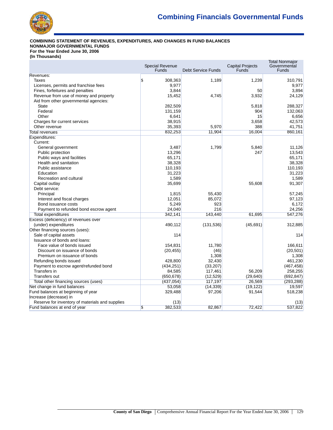

|                                                 | <b>Special Revenue</b><br><b>Funds</b> | Debt Service Funds | <b>Capital Projects</b><br><b>Funds</b> | <b>Total Nonmajor</b><br>Governmental<br>Funds |
|-------------------------------------------------|----------------------------------------|--------------------|-----------------------------------------|------------------------------------------------|
| Revenues:                                       |                                        |                    |                                         |                                                |
| Taxes                                           | \$<br>308,363                          | 1,189              | 1,239                                   | 310,791                                        |
| Licenses, permits and franchise fees            | 9,977                                  |                    |                                         | 9,977                                          |
| Fines, forfeitures and penalties                | 3,844                                  |                    | 50                                      | 3,894                                          |
| Revenue from use of money and property          | 15,452                                 | 4,745              | 3,932                                   | 24,129                                         |
| Aid from other governmental agencies:           |                                        |                    |                                         |                                                |
| <b>State</b>                                    | 282,509                                |                    | 5,818                                   | 288,327                                        |
| Federal                                         | 131,159                                |                    | 904                                     | 132,063                                        |
| Other                                           | 6,641                                  |                    | 15                                      | 6,656                                          |
| Charges for current services                    | 38,915                                 |                    | 3,658                                   | 42,573                                         |
| Other revenue                                   | 35,393                                 | 5,970              | 388                                     | 41,751                                         |
| <b>Total revenues</b>                           | 832,253                                | 11,904             | 16,004                                  | 860,161                                        |
| Expenditures:<br>Current:                       |                                        |                    |                                         |                                                |
| General government                              | 3,487                                  | 1,799              | 5,840                                   | 11,126                                         |
| Public protection                               | 13,296                                 |                    | 247                                     | 13,543                                         |
| Public ways and facilities                      | 65,171                                 |                    |                                         | 65,171                                         |
| Health and sanitation                           | 38,328                                 |                    |                                         | 38,328                                         |
| Public assistance                               | 110,193                                |                    |                                         | 110,193                                        |
| Education                                       | 31,223                                 |                    |                                         | 31,223                                         |
| Recreation and cultural                         | 1,589                                  |                    |                                         | 1,589                                          |
| Capital outlay                                  | 35,699                                 |                    | 55,608                                  | 91,307                                         |
| Debt service:                                   |                                        |                    |                                         |                                                |
| Principal                                       | 1,815                                  | 55,430             |                                         | 57,245                                         |
| Interest and fiscal charges                     | 12,051                                 | 85,072             |                                         | 97,123                                         |
| Bond issuance costs                             | 5,249                                  | 923                |                                         | 6,172                                          |
| Payment to refunded bond escrow agent           | 24,040                                 | 216                |                                         | 24,256                                         |
| Total expenditures                              | 342,141                                | 143,440            | 61,695                                  | 547,276                                        |
| Excess (deficiency) of revenues over            |                                        |                    |                                         |                                                |
| (under) expenditures                            | 490,112                                | (131, 536)         | (45, 691)                               | 312,885                                        |
| Other financing sources (uses):                 |                                        |                    |                                         |                                                |
| Sale of capital assets                          | 114                                    |                    |                                         | 114                                            |
| Issuance of bonds and loans:                    |                                        |                    |                                         |                                                |
| Face value of bonds issued                      | 154,831                                | 11,780             |                                         | 166,611                                        |
| Discount on issuance of bonds                   | (20, 455)                              | (46)               |                                         | (20, 501)                                      |
| Premium on issuance of bonds                    |                                        | 1,308              |                                         | 1,308                                          |
| Refunding bonds issued                          | 428,800                                | 32,430             |                                         | 461,230                                        |
| Payment to escrow agent/refunded bond           | (434, 251)                             | (33, 207)          |                                         | (467, 458)                                     |
| Transfers in                                    | 84,585                                 | 117,461            | 56,209                                  | 258,255                                        |
| <b>Transfers out</b>                            | (650, 678)                             | (12, 529)          | (29, 640)                               | (692, 847)                                     |
| Total other financing sources (uses)            | (437, 054)                             | 117,197            | 26,569                                  | (293, 288)                                     |
| Net change in fund balances                     | 53,058                                 | (14, 339)          | (19, 122)                               | 19,597                                         |
| Fund balances at beginning of year              | 329,488                                | 97,206             | 91,544                                  | 518,238                                        |
| Increase (decrease) in                          |                                        |                    |                                         |                                                |
| Reserve for inventory of materials and supplies | (13)                                   |                    |                                         | (13)                                           |
| Fund balances at end of year                    | 382,533<br>$\overline{\mathbb{S}}$     | 82,867             | 72.422                                  | 537,822                                        |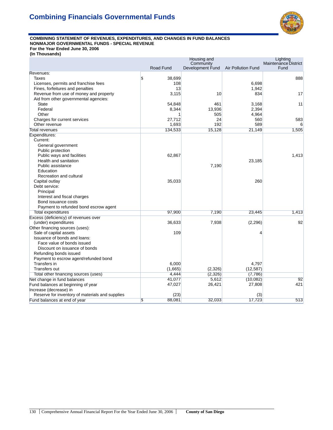

|                                                    |                                   | Housing and                   |                    | Lighting                            |
|----------------------------------------------------|-----------------------------------|-------------------------------|--------------------|-------------------------------------|
|                                                    | Road Fund                         | Community<br>Development Fund | Air Pollution Fund | <b>Maintenance District</b><br>Fund |
| Revenues:                                          |                                   |                               |                    |                                     |
| Taxes                                              | \$<br>38,699                      |                               |                    | 888                                 |
| Licenses, permits and franchise fees               | 108                               |                               | 6,698              |                                     |
| Fines, forfeitures and penalties                   | 13                                |                               | 1,942              |                                     |
| Revenue from use of money and property             | 3,115                             | 10                            | 834                | 17                                  |
| Aid from other governmental agencies:              |                                   |                               |                    |                                     |
| <b>State</b>                                       | 54,848                            | 461                           | 3,168              | 11                                  |
| Federal                                            | 8,344                             | 13,936                        | 2,394              |                                     |
| Other                                              |                                   | 505                           | 4,964              |                                     |
| Charges for current services                       | 27,712                            | 24                            | 560                | 583                                 |
| Other revenue                                      | 1,693                             | 192                           | 589                |                                     |
| Total revenues                                     | 134,533                           | 15,128                        | 21,149             | 1,505                               |
| Expenditures:                                      |                                   |                               |                    |                                     |
| Current:                                           |                                   |                               |                    |                                     |
| General government                                 |                                   |                               |                    |                                     |
| Public protection                                  |                                   |                               |                    |                                     |
| Public ways and facilities                         | 62,867                            |                               |                    | 1,413                               |
| Health and sanitation                              |                                   |                               | 23,185             |                                     |
| Public assistance                                  |                                   | 7,190                         |                    |                                     |
| Education                                          |                                   |                               |                    |                                     |
| Recreation and cultural                            |                                   |                               |                    |                                     |
| Capital outlay                                     | 35,033                            |                               | 260                |                                     |
| Debt service:                                      |                                   |                               |                    |                                     |
| Principal                                          |                                   |                               |                    |                                     |
| Interest and fiscal charges<br>Bond issuance costs |                                   |                               |                    |                                     |
| Payment to refunded bond escrow agent              |                                   |                               |                    |                                     |
| <b>Total expenditures</b>                          | 97,900                            | 7,190                         | 23,445             | 1,413                               |
| Excess (deficiency) of revenues over               |                                   |                               |                    |                                     |
| (under) expenditures                               | 36,633                            | 7,938                         | (2, 296)           | 92                                  |
| Other financing sources (uses):                    |                                   |                               |                    |                                     |
| Sale of capital assets                             | 109                               |                               |                    |                                     |
| Issuance of bonds and loans:                       |                                   |                               |                    |                                     |
| Face value of bonds issued                         |                                   |                               |                    |                                     |
| Discount on issuance of bonds                      |                                   |                               |                    |                                     |
| Refunding bonds issued                             |                                   |                               |                    |                                     |
| Payment to escrow agent/refunded bond              |                                   |                               |                    |                                     |
| Transfers in                                       | 6,000                             |                               | 4,797              |                                     |
| <b>Transfers out</b>                               | (1,665)                           | (2,326)                       | (12, 587)          |                                     |
| Total other financing sources (uses)               | 4,444                             | (2, 326)                      | (7,786)            |                                     |
| Net change in fund balances                        | 41,077                            | 5,612                         | (10,082)           | 92                                  |
| Fund balances at beginning of year                 | 47,027                            | 26,421                        | 27,808             | 421                                 |
| Increase (decrease) in                             |                                   |                               |                    |                                     |
| Reserve for inventory of materials and supplies    | (23)                              |                               | (3)                |                                     |
| Fund balances at end of year                       | 88,081<br>$\overline{\mathbb{S}}$ | 32.033                        | 17,723             | 513                                 |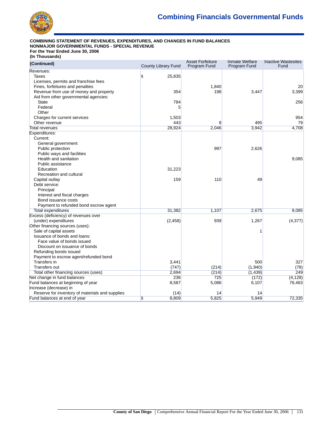

| Revenues:<br>$\boldsymbol{\mathsf{S}}$<br>Taxes<br>25,835<br>Licenses, permits and franchise fees<br>1,840<br>Fines, forfeitures and penalties<br>20<br>354<br>198<br>3,447<br>3,399<br>Revenue from use of money and property<br>Aid from other governmental agencies:<br><b>State</b><br>784<br>256<br>Federal<br>5<br>Other<br>1,503<br>954<br>Charges for current services<br>495<br>443<br>79<br>Other revenue<br>8<br><b>Total revenues</b><br>28,924<br>2,046<br>3,942<br>4,708<br>Current:<br>General government<br>997<br>2,626<br>Public protection<br>Public ways and facilities<br>9,085<br>Health and sanitation<br>Public assistance<br>31,223<br>Education<br>Recreation and cultural<br>110<br>Capital outlay<br>159<br>49<br>Debt service:<br>Principal<br>Interest and fiscal charges<br>Bond issuance costs<br>Payment to refunded bond escrow agent<br>31,382<br>2,675<br>9,085<br><b>Total expenditures</b><br>1,107<br>Excess (deficiency) of revenues over<br>(2, 458)<br>939<br>1,267<br>(4, 377)<br>(under) expenditures<br>Other financing sources (uses):<br>Sale of capital assets<br>1<br>Issuance of bonds and loans:<br>Face value of bonds issued<br>Discount on issuance of bonds<br>Refunding bonds issued<br>Payment to escrow agent/refunded bond<br>Transfers in<br>3,441<br>500<br>327<br><b>Transfers out</b><br>(747)<br>(214)<br>(1,940)<br>(78)<br>249<br>Total other financing sources (uses)<br>2,694<br>(214)<br>(1, 439)<br>236<br>725<br>(4, 128)<br>Net change in fund balances<br>(172)<br>Fund balances at beginning of year<br>8,587<br>6,107<br>76,463<br>5,086<br>Increase (decrease) in<br>Reserve for inventory of materials and supplies<br>(14)<br>14<br>14 | (Continued)                  |                            | <b>Asset Forfeiture</b> | Inmate Welfare | <b>Inactive Wastesites</b> |
|----------------------------------------------------------------------------------------------------------------------------------------------------------------------------------------------------------------------------------------------------------------------------------------------------------------------------------------------------------------------------------------------------------------------------------------------------------------------------------------------------------------------------------------------------------------------------------------------------------------------------------------------------------------------------------------------------------------------------------------------------------------------------------------------------------------------------------------------------------------------------------------------------------------------------------------------------------------------------------------------------------------------------------------------------------------------------------------------------------------------------------------------------------------------------------------------------------------------------------------------------------------------------------------------------------------------------------------------------------------------------------------------------------------------------------------------------------------------------------------------------------------------------------------------------------------------------------------------------------------------------------------------------------------------------------------------------------------------|------------------------------|----------------------------|-------------------------|----------------|----------------------------|
|                                                                                                                                                                                                                                                                                                                                                                                                                                                                                                                                                                                                                                                                                                                                                                                                                                                                                                                                                                                                                                                                                                                                                                                                                                                                                                                                                                                                                                                                                                                                                                                                                                                                                                                      |                              | <b>County Library Fund</b> | Program Fund            | Program Fund   | Fund                       |
|                                                                                                                                                                                                                                                                                                                                                                                                                                                                                                                                                                                                                                                                                                                                                                                                                                                                                                                                                                                                                                                                                                                                                                                                                                                                                                                                                                                                                                                                                                                                                                                                                                                                                                                      |                              |                            |                         |                |                            |
|                                                                                                                                                                                                                                                                                                                                                                                                                                                                                                                                                                                                                                                                                                                                                                                                                                                                                                                                                                                                                                                                                                                                                                                                                                                                                                                                                                                                                                                                                                                                                                                                                                                                                                                      |                              |                            |                         |                |                            |
|                                                                                                                                                                                                                                                                                                                                                                                                                                                                                                                                                                                                                                                                                                                                                                                                                                                                                                                                                                                                                                                                                                                                                                                                                                                                                                                                                                                                                                                                                                                                                                                                                                                                                                                      |                              |                            |                         |                |                            |
|                                                                                                                                                                                                                                                                                                                                                                                                                                                                                                                                                                                                                                                                                                                                                                                                                                                                                                                                                                                                                                                                                                                                                                                                                                                                                                                                                                                                                                                                                                                                                                                                                                                                                                                      |                              |                            |                         |                |                            |
|                                                                                                                                                                                                                                                                                                                                                                                                                                                                                                                                                                                                                                                                                                                                                                                                                                                                                                                                                                                                                                                                                                                                                                                                                                                                                                                                                                                                                                                                                                                                                                                                                                                                                                                      |                              |                            |                         |                |                            |
|                                                                                                                                                                                                                                                                                                                                                                                                                                                                                                                                                                                                                                                                                                                                                                                                                                                                                                                                                                                                                                                                                                                                                                                                                                                                                                                                                                                                                                                                                                                                                                                                                                                                                                                      |                              |                            |                         |                |                            |
|                                                                                                                                                                                                                                                                                                                                                                                                                                                                                                                                                                                                                                                                                                                                                                                                                                                                                                                                                                                                                                                                                                                                                                                                                                                                                                                                                                                                                                                                                                                                                                                                                                                                                                                      |                              |                            |                         |                |                            |
|                                                                                                                                                                                                                                                                                                                                                                                                                                                                                                                                                                                                                                                                                                                                                                                                                                                                                                                                                                                                                                                                                                                                                                                                                                                                                                                                                                                                                                                                                                                                                                                                                                                                                                                      |                              |                            |                         |                |                            |
|                                                                                                                                                                                                                                                                                                                                                                                                                                                                                                                                                                                                                                                                                                                                                                                                                                                                                                                                                                                                                                                                                                                                                                                                                                                                                                                                                                                                                                                                                                                                                                                                                                                                                                                      |                              |                            |                         |                |                            |
|                                                                                                                                                                                                                                                                                                                                                                                                                                                                                                                                                                                                                                                                                                                                                                                                                                                                                                                                                                                                                                                                                                                                                                                                                                                                                                                                                                                                                                                                                                                                                                                                                                                                                                                      |                              |                            |                         |                |                            |
|                                                                                                                                                                                                                                                                                                                                                                                                                                                                                                                                                                                                                                                                                                                                                                                                                                                                                                                                                                                                                                                                                                                                                                                                                                                                                                                                                                                                                                                                                                                                                                                                                                                                                                                      |                              |                            |                         |                |                            |
|                                                                                                                                                                                                                                                                                                                                                                                                                                                                                                                                                                                                                                                                                                                                                                                                                                                                                                                                                                                                                                                                                                                                                                                                                                                                                                                                                                                                                                                                                                                                                                                                                                                                                                                      |                              |                            |                         |                |                            |
|                                                                                                                                                                                                                                                                                                                                                                                                                                                                                                                                                                                                                                                                                                                                                                                                                                                                                                                                                                                                                                                                                                                                                                                                                                                                                                                                                                                                                                                                                                                                                                                                                                                                                                                      | Expenditures:                |                            |                         |                |                            |
|                                                                                                                                                                                                                                                                                                                                                                                                                                                                                                                                                                                                                                                                                                                                                                                                                                                                                                                                                                                                                                                                                                                                                                                                                                                                                                                                                                                                                                                                                                                                                                                                                                                                                                                      |                              |                            |                         |                |                            |
|                                                                                                                                                                                                                                                                                                                                                                                                                                                                                                                                                                                                                                                                                                                                                                                                                                                                                                                                                                                                                                                                                                                                                                                                                                                                                                                                                                                                                                                                                                                                                                                                                                                                                                                      |                              |                            |                         |                |                            |
|                                                                                                                                                                                                                                                                                                                                                                                                                                                                                                                                                                                                                                                                                                                                                                                                                                                                                                                                                                                                                                                                                                                                                                                                                                                                                                                                                                                                                                                                                                                                                                                                                                                                                                                      |                              |                            |                         |                |                            |
|                                                                                                                                                                                                                                                                                                                                                                                                                                                                                                                                                                                                                                                                                                                                                                                                                                                                                                                                                                                                                                                                                                                                                                                                                                                                                                                                                                                                                                                                                                                                                                                                                                                                                                                      |                              |                            |                         |                |                            |
|                                                                                                                                                                                                                                                                                                                                                                                                                                                                                                                                                                                                                                                                                                                                                                                                                                                                                                                                                                                                                                                                                                                                                                                                                                                                                                                                                                                                                                                                                                                                                                                                                                                                                                                      |                              |                            |                         |                |                            |
|                                                                                                                                                                                                                                                                                                                                                                                                                                                                                                                                                                                                                                                                                                                                                                                                                                                                                                                                                                                                                                                                                                                                                                                                                                                                                                                                                                                                                                                                                                                                                                                                                                                                                                                      |                              |                            |                         |                |                            |
|                                                                                                                                                                                                                                                                                                                                                                                                                                                                                                                                                                                                                                                                                                                                                                                                                                                                                                                                                                                                                                                                                                                                                                                                                                                                                                                                                                                                                                                                                                                                                                                                                                                                                                                      |                              |                            |                         |                |                            |
|                                                                                                                                                                                                                                                                                                                                                                                                                                                                                                                                                                                                                                                                                                                                                                                                                                                                                                                                                                                                                                                                                                                                                                                                                                                                                                                                                                                                                                                                                                                                                                                                                                                                                                                      |                              |                            |                         |                |                            |
|                                                                                                                                                                                                                                                                                                                                                                                                                                                                                                                                                                                                                                                                                                                                                                                                                                                                                                                                                                                                                                                                                                                                                                                                                                                                                                                                                                                                                                                                                                                                                                                                                                                                                                                      |                              |                            |                         |                |                            |
|                                                                                                                                                                                                                                                                                                                                                                                                                                                                                                                                                                                                                                                                                                                                                                                                                                                                                                                                                                                                                                                                                                                                                                                                                                                                                                                                                                                                                                                                                                                                                                                                                                                                                                                      |                              |                            |                         |                |                            |
|                                                                                                                                                                                                                                                                                                                                                                                                                                                                                                                                                                                                                                                                                                                                                                                                                                                                                                                                                                                                                                                                                                                                                                                                                                                                                                                                                                                                                                                                                                                                                                                                                                                                                                                      |                              |                            |                         |                |                            |
|                                                                                                                                                                                                                                                                                                                                                                                                                                                                                                                                                                                                                                                                                                                                                                                                                                                                                                                                                                                                                                                                                                                                                                                                                                                                                                                                                                                                                                                                                                                                                                                                                                                                                                                      |                              |                            |                         |                |                            |
|                                                                                                                                                                                                                                                                                                                                                                                                                                                                                                                                                                                                                                                                                                                                                                                                                                                                                                                                                                                                                                                                                                                                                                                                                                                                                                                                                                                                                                                                                                                                                                                                                                                                                                                      |                              |                            |                         |                |                            |
|                                                                                                                                                                                                                                                                                                                                                                                                                                                                                                                                                                                                                                                                                                                                                                                                                                                                                                                                                                                                                                                                                                                                                                                                                                                                                                                                                                                                                                                                                                                                                                                                                                                                                                                      |                              |                            |                         |                |                            |
|                                                                                                                                                                                                                                                                                                                                                                                                                                                                                                                                                                                                                                                                                                                                                                                                                                                                                                                                                                                                                                                                                                                                                                                                                                                                                                                                                                                                                                                                                                                                                                                                                                                                                                                      |                              |                            |                         |                |                            |
|                                                                                                                                                                                                                                                                                                                                                                                                                                                                                                                                                                                                                                                                                                                                                                                                                                                                                                                                                                                                                                                                                                                                                                                                                                                                                                                                                                                                                                                                                                                                                                                                                                                                                                                      |                              |                            |                         |                |                            |
|                                                                                                                                                                                                                                                                                                                                                                                                                                                                                                                                                                                                                                                                                                                                                                                                                                                                                                                                                                                                                                                                                                                                                                                                                                                                                                                                                                                                                                                                                                                                                                                                                                                                                                                      |                              |                            |                         |                |                            |
|                                                                                                                                                                                                                                                                                                                                                                                                                                                                                                                                                                                                                                                                                                                                                                                                                                                                                                                                                                                                                                                                                                                                                                                                                                                                                                                                                                                                                                                                                                                                                                                                                                                                                                                      |                              |                            |                         |                |                            |
|                                                                                                                                                                                                                                                                                                                                                                                                                                                                                                                                                                                                                                                                                                                                                                                                                                                                                                                                                                                                                                                                                                                                                                                                                                                                                                                                                                                                                                                                                                                                                                                                                                                                                                                      |                              |                            |                         |                |                            |
|                                                                                                                                                                                                                                                                                                                                                                                                                                                                                                                                                                                                                                                                                                                                                                                                                                                                                                                                                                                                                                                                                                                                                                                                                                                                                                                                                                                                                                                                                                                                                                                                                                                                                                                      |                              |                            |                         |                |                            |
|                                                                                                                                                                                                                                                                                                                                                                                                                                                                                                                                                                                                                                                                                                                                                                                                                                                                                                                                                                                                                                                                                                                                                                                                                                                                                                                                                                                                                                                                                                                                                                                                                                                                                                                      |                              |                            |                         |                |                            |
|                                                                                                                                                                                                                                                                                                                                                                                                                                                                                                                                                                                                                                                                                                                                                                                                                                                                                                                                                                                                                                                                                                                                                                                                                                                                                                                                                                                                                                                                                                                                                                                                                                                                                                                      |                              |                            |                         |                |                            |
|                                                                                                                                                                                                                                                                                                                                                                                                                                                                                                                                                                                                                                                                                                                                                                                                                                                                                                                                                                                                                                                                                                                                                                                                                                                                                                                                                                                                                                                                                                                                                                                                                                                                                                                      |                              |                            |                         |                |                            |
|                                                                                                                                                                                                                                                                                                                                                                                                                                                                                                                                                                                                                                                                                                                                                                                                                                                                                                                                                                                                                                                                                                                                                                                                                                                                                                                                                                                                                                                                                                                                                                                                                                                                                                                      |                              |                            |                         |                |                            |
|                                                                                                                                                                                                                                                                                                                                                                                                                                                                                                                                                                                                                                                                                                                                                                                                                                                                                                                                                                                                                                                                                                                                                                                                                                                                                                                                                                                                                                                                                                                                                                                                                                                                                                                      |                              |                            |                         |                |                            |
|                                                                                                                                                                                                                                                                                                                                                                                                                                                                                                                                                                                                                                                                                                                                                                                                                                                                                                                                                                                                                                                                                                                                                                                                                                                                                                                                                                                                                                                                                                                                                                                                                                                                                                                      |                              |                            |                         |                |                            |
|                                                                                                                                                                                                                                                                                                                                                                                                                                                                                                                                                                                                                                                                                                                                                                                                                                                                                                                                                                                                                                                                                                                                                                                                                                                                                                                                                                                                                                                                                                                                                                                                                                                                                                                      |                              |                            |                         |                |                            |
|                                                                                                                                                                                                                                                                                                                                                                                                                                                                                                                                                                                                                                                                                                                                                                                                                                                                                                                                                                                                                                                                                                                                                                                                                                                                                                                                                                                                                                                                                                                                                                                                                                                                                                                      |                              |                            |                         |                |                            |
|                                                                                                                                                                                                                                                                                                                                                                                                                                                                                                                                                                                                                                                                                                                                                                                                                                                                                                                                                                                                                                                                                                                                                                                                                                                                                                                                                                                                                                                                                                                                                                                                                                                                                                                      |                              |                            |                         |                |                            |
|                                                                                                                                                                                                                                                                                                                                                                                                                                                                                                                                                                                                                                                                                                                                                                                                                                                                                                                                                                                                                                                                                                                                                                                                                                                                                                                                                                                                                                                                                                                                                                                                                                                                                                                      |                              |                            |                         |                |                            |
|                                                                                                                                                                                                                                                                                                                                                                                                                                                                                                                                                                                                                                                                                                                                                                                                                                                                                                                                                                                                                                                                                                                                                                                                                                                                                                                                                                                                                                                                                                                                                                                                                                                                                                                      |                              |                            |                         |                |                            |
|                                                                                                                                                                                                                                                                                                                                                                                                                                                                                                                                                                                                                                                                                                                                                                                                                                                                                                                                                                                                                                                                                                                                                                                                                                                                                                                                                                                                                                                                                                                                                                                                                                                                                                                      | Fund balances at end of year | 8,809<br>\$                | 5,825                   | 5,949          | 72,335                     |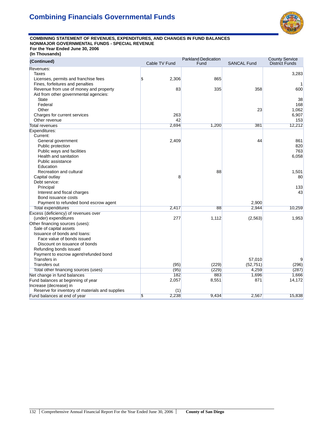

|        |  |       |  | ___          |  |
|--------|--|-------|--|--------------|--|
| $\sim$ |  | $-15$ |  | $\mathbf{H}$ |  |

| (Continued)                                                  |                                   | <b>Parkland Dedication</b> | <b>County Service</b> |                       |
|--------------------------------------------------------------|-----------------------------------|----------------------------|-----------------------|-----------------------|
|                                                              | Cable TV Fund                     | Fund                       | <b>SANCAL Fund</b>    | <b>District Funds</b> |
| Revenues:                                                    |                                   |                            |                       |                       |
| Taxes                                                        |                                   |                            |                       | 3,283                 |
| Licenses, permits and franchise fees                         | $\mathbf{s}$<br>2,306             | 865                        |                       |                       |
| Fines, forfeitures and penalties                             |                                   |                            |                       | -1                    |
| Revenue from use of money and property                       | 83                                | 335                        | 358                   | 600                   |
| Aid from other governmental agencies:                        |                                   |                            |                       |                       |
| <b>State</b>                                                 |                                   |                            |                       | 38                    |
| Federal                                                      |                                   |                            |                       | 168                   |
| Other                                                        | 263                               |                            | 23                    | 1,062<br>6,907        |
| Charges for current services<br>Other revenue                | 42                                |                            |                       | 153                   |
| <b>Total revenues</b>                                        | 2,694                             | 1,200                      | 381                   | 12,212                |
| Expenditures:                                                |                                   |                            |                       |                       |
| Current:                                                     |                                   |                            |                       |                       |
| General government                                           | 2,409                             |                            | 44                    | 861                   |
| Public protection                                            |                                   |                            |                       | 820                   |
| Public ways and facilities                                   |                                   |                            |                       | 763                   |
| Health and sanitation                                        |                                   |                            |                       | 6,058                 |
| Public assistance                                            |                                   |                            |                       |                       |
| Education                                                    |                                   |                            |                       |                       |
| Recreation and cultural                                      |                                   | 88                         |                       | 1,501                 |
| Capital outlay                                               | 8                                 |                            |                       | 80                    |
| Debt service:                                                |                                   |                            |                       |                       |
| Principal                                                    |                                   |                            |                       | 133                   |
| Interest and fiscal charges                                  |                                   |                            |                       | 43                    |
| Bond issuance costs                                          |                                   |                            |                       |                       |
| Payment to refunded bond escrow agent                        |                                   |                            | 2,900                 |                       |
| <b>Total expenditures</b>                                    | 2,417                             | 88                         | 2,944                 | 10,259                |
| Excess (deficiency) of revenues over                         |                                   |                            |                       |                       |
| (under) expenditures                                         | 277                               | 1,112                      | (2, 563)              | 1,953                 |
| Other financing sources (uses):                              |                                   |                            |                       |                       |
| Sale of capital assets                                       |                                   |                            |                       |                       |
| Issuance of bonds and loans:                                 |                                   |                            |                       |                       |
| Face value of bonds issued                                   |                                   |                            |                       |                       |
| Discount on issuance of bonds                                |                                   |                            |                       |                       |
| Refunding bonds issued                                       |                                   |                            |                       |                       |
| Payment to escrow agent/refunded bond                        |                                   |                            |                       |                       |
| Transfers in                                                 |                                   |                            | 57,010                | 9                     |
| <b>Transfers out</b>                                         | (95)<br>(95)                      | (229)                      | (52, 751)             | (296)<br>(287)        |
| Total other financing sources (uses)                         | 182                               | (229)<br>883               | 4,259<br>1,696        | 1,666                 |
| Net change in fund balances                                  | 2,057                             | 8,551                      | 871                   | 14,172                |
| Fund balances at beginning of year<br>Increase (decrease) in |                                   |                            |                       |                       |
| Reserve for inventory of materials and supplies              | (1)                               |                            |                       |                       |
| Fund balances at end of year                                 | $\overline{\mathcal{S}}$<br>2,238 | 9,434                      | 2,567                 | 15,838                |
|                                                              |                                   |                            |                       |                       |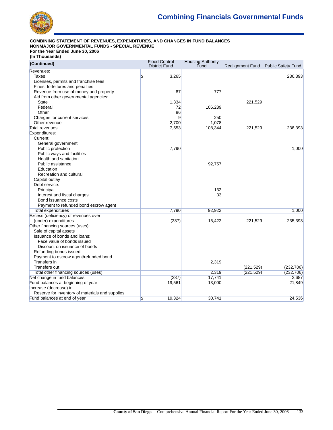

| (Continued)                                                       | <b>Flood Control</b><br><b>District Fund</b> | <b>Housing Authority</b><br>Fund | <b>Realignment Fund</b> | <b>Public Safety Fund</b> |
|-------------------------------------------------------------------|----------------------------------------------|----------------------------------|-------------------------|---------------------------|
| Revenues:                                                         |                                              |                                  |                         |                           |
| Taxes                                                             | $\boldsymbol{\mathsf{S}}$<br>3,265           |                                  |                         | 236,393                   |
| Licenses, permits and franchise fees                              |                                              |                                  |                         |                           |
| Fines, forfeitures and penalties                                  |                                              |                                  |                         |                           |
| Revenue from use of money and property                            | 87                                           | 777                              |                         |                           |
| Aid from other governmental agencies:                             |                                              |                                  |                         |                           |
| <b>State</b>                                                      | 1,334                                        |                                  | 221,529                 |                           |
| Federal                                                           | 72                                           | 106,239                          |                         |                           |
| Other                                                             | 86                                           |                                  |                         |                           |
| Charges for current services                                      | 9                                            | 250                              |                         |                           |
| Other revenue                                                     | 2,700                                        | 1,078                            |                         |                           |
| <b>Total revenues</b>                                             | 7,553                                        | 108,344                          | 221,529                 | 236,393                   |
| Expenditures:                                                     |                                              |                                  |                         |                           |
| Current:                                                          |                                              |                                  |                         |                           |
| General government                                                |                                              |                                  |                         |                           |
| Public protection                                                 | 7,790                                        |                                  |                         | 1,000                     |
| Public ways and facilities                                        |                                              |                                  |                         |                           |
| Health and sanitation                                             |                                              |                                  |                         |                           |
| Public assistance                                                 |                                              | 92,757                           |                         |                           |
| Education                                                         |                                              |                                  |                         |                           |
| Recreation and cultural                                           |                                              |                                  |                         |                           |
| Capital outlay                                                    |                                              |                                  |                         |                           |
| Debt service:                                                     |                                              |                                  |                         |                           |
| Principal                                                         |                                              | 132                              |                         |                           |
| Interest and fiscal charges                                       |                                              | 33                               |                         |                           |
| Bond issuance costs                                               |                                              |                                  |                         |                           |
| Payment to refunded bond escrow agent                             |                                              |                                  |                         |                           |
| <b>Total expenditures</b><br>Excess (deficiency) of revenues over | 7,790                                        | 92,922                           |                         | 1,000                     |
| (under) expenditures                                              | (237)                                        | 15,422                           | 221,529                 | 235,393                   |
| Other financing sources (uses):                                   |                                              |                                  |                         |                           |
| Sale of capital assets                                            |                                              |                                  |                         |                           |
| Issuance of bonds and loans:                                      |                                              |                                  |                         |                           |
| Face value of bonds issued                                        |                                              |                                  |                         |                           |
| Discount on issuance of bonds                                     |                                              |                                  |                         |                           |
| Refunding bonds issued                                            |                                              |                                  |                         |                           |
| Payment to escrow agent/refunded bond                             |                                              |                                  |                         |                           |
| Transfers in                                                      |                                              | 2,319                            |                         |                           |
| Transfers out                                                     |                                              |                                  | (221, 529)              | (232, 706)                |
| Total other financing sources (uses)                              |                                              | 2,319                            | (221, 529)              | (232, 706)                |
| Net change in fund balances                                       | (237)                                        | 17,741                           |                         | 2,687                     |
| Fund balances at beginning of year                                | 19,561                                       | 13,000                           |                         | 21,849                    |
| Increase (decrease) in                                            |                                              |                                  |                         |                           |
| Reserve for inventory of materials and supplies                   |                                              |                                  |                         |                           |
| Fund balances at end of year                                      | 19,324<br>\$                                 | 30,741                           |                         | 24,536                    |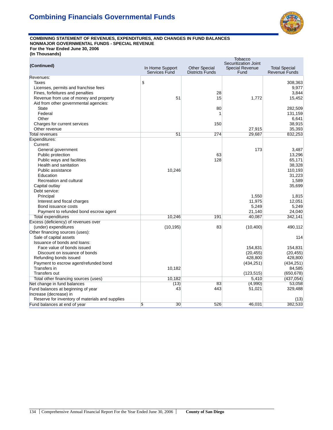

| (Continued)                                           |                                  |                                                | <b>Tobacco</b><br>Securitization Joint |                                       |
|-------------------------------------------------------|----------------------------------|------------------------------------------------|----------------------------------------|---------------------------------------|
|                                                       | In Home Support<br>Services Fund | <b>Other Special</b><br><b>Districts Funds</b> | <b>Special Revenue</b><br>Fund         | <b>Total Special</b><br>Revenue Funds |
| Revenues:                                             |                                  |                                                |                                        |                                       |
| Taxes                                                 | \$                               |                                                |                                        | 308,363                               |
| Licenses, permits and franchise fees                  |                                  |                                                |                                        | 9,977                                 |
| Fines, forfeitures and penalties                      |                                  | 28                                             |                                        | 3,844                                 |
| Revenue from use of money and property                | 51                               | 15                                             | 1,772                                  | 15,452                                |
| Aid from other governmental agencies:                 |                                  |                                                |                                        |                                       |
| <b>State</b>                                          |                                  | 80                                             |                                        | 282,509                               |
| Federal                                               |                                  | 1                                              |                                        | 131,159                               |
| Other                                                 |                                  |                                                |                                        | 6,641                                 |
| Charges for current services                          |                                  | 150                                            |                                        | 38.915                                |
| Other revenue                                         |                                  |                                                | 27,915                                 | 35,393                                |
| <b>Total revenues</b>                                 | 51                               | 274                                            | 29,687                                 | 832,253                               |
| Expenditures:<br>Current:                             |                                  |                                                |                                        |                                       |
| General government                                    |                                  |                                                | 173                                    | 3,487                                 |
| Public protection                                     |                                  | 63                                             |                                        | 13,296                                |
| Public ways and facilities                            |                                  | 128                                            |                                        | 65,171                                |
| Health and sanitation                                 |                                  |                                                |                                        | 38,328                                |
| Public assistance                                     | 10,246                           |                                                |                                        | 110,193                               |
| Education                                             |                                  |                                                |                                        | 31,223                                |
| Recreation and cultural                               |                                  |                                                |                                        | 1,589                                 |
| Capital outlay                                        |                                  |                                                |                                        | 35,699                                |
| Debt service:                                         |                                  |                                                |                                        |                                       |
| Principal                                             |                                  |                                                | 1,550                                  | 1,815                                 |
| Interest and fiscal charges                           |                                  |                                                | 11,975                                 | 12,051                                |
| Bond issuance costs                                   |                                  |                                                | 5,249                                  | 5,249                                 |
| Payment to refunded bond escrow agent                 |                                  |                                                | 21,140                                 | 24,040                                |
| Total expenditures                                    | 10,246                           | 191                                            | 40,087                                 | 342,141                               |
| Excess (deficiency) of revenues over                  |                                  |                                                |                                        |                                       |
| (under) expenditures                                  | (10, 195)                        | 83                                             | (10, 400)                              | 490,112                               |
| Other financing sources (uses):                       |                                  |                                                |                                        |                                       |
| Sale of capital assets                                |                                  |                                                |                                        | 114                                   |
| Issuance of bonds and loans:                          |                                  |                                                |                                        |                                       |
| Face value of bonds issued                            |                                  |                                                | 154,831                                | 154,831                               |
| Discount on issuance of bonds                         |                                  |                                                | (20, 455)                              | (20, 455)                             |
| Refunding bonds issued                                |                                  |                                                | 428,800                                | 428,800                               |
| Payment to escrow agent/refunded bond<br>Transfers in | 10,182                           |                                                | (434, 251)                             | (434, 251)<br>84,585                  |
| <b>Transfers out</b>                                  |                                  |                                                | (123, 515)                             | (650, 678)                            |
| Total other financing sources (uses)                  | 10,182                           |                                                | 5,410                                  | (437, 054)                            |
| Net change in fund balances                           | (13)                             | 83                                             | (4,990)                                | 53,058                                |
| Fund balances at beginning of year                    | 43                               | 443                                            | 51,021                                 | 329,488                               |
| Increase (decrease) in                                |                                  |                                                |                                        |                                       |
| Reserve for inventory of materials and supplies       |                                  |                                                |                                        | (13)                                  |
| Fund balances at end of year                          | 30<br>\$                         | 526                                            | 46,031                                 | 382,533                               |
|                                                       |                                  |                                                |                                        |                                       |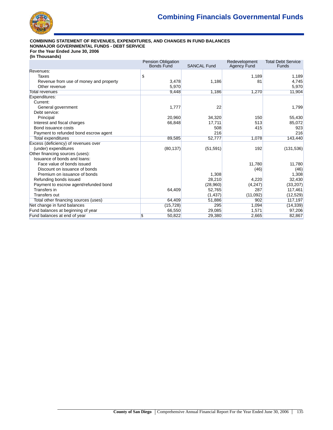

|                                        | Pension Obligation<br><b>Bonds Fund</b> | <b>SANCAL Fund</b> | Redevelopment<br><b>Agency Fund</b> | <b>Total Debt Service</b><br><b>Funds</b> |
|----------------------------------------|-----------------------------------------|--------------------|-------------------------------------|-------------------------------------------|
| Revenues:                              |                                         |                    |                                     |                                           |
| <b>Taxes</b>                           | \$                                      |                    | 1,189                               | 1,189                                     |
| Revenue from use of money and property | 3,478                                   | 1,186              | 81                                  | 4,745                                     |
| Other revenue                          | 5,970                                   |                    |                                     | 5,970                                     |
| <b>Total revenues</b>                  | 9,448                                   | 1,186              | 1,270                               | 11,904                                    |
| Expenditures:                          |                                         |                    |                                     |                                           |
| Current:                               |                                         |                    |                                     |                                           |
| General government                     | 1,777                                   | 22                 |                                     | 1,799                                     |
| Debt service:                          |                                         |                    |                                     |                                           |
| Principal                              | 20,960                                  | 34,320             | 150                                 | 55,430                                    |
| Interest and fiscal charges            | 66,848                                  | 17,711             | 513                                 | 85,072                                    |
| Bond issuance costs                    |                                         | 508                | 415                                 | 923                                       |
| Payment to refunded bond escrow agent  |                                         | 216                |                                     | 216                                       |
| <b>Total expenditures</b>              | 89,585                                  | 52,777             | 1,078                               | 143,440                                   |
| Excess (deficiency) of revenues over   |                                         |                    |                                     |                                           |
| (under) expenditures                   | (80, 137)                               | (51, 591)          | 192                                 | (131, 536)                                |
| Other financing sources (uses):        |                                         |                    |                                     |                                           |
| Issuance of bonds and loans:           |                                         |                    |                                     |                                           |
| Face value of bonds issued             |                                         |                    | 11,780                              | 11,780                                    |
| Discount on issuance of bonds          |                                         |                    | (46)                                | (46)                                      |
| Premium on issuance of bonds           |                                         | 1,308              |                                     | 1,308                                     |
| Refunding bonds issued                 |                                         | 28,210             | 4,220                               | 32,430                                    |
| Payment to escrow agent/refunded bond  |                                         | (28,960)           | (4,247)                             | (33, 207)                                 |
| Transfers in                           | 64,409                                  | 52,765             | 287                                 | 117,461                                   |
| <b>Transfers out</b>                   |                                         | (1, 437)           | (11,092)                            | (12, 529)                                 |
| Total other financing sources (uses)   | 64,409                                  | 51,886             | 902                                 | 117,197                                   |
| Net change in fund balances            | (15, 728)                               | 295                | 1,094                               | (14, 339)                                 |
| Fund balances at beginning of year     | 66,550                                  | 29,085             | 1,571                               | 97,206                                    |
| Fund balances at end of year           | 50,822<br>S                             | 29,380             | 2,665                               | 82,867                                    |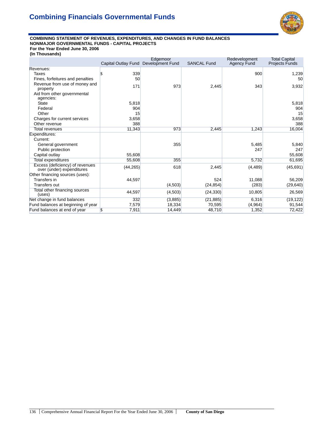

| Edgemoor<br>Redevelopment                                    |                     |                  |                    |                    | <b>Total Capital</b>  |
|--------------------------------------------------------------|---------------------|------------------|--------------------|--------------------|-----------------------|
|                                                              | Capital Outlay Fund | Development Fund | <b>SANCAL Fund</b> | <b>Agency Fund</b> | <b>Projects Funds</b> |
| Revenues:                                                    |                     |                  |                    |                    |                       |
| Taxes                                                        | 339                 |                  |                    | 900                | 1,239                 |
| Fines, forfeitures and penalties                             | 50                  |                  |                    |                    | 50                    |
| Revenue from use of money and<br>property                    | 171                 | 973              | 2,445              | 343                | 3,932                 |
| Aid from other governmental<br>agencies:                     |                     |                  |                    |                    |                       |
| <b>State</b>                                                 | 5,818               |                  |                    |                    | 5,818                 |
| Federal                                                      | 904                 |                  |                    |                    | 904                   |
| Other                                                        | 15                  |                  |                    |                    | 15                    |
| Charges for current services                                 | 3,658               |                  |                    |                    | 3,658                 |
| Other revenue                                                | 388                 |                  |                    |                    | 388                   |
| Total revenues                                               | 11,343              | 973              | 2,445              | 1,243              | 16,004                |
| Expenditures:                                                |                     |                  |                    |                    |                       |
| Current:                                                     |                     |                  |                    |                    |                       |
| General government                                           |                     | 355              |                    | 5,485              | 5,840                 |
| Public protection                                            |                     |                  |                    | 247                | 247                   |
| Capital outlay                                               | 55,608              |                  |                    |                    | 55,608                |
| <b>Total expenditures</b>                                    | 55,608              | 355              |                    | 5,732              | 61,695                |
| Excess (deficiency) of revenues<br>over (under) expenditures | (44, 265)           | 618              | 2,445              | (4, 489)           | (45, 691)             |
| Other financing sources (uses):                              |                     |                  |                    |                    |                       |
| Transfers in                                                 | 44,597              |                  | 524                | 11,088             | 56,209                |
| <b>Transfers out</b>                                         |                     | (4, 503)         | (24, 854)          | (283)              | (29, 640)             |
| Total other financing sources<br>(uses)                      | 44,597              | (4,503)          | (24, 330)          | 10,805             | 26,569                |
| Net change in fund balances                                  | 332                 | (3,885)          | (21, 885)          | 6,316              | (19, 122)             |
| Fund balances at beginning of year                           | 7,579               | 18,334           | 70,595             | (4, 964)           | 91,544                |
| Fund balances at end of year                                 | 7,911<br>S          | 14,449           | 48,710             | 1,352              | 72,422                |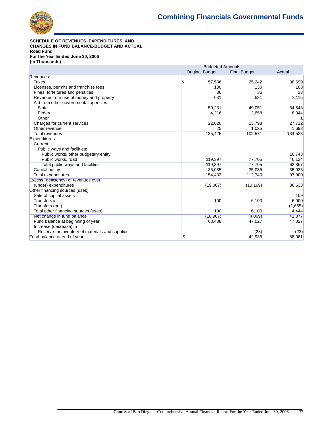

#### **SCHEDULE OF REVENUES, EXPENDITURES, AND CHANGES IN FUND BALANCE-BUDGET AND ACTUAL Road Fund For the Year Ended June 30, 2006 (In Thousands)**

|                                                 | <b>Budgeted Amounts</b> |                     |         |
|-------------------------------------------------|-------------------------|---------------------|---------|
|                                                 | <b>Original Budget</b>  | <b>Final Budget</b> | Actual  |
| Revenues:                                       |                         |                     |         |
| Taxes                                           | 57,536<br>\$            | 25,242              | 38,699  |
| Licenses, permits and franchise fees            | 130                     | 130                 | 108     |
| Fines, forfeitures and penalties                | 36                      | 36                  | 13      |
| Revenue from use of money and property          | 631                     | 631                 | 3,115   |
| Aid from other governmental agencies:           |                         |                     |         |
| <b>State</b>                                    | 50,231                  | 49,051              | 54,848  |
| Federal                                         | 4,216                   | 2,658               | 8,344   |
| Other                                           |                         |                     |         |
| Charges for current services                    | 22,620                  | 23,798              | 27,712  |
| Other revenue                                   | 25                      | 1,025               | 1,693   |
| Total revenues                                  | 135,425                 | 102,571             | 134,533 |
| Expenditures:                                   |                         |                     |         |
| Current:                                        |                         |                     |         |
| Public ways and facilities:                     |                         |                     |         |
| Public works, other budgetary entity            |                         |                     | 16,743  |
| Public works, road                              | 119,397                 | 77,705              | 46,124  |
| Total public ways and facilities                | 119,397                 | 77,705              | 62,867  |
| Capital outlay                                  | 35,035                  | 35,035              | 35,033  |
| <b>Total expenditures</b>                       | 154,432                 | 112,740             | 97,900  |
| Excess (deficiency) of revenues over            |                         |                     |         |
| (under) expenditures                            | (19,007)                | (10, 169)           | 36,633  |
| Other financing sources (uses):                 |                         |                     |         |
| Sale of capital assets                          |                         |                     | 109     |
| Transfers in                                    | 100                     | 6,100               | 6,000   |
| Transfers (out)                                 |                         |                     | (1,665) |
| Total other financing sources (uses)            | 100                     | 6,100               | 4,444   |
| Net change in fund balance                      | (18,907)                | (4,069)             | 41,077  |
| Fund balance at beginning of year               | 68,438                  | 47,027              | 47,027  |
| Increase (decrease) in                          |                         |                     |         |
| Reserve for inventory of materials and supplies |                         | (23)                | (23)    |
| Fund balance at end of year                     | \$                      | 42,935              | 88,081  |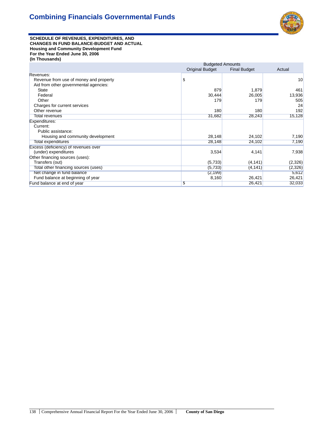

#### **SCHEDULE OF REVENUES, EXPENDITURES, AND CHANGES IN FUND BALANCE-BUDGET AND ACTUAL Housing and Community Development Fund For the Year Ended June 30, 2006 (In Thousands)**

|                                        | <b>Budgeted Amounts</b> |                     |          |
|----------------------------------------|-------------------------|---------------------|----------|
|                                        | <b>Original Budget</b>  | <b>Final Budget</b> | Actual   |
| Revenues:                              |                         |                     |          |
| Revenue from use of money and property | \$                      |                     | 10       |
| Aid from other governmental agencies:  |                         |                     |          |
| <b>State</b>                           | 879                     | 1,879               | 461      |
| Federal                                | 30,444                  | 26,005              | 13,936   |
| Other                                  | 179                     | 179                 | 505      |
| Charges for current services           |                         |                     | 24       |
| Other revenue                          | 180                     | 180                 | 192      |
| <b>Total revenues</b>                  | 31,682                  | 28,243              | 15,128   |
| Expenditures:                          |                         |                     |          |
| Current:                               |                         |                     |          |
| Public assistance:                     |                         |                     |          |
| Housing and community development      | 28,148                  | 24,102              | 7,190    |
| Total expenditures                     | 28,148                  | 24,102              | 7,190    |
| Excess (deficiency) of revenues over   |                         |                     |          |
| (under) expenditures                   | 3,534                   | 4,141               | 7,938    |
| Other financing sources (uses):        |                         |                     |          |
| Transfers (out)                        | (5,733)                 | (4, 141)            | (2,326)  |
| Total other financing sources (uses)   | (5, 733)                | (4, 141)            | (2, 326) |
| Net change in fund balance             | (2, 199)                |                     | 5,612    |
| Fund balance at beginning of year      | 8,160                   | 26,421              | 26,421   |
| Fund balance at end of year            | \$                      | 26,421              | 32,033   |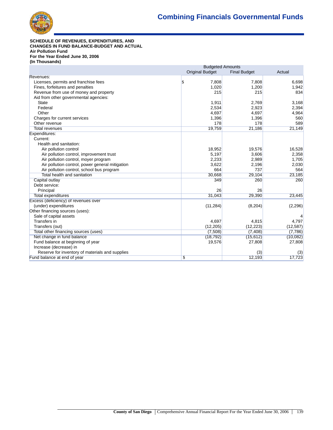

#### **SCHEDULE OF REVENUES, EXPENDITURES, AND CHANGES IN FUND BALANCE-BUDGET AND ACTUAL Air Pollution Fund For the Year Ended June 30, 2006 (In Thousands)**

|                                                 | <b>Budgeted Amounts</b> |                     |           |
|-------------------------------------------------|-------------------------|---------------------|-----------|
|                                                 | <b>Original Budget</b>  | <b>Final Budget</b> | Actual    |
| Revenues:                                       |                         |                     |           |
| Licenses, permits and franchise fees            | 7,808<br>\$             | 7,808               | 6,698     |
| Fines, forfeitures and penalties                | 1,020                   | 1,200               | 1,942     |
| Revenue from use of money and property          | 215                     | 215                 | 834       |
| Aid from other governmental agencies:           |                         |                     |           |
| <b>State</b>                                    | 1,911                   | 2,769               | 3,168     |
| Federal                                         | 2,534                   | 2,923               | 2,394     |
| Other                                           | 4,697                   | 4,697               | 4,964     |
| Charges for current services                    | 1,396                   | 1,396               | 560       |
| Other revenue                                   | 178                     | 178                 | 589       |
| <b>Total revenues</b>                           | 19,759                  | 21,186              | 21,149    |
| Expenditures:                                   |                         |                     |           |
| Current:                                        |                         |                     |           |
| Health and sanitation:                          |                         |                     |           |
| Air pollution control                           | 18,952                  | 19,576              | 16,528    |
| Air pollution control, improvement trust        | 5,197                   | 3,606               | 2,358     |
| Air pollution control, moyer program            | 2,233                   | 2,989               | 1,705     |
| Air pollution control, power general mitigation | 3,622                   | 2,196               | 2,030     |
| Air pollution control, school bus program       | 664                     | 737                 | 564       |
| Total health and sanitation                     | 30,668                  | 29,104              | 23,185    |
| Capital outlay                                  | 349                     | 260                 | 260       |
| Debt service:                                   |                         |                     |           |
| Principal                                       | 26                      | 26                  |           |
| <b>Total expenditures</b>                       | 31,043                  | 29,390              | 23,445    |
| Excess (deficiency) of revenues over            |                         |                     |           |
| (under) expenditures                            | (11, 284)               | (8, 204)            | (2, 296)  |
| Other financing sources (uses):                 |                         |                     |           |
| Sale of capital assets                          |                         |                     |           |
| Transfers in                                    | 4,697                   | 4,815               | 4,797     |
| Transfers (out)                                 | (12, 205)               | (12, 223)           | (12, 587) |
| Total other financing sources (uses)            | (7,508)                 | (7, 408)            | (7,786)   |
| Net change in fund balance                      | (18, 792)               | (15, 612)           | (10,082)  |
| Fund balance at beginning of year               | 19,576                  | 27,808              | 27,808    |
| Increase (decrease) in                          |                         |                     |           |
| Reserve for inventory of materials and supplies |                         | (3)                 | (3)       |
| Fund balance at end of year                     | $\overline{\mathbb{S}}$ | 12,193              | 17,723    |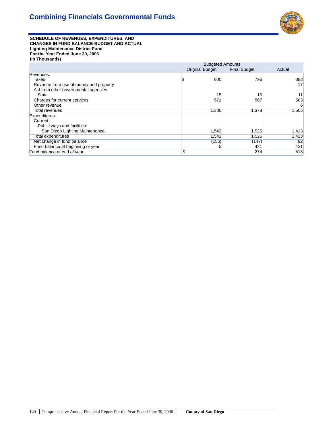

#### **SCHEDULE OF REVENUES, EXPENDITURES, AND CHANGES IN FUND BALANCE-BUDGET AND ACTUAL Lighting Maintenance District Fund For the Year Ended June 30, 2006 (In Thousands)**

|                                        | <b>Budgeted Amounts</b> |                     |        |
|----------------------------------------|-------------------------|---------------------|--------|
|                                        | Original Budget         | <b>Final Budget</b> | Actual |
| Revenues:                              |                         |                     |        |
| Taxes                                  | 800                     | 796                 | 888    |
| Revenue from use of money and property |                         |                     | 17     |
| Aid from other governmental agencies:  |                         |                     |        |
| <b>State</b>                           | 15                      | 15                  | 11     |
| Charges for current services           | 571                     | 567                 | 583    |
| Other revenue                          |                         |                     | 6      |
| <b>Total revenues</b>                  | 1,386                   | 1,378               | 1,505  |
| Expenditures:                          |                         |                     |        |
| Current:                               |                         |                     |        |
| Public ways and facilities:            |                         |                     |        |
| San Diego Lighting Maintenance         | 1,542                   | 1,525               | 1,413  |
| <b>Total expenditures</b>              | 1,542                   | 1,525               | 1,413  |
| Net change in fund balance             | (156)                   | (147)               | 92     |
| Fund balance at beginning of year      | 5                       | 421                 | 421    |
| Fund balance at end of year            | \$                      | 274                 | 513    |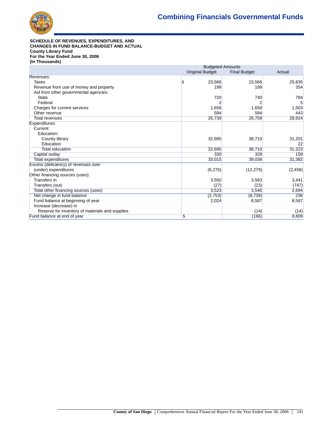

**SCHEDULE OF REVENUES, EXPENDITURES, AND CHANGES IN FUND BALANCE-BUDGET AND ACTUAL County Library Fund For the Year Ended June 30, 2006 (In Thousands)**

|                                                 | <b>Budgeted Amounts</b> |                     |          |  |
|-------------------------------------------------|-------------------------|---------------------|----------|--|
|                                                 | <b>Original Budget</b>  | <b>Final Budget</b> | Actual   |  |
| Revenues:                                       |                         |                     |          |  |
| Taxes                                           | 23,566<br>\$            | 23,566              | 25,835   |  |
| Revenue from use of money and property          | 199                     | 199                 | 354      |  |
| Aid from other governmental agencies:           |                         |                     |          |  |
| <b>State</b>                                    | 720                     | 740                 | 784      |  |
| Federal                                         |                         |                     | 5        |  |
| Charges for current services                    | 1,658                   | 1,658               | 1,503    |  |
| Other revenue                                   | 594                     | 594                 | 443      |  |
| <b>Total revenues</b>                           | 26,739                  | 26,759              | 28,924   |  |
| Expenditures:                                   |                         |                     |          |  |
| Current:                                        |                         |                     |          |  |
| Education:                                      |                         |                     |          |  |
| County library                                  | 32,685                  | 38,710              | 31,201   |  |
| Education                                       |                         |                     | 22       |  |
| <b>Total education</b>                          | 32,685                  | 38,710              | 31,223   |  |
| Capital outlay                                  | 330                     | 328                 | 159      |  |
| <b>Total expenditures</b>                       | 33,015                  | 39,038              | 31,382   |  |
| Excess (deficiency) of revenues over            |                         |                     |          |  |
| (under) expenditures                            | (6,276)                 | (12, 279)           | (2, 458) |  |
| Other financing sources (uses):                 |                         |                     |          |  |
| Transfers in                                    | 3,550                   | 3,563               | 3,441    |  |
| Transfers (out)                                 | (27)                    | (23)                | (747)    |  |
| Total other financing sources (uses)            | 3,523                   | 3,540               | 2,694    |  |
| Net change in fund balance                      | (2,753)                 | (8,739)             | 236      |  |
| Fund balance at beginning of year               | 2,024                   | 8,587               | 8,587    |  |
| Increase (decrease) in                          |                         |                     |          |  |
| Reserve for inventory of materials and supplies |                         | (14)                | (14)     |  |
| Fund balance at end of year                     | \$                      | (166)               | 8,809    |  |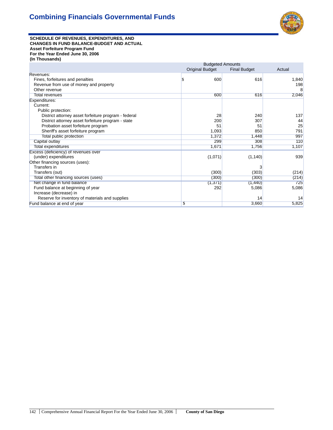

#### **SCHEDULE OF REVENUES, EXPENDITURES, AND CHANGES IN FUND BALANCE-BUDGET AND ACTUAL Asset Forfeiture Program Fund For the Year Ended June 30, 2006 (In Thousands)**

|                                                      | <b>Budgeted Amounts</b> |                     |        |  |
|------------------------------------------------------|-------------------------|---------------------|--------|--|
|                                                      | <b>Original Budget</b>  | <b>Final Budget</b> | Actual |  |
| Revenues:                                            |                         |                     |        |  |
| Fines, forfeitures and penalties                     | 600                     | 616                 | 1,840  |  |
| Revenue from use of money and property               |                         |                     | 198    |  |
| Other revenue                                        |                         |                     | 8      |  |
| Total revenues                                       | 600                     | 616                 | 2,046  |  |
| Expenditures:                                        |                         |                     |        |  |
| Current:                                             |                         |                     |        |  |
| Public protection:                                   |                         |                     |        |  |
| District attorney asset forfeiture program - federal | 28                      | 240                 | 137    |  |
| District attorney asset forfeiture program - state   | 200                     | 307                 | 44     |  |
| Probation asset forfeiture program                   | 51                      | 51                  | 25     |  |
| Sheriff's asset forfeiture program                   | 1,093                   | 850                 | 791    |  |
| Total public protection                              | 1,372                   | 1,448               | 997    |  |
| Capital outlay                                       | 299                     | 308                 | 110    |  |
| <b>Total expenditures</b>                            | 1,671                   | 1,756               | 1,107  |  |
| Excess (deficiency) of revenues over                 |                         |                     |        |  |
| (under) expenditures                                 | (1,071)                 | (1, 140)            | 939    |  |
| Other financing sources (uses):                      |                         |                     |        |  |
| Transfers in                                         |                         | 3                   |        |  |
| Transfers (out)                                      | (300)                   | (303)               | (214)  |  |
| Total other financing sources (uses)                 | (300)                   | (300)               | (214)  |  |
| Net change in fund balance                           | (1, 371)                | (1, 440)            | 725    |  |
| Fund balance at beginning of year                    | 292                     | 5,086               | 5,086  |  |
| Increase (decrease) in                               |                         |                     |        |  |
| Reserve for inventory of materials and supplies      |                         | 14                  | 14     |  |
| Fund balance at end of year                          | \$                      | 3,660               | 5,825  |  |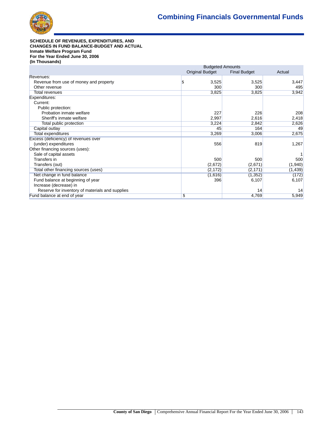

**SCHEDULE OF REVENUES, EXPENDITURES, AND CHANGES IN FUND BALANCE-BUDGET AND ACTUAL Inmate Welfare Program Fund For the Year Ended June 30, 2006 (In Thousands)**

|                                                 |                 | <b>Budgeted Amounts</b> |          |  |  |
|-------------------------------------------------|-----------------|-------------------------|----------|--|--|
|                                                 | Original Budget | <b>Final Budget</b>     | Actual   |  |  |
| Revenues:                                       |                 |                         |          |  |  |
| Revenue from use of money and property          | 3,525           | 3,525                   | 3,447    |  |  |
| Other revenue                                   | 300             | 300                     | 495      |  |  |
| Total revenues                                  | 3,825           | 3,825                   | 3,942    |  |  |
| Expenditures:                                   |                 |                         |          |  |  |
| Current:                                        |                 |                         |          |  |  |
| Public protection:                              |                 |                         |          |  |  |
| Probation inmate welfare                        | 227             | 226                     | 208      |  |  |
| Sheriff's inmate welfare                        | 2,997           | 2,616                   | 2,418    |  |  |
| Total public protection                         | 3,224           | 2,842                   | 2,626    |  |  |
| Capital outlay                                  | 45              | 164                     | 49       |  |  |
| Total expenditures                              | 3,269           | 3,006                   | 2,675    |  |  |
| Excess (deficiency) of revenues over            |                 |                         |          |  |  |
| (under) expenditures                            | 556             | 819                     | 1,267    |  |  |
| Other financing sources (uses):                 |                 |                         |          |  |  |
| Sale of capital assets                          |                 |                         |          |  |  |
| Transfers in                                    | 500             | 500                     | 500      |  |  |
| Transfers (out)                                 | (2,672)         | (2,671)                 | (1,940)  |  |  |
| Total other financing sources (uses)            | (2, 172)        | (2, 171)                | (1, 439) |  |  |
| Net change in fund balance                      | (1,616)         | (1, 352)                | (172)    |  |  |
| Fund balance at beginning of year               | 396             | 6,107                   | 6,107    |  |  |
| Increase (decrease) in                          |                 |                         |          |  |  |
| Reserve for inventory of materials and supplies |                 | 14                      | 14       |  |  |
| Fund balance at end of year                     | \$              | 4,769                   | 5,949    |  |  |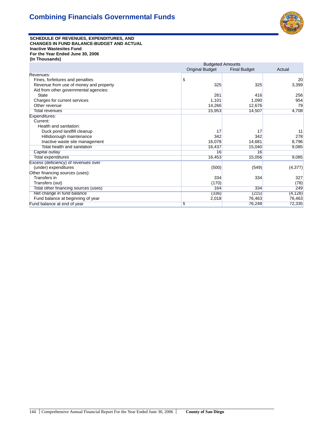

**SCHEDULE OF REVENUES, EXPENDITURES, AND CHANGES IN FUND BALANCE-BUDGET AND ACTUAL Inactive Wastesites Fund For the Year Ended June 30, 2006 (In Thousands)**

|                                        | <b>Budgeted Amounts</b> |                     |          |  |
|----------------------------------------|-------------------------|---------------------|----------|--|
|                                        | <b>Original Budget</b>  | <b>Final Budget</b> | Actual   |  |
| Revenues:                              |                         |                     |          |  |
| Fines, forfeitures and penalties       | \$                      |                     | 20       |  |
| Revenue from use of money and property | 325                     | 325                 | 3,399    |  |
| Aid from other governmental agencies:  |                         |                     |          |  |
| <b>State</b>                           | 261                     | 416                 | 256      |  |
| Charges for current services           | 1,101                   | 1,090               | 954      |  |
| Other revenue                          | 14,266                  | 12,676              | 79       |  |
| <b>Total revenues</b>                  | 15,953                  | 14,507              | 4,708    |  |
| Expenditures:                          |                         |                     |          |  |
| Current:                               |                         |                     |          |  |
| Health and sanitation:                 |                         |                     |          |  |
| Duck pond landfill cleanup             | 17                      | 17                  | 11       |  |
| Hillsborough maintenance               | 342                     | 342                 | 278      |  |
| Inactive waste site management         | 16,078                  | 14,681              | 8,796    |  |
| <b>Total health and sanitation</b>     | 16,437                  | 15,040              | 9,085    |  |
| Capital outlay                         | 16                      | 16                  |          |  |
| <b>Total expenditures</b>              | 16,453                  | 15,056              | 9,085    |  |
| Excess (deficiency) of revenues over   |                         |                     |          |  |
| (under) expenditures                   | (500)                   | (549)               | (4,377)  |  |
| Other financing sources (uses):        |                         |                     |          |  |
| Transfers in                           | 334                     | 334                 | 327      |  |
| Transfers (out)                        | (170)                   |                     | (78)     |  |
| Total other financing sources (uses)   | 164                     | 334                 | 249      |  |
| Net change in fund balance             | (336)                   | (215)               | (4, 128) |  |
| Fund balance at beginning of year      | 2,018                   | 76,463              | 76,463   |  |
| Fund balance at end of year            | \$                      | 76,248              | 72,335   |  |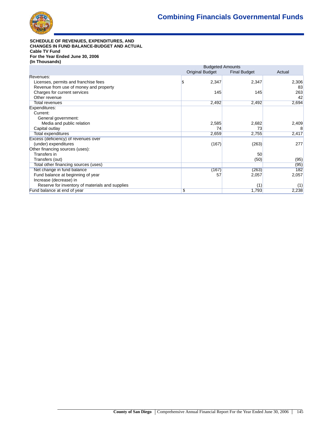

#### **SCHEDULE OF REVENUES, EXPENDITURES, AND CHANGES IN FUND BALANCE-BUDGET AND ACTUAL Cable TV Fund For the Year Ended June 30, 2006 (In Thousands)**

|                                                 | <b>Budgeted Amounts</b> |                     |        |  |
|-------------------------------------------------|-------------------------|---------------------|--------|--|
|                                                 | Original Budget         | <b>Final Budget</b> | Actual |  |
| Revenues:                                       |                         |                     |        |  |
| Licenses, permits and franchise fees            | 2,347                   | 2,347               | 2,306  |  |
| Revenue from use of money and property          |                         |                     | 83     |  |
| Charges for current services                    | 145                     | 145                 | 263    |  |
| Other revenue                                   |                         |                     | 42     |  |
| <b>Total revenues</b>                           | 2,492                   | 2,492               | 2,694  |  |
| Expenditures:                                   |                         |                     |        |  |
| Current:                                        |                         |                     |        |  |
| General government:                             |                         |                     |        |  |
| Media and public relation                       | 2,585                   | 2,682               | 2,409  |  |
| Capital outlay                                  | 74                      | 73                  | 8      |  |
| Total expenditures                              | 2,659                   | 2,755               | 2,417  |  |
| Excess (deficiency) of revenues over            |                         |                     |        |  |
| (under) expenditures                            | (167)                   | (263)               | 277    |  |
| Other financing sources (uses):                 |                         |                     |        |  |
| Transfers in                                    |                         | 50                  |        |  |
| Transfers (out)                                 |                         | (50)                | (95)   |  |
| Total other financing sources (uses)            |                         |                     | (95)   |  |
| Net change in fund balance                      | (167)                   | (263)               | 182    |  |
| Fund balance at beginning of year               | 57                      | 2,057               | 2,057  |  |
| Increase (decrease) in                          |                         |                     |        |  |
| Reserve for inventory of materials and supplies |                         | (1)                 | (1)    |  |
| Fund balance at end of year                     | \$                      | 1,793               | 2,238  |  |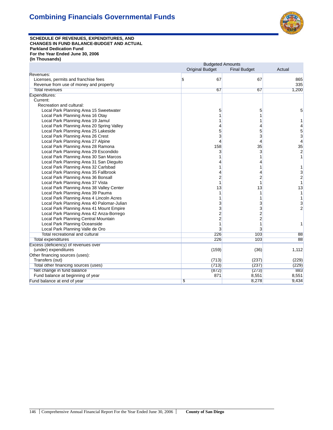

**SCHEDULE OF REVENUES, EXPENDITURES, AND CHANGES IN FUND BALANCE-BUDGET AND ACTUAL Parkland Dedication Fund For the Year Ended June 30, 2006 (In Thousands)**

|                                            | <b>Budgeted Amounts</b>                    |                         |                |
|--------------------------------------------|--------------------------------------------|-------------------------|----------------|
|                                            | <b>Original Budget</b>                     | <b>Final Budget</b>     | Actual         |
| Revenues:                                  |                                            |                         |                |
| Licenses, permits and franchise fees       | 67<br>$\mathbf{s}$                         | 67                      | 865            |
| Revenue from use of money and property     |                                            |                         | 335            |
| <b>Total revenues</b>                      | 67                                         | 67                      | 1,200          |
| Expenditures:                              |                                            |                         |                |
| Current:                                   |                                            |                         |                |
| Recreation and cultural:                   |                                            |                         |                |
| Local Park Planning Area 15 Sweetwater     | 5                                          | 5                       | 5              |
| Local Park Planning Area 16 Otay           |                                            | 1                       |                |
| Local Park Planning Area 19 Jamul          |                                            |                         | 1              |
| Local Park Planning Area 20 Spring Valley  | 4                                          | 4                       | 4              |
| Local Park Planning Area 25 Lakeside       | 5                                          | 5                       | $\frac{5}{3}$  |
| Local Park Planning Area 26 Crest          | 3                                          | 3                       |                |
| Local Park Planning Area 27 Alpine         | 4                                          | 4                       | 4              |
| Local Park Planning Area 28 Ramona         | 158                                        | 35                      | 35             |
| Local Park Planning Area 29 Escondido      | 3                                          | 3                       | $\overline{2}$ |
| Local Park Planning Area 30 San Marcos     |                                            | 1                       | $\mathbf{1}$   |
| Local Park Planning Area 31 San Dieguito   | 4                                          | 4                       |                |
| Local Park Planning Area 32 Carlsbad       | 1                                          | 1                       | 1              |
| Local Park Planning Area 35 Fallbrook      | 4                                          | 4                       | 3              |
| Local Park Planning Area 36 Bonsall        | $\overline{\mathbf{c}}$                    | $\overline{c}$          | $\overline{c}$ |
| Local Park Planning Area 37 Vista          | $\mathbf{1}$                               | 1                       | $\mathbf{1}$   |
| Local Park Planning Area 38 Valley Center  | 13                                         | 13                      | 13             |
| Local Park Planning Area 39 Pauma          | 1                                          | 1                       | $\mathbf{1}$   |
| Local Park Planning Area 4 Lincoln Acres   | 1                                          | 1                       | $\mathbf 1$    |
| Local Park Planning Area 40 Palomar-Julian | 3                                          | 3                       | 3              |
| Local Park Planning Area 41 Mount Empire   |                                            | 3                       | $\overline{2}$ |
| Local Park Planning Area 42 Anza-Borrego   | $\begin{array}{c} 3 \\ 2 \\ 2 \end{array}$ | $\overline{c}$          |                |
| Local Park Planning Central Mountain       |                                            | $\overline{\mathbf{c}}$ |                |
| Local Park Planning Oceanside              | 1                                          | 1                       | 1              |
| Local Park Planning Valle de Oro           | 3                                          | 3                       |                |
| Total recreational and cultural            | 226                                        | 103                     | 88             |
| <b>Total expenditures</b>                  | 226                                        | 103                     | 88             |
| Excess (deficiency) of revenues over       |                                            |                         |                |
| (under) expenditures                       | (159)                                      | (36)                    | 1,112          |
| Other financing sources (uses):            |                                            |                         |                |
| Transfers (out)                            | (713)                                      | (237)                   | (229)          |
| Total other financing sources (uses)       | (713)                                      | (237)                   | (229)          |
| Net change in fund balance                 | (872)                                      | (273)                   | 883            |
| Fund balance at beginning of year          | 871                                        | 8,551                   | 8,551          |
| Fund balance at end of year                | $\overline{\mathbb{S}}$                    | 8,278                   | 9,434          |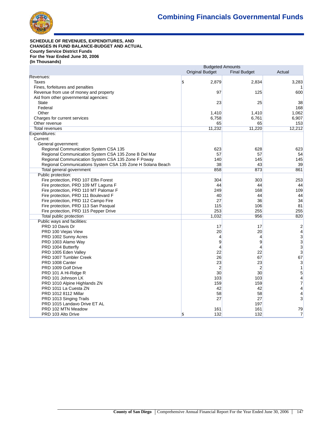

#### **SCHEDULE OF REVENUES, EXPENDITURES, AND CHANGES IN FUND BALANCE-BUDGET AND ACTUAL County Service District Funds For the Year Ended June 30, 2006 (In Thousands)**

|                                                            | <b>Budgeted Amounts</b> |                     |                |
|------------------------------------------------------------|-------------------------|---------------------|----------------|
|                                                            | <b>Original Budget</b>  | <b>Final Budget</b> | Actual         |
| Revenues:                                                  |                         |                     |                |
| Taxes                                                      | \$<br>2,879             | 2,834               | 3,283          |
| Fines, forfeitures and penalties                           |                         |                     |                |
| Revenue from use of money and property                     | 97                      | 125                 | 600            |
| Aid from other governmental agencies:                      |                         |                     |                |
| <b>State</b>                                               | 23                      | 25                  | 38             |
| Federal                                                    |                         |                     | 168            |
| Other                                                      | 1,410                   | 1,410               | 1,062          |
| Charges for current services                               | 6,758                   | 6,761               | 6,907          |
| Other revenue                                              | 65                      | 65                  | 153            |
| <b>Total revenues</b>                                      | 11,232                  | 11,220              | 12,212         |
| Expenditures:                                              |                         |                     |                |
| Current:                                                   |                         |                     |                |
| General government:                                        |                         |                     |                |
| Regional Communication System CSA 135                      | 623                     | 628                 | 623            |
| Regional Communication System CSA 135 Zone B Del Mar       | 57                      | 57                  | 54             |
| Regional Communication System CSA 135 Zone F Poway         | 140                     | 145                 | 145            |
|                                                            | 38                      | 43                  | 39             |
| Regional Communications System CSA 135 Zone H Solana Beach | 858                     | 873                 | 861            |
| Total general government                                   |                         |                     |                |
| Public protection:                                         |                         |                     |                |
| Fire protection, PRD 107 Elfin Forest                      | 304                     | 303                 | 253            |
| Fire protection, PRD 109 MT Laguna F                       | 44                      | 44                  | 44             |
| Fire protection, PRD 110 MT Palomar F                      | 249                     | 168                 | 109            |
| Fire protection, PRD 111 Boulevard F                       | 40                      | 44                  | 44             |
| Fire protection, PRD 112 Campo Fire                        | 27                      | 36                  | 34             |
| Fire protection, PRD 113 San Pasqual                       | 115                     | 106                 | 81             |
| Fire protection, PRD 115 Pepper Drive                      | 253                     | 255                 | 255            |
| Total public protection                                    | 1,032                   | 956                 | 820            |
| Public ways and facilities:                                |                         |                     |                |
| PRD 10 Davis Dr                                            | 17                      | 17                  | $\overline{2}$ |
| PRD 100 Viejas View                                        | 20                      | 20                  | 4              |
| PRD 1002 Sunny Acres                                       | 4                       | 4                   | 3              |
| PRD 1003 Alamo Way                                         | 9                       | 9                   | 3              |
| PRD 1004 Butterfly                                         | 4                       | 4                   | 3              |
| PRD 1005 Eden Valley                                       | 22                      | 22                  | 3              |
| PRD 1007 Tumbler Creek                                     | 26                      | 67                  | 67             |
| PRD 1008 Canter                                            | 23                      | 23                  | 3              |
| PRD 1009 Golf Drive                                        | $\overline{2}$          | $\overline{2}$      | $\mathbf{1}$   |
| PRD 101 A Hi-Ridge R                                       | 30                      | 30                  | 5              |
| PRD 101 Johnson LK                                         | 103                     | 103                 | 4              |
| PRD 1010 Alpine Highlands ZN                               | 159                     | 159                 | 7              |
| PRD 1011 La Cuesta ZN                                      | 42                      | 42                  | 4              |
| PRD 1012 8112 Millar                                       | 58                      | 58                  | 4              |
| PRD 1013 Singing Trails                                    | 27                      | 27                  | 3              |
|                                                            |                         |                     |                |
| PRD 1015 Landavo Drive ET AL<br>PRD 102 MTN Meadow         |                         | 197                 |                |
|                                                            | 161                     | 161                 | 79             |
| PRD 103 Alto Drive                                         | 132<br><sup>\$</sup>    | 132                 | $\overline{7}$ |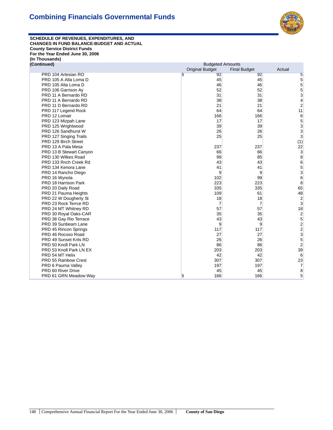

**SCHEDULE OF REVENUES, EXPENDITURES, AND CHANGES IN FUND BALANCE-BUDGET AND ACTUAL County Service District Funds For the Year Ended June 30, 2006 (In Thousands)**

| (Continued)             | <b>Budgeted Amounts</b> |                     |                         |  |
|-------------------------|-------------------------|---------------------|-------------------------|--|
|                         | <b>Original Budget</b>  | <b>Final Budget</b> | Actual                  |  |
| PRD 104 Artesian RO     | 92                      | 92                  | 5                       |  |
| PRD 105 A Alta Loma D   | 45                      | 45                  | 5                       |  |
| PRD 105 Alta Loma D     | 46                      | 46                  | 5                       |  |
| PRD 106 Garrison Ay     | 52                      | 52                  | 5                       |  |
| PRD 11 A Bernardo RD    | 31                      | 31                  | 3                       |  |
| PRD 11 A Bernardo RD    | 38                      | 38                  | 4                       |  |
| PRD 11 D Bernardo RD    | 21                      | 21                  | 2                       |  |
| PRD 117 Legend Rock     | 64                      | 64                  | 11                      |  |
| PRD 12 Lomair           | 166                     | 166                 | 6                       |  |
| PRD 123 Mizpah Lane     | 17                      | 17                  | 5                       |  |
| PRD 125 Wrightwood      | 39                      | 39                  | 3                       |  |
| PRD 126 Sandhurst W     | 26                      | 26                  | 3                       |  |
| PRD 127 Singing Trails  | 25                      | 25                  | 3                       |  |
| PRD 129 Birch Street    |                         |                     | (1)                     |  |
| PRD 13 A Pala Mesa      | 237                     | 237                 | 22                      |  |
| PRD 13 B Stewart Canyon | 66                      | 66                  | 3                       |  |
| PRD 130 Wilkes Road     | 99                      | 85                  | 8                       |  |
| PRD 133 Rnch Creek Rd   | 43                      | 43                  | 6                       |  |
| PRD 134 Kenora Lane     | 41                      | 41                  | 5                       |  |
| PRD 14 Rancho Diego     | 9                       | 9                   | 3                       |  |
| PRD 16 Wynola           | 102                     | 99                  | 6                       |  |
| PRD 18 Harrison Park    | 223                     | 223                 | 8                       |  |
| PRD 20 Daily Road       | 335                     | 335                 | 65                      |  |
| PRD 21 Pauma Heights    | 109                     | 61                  | 48                      |  |
| PRD 22 W Dougherty St   | 18                      | 18                  | 2                       |  |
| PRD 23 Rock Terrce RD   | $\overline{7}$          | $\overline{7}$      | 3                       |  |
| PRD 24 MT Whitney RD    | 57                      | 57                  | 18                      |  |
| PRD 30 Royal Oaks-CAR   | 35                      | 35                  | 2                       |  |
| PRD 38 Gay Rio Terrace  | 43                      | 43                  | 5                       |  |
| PRD 39 Sunbeam Lane     | 9                       | 9                   | 2                       |  |
| PRD 45 Rincon Springs   | 117                     | 117                 | $\overline{\mathbf{c}}$ |  |
| PRD 46 Rocoso Road      | 27                      | 27                  | 3                       |  |
| PRD 49 Sunset Knls RD   | 26                      | 26                  | 5                       |  |
| PRD 50 Knoll Park LN    | 86                      | 86                  | $\overline{c}$          |  |
| PRD 53 Knoll Park LN EX | 203                     | 203                 | 39                      |  |
| PRD 54 MT Helix         | 42                      | 42                  | 6                       |  |
| PRD 55 Rainbow Crest    | 307                     | 307                 | 23                      |  |
| PRD 6 Pauma Valley      | 197                     | 197                 | $\overline{7}$          |  |
| PRD 60 River Drive      | 45                      | 45                  | 8                       |  |
| PRD 61 GRN Meadow Way   | \$<br>166               | 166                 | 5                       |  |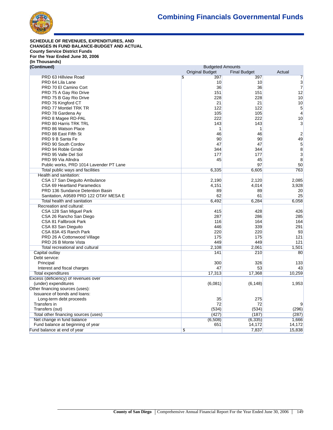

**SCHEDULE OF REVENUES, EXPENDITURES, AND CHANGES IN FUND BALANCE-BUDGET AND ACTUAL County Service District Funds For the Year Ended June 30, 2006 (In Thousands)**

| (Continued)<br><b>Budgeted Amounts</b>  |                        |                     |                |  |
|-----------------------------------------|------------------------|---------------------|----------------|--|
|                                         | <b>Original Budget</b> | <b>Final Budget</b> | Actual         |  |
| PRD 63 Hillview Road                    | $\overline{s}$<br>397  | 397                 | 7              |  |
| PRD 64 Lila Lane                        | 10                     | 10                  | 3              |  |
| PRD 70 El Camino Cort                   | 36                     | 36                  | $\overline{7}$ |  |
| PRD 75 A Gay Rio Drive                  | 151                    | 151                 | 12             |  |
| PRD 75 B Gay Rio Drive                  | 228                    | 228                 | 10             |  |
| PRD 76 Kingford CT                      | 21                     | 21                  | 10             |  |
| PRD 77 Montiel TRK TR                   | 122                    | 122                 | 5              |  |
| PRD 78 Gardena Ay                       | 105                    | 105                 | $\overline{4}$ |  |
| PRD 8 Magee RD-PAL                      | 222                    | 222                 | 10             |  |
| PRD 80 Harris TRK TRL                   | 143                    | 143                 | 3              |  |
| PRD 86 Watson Place                     | 1                      | 1                   |                |  |
| PRD 88 East Fifth St                    | 46                     | 46                  | $\overline{2}$ |  |
|                                         | 90                     | 90                  | 49             |  |
| PRD 9 B Santa Fe                        |                        |                     |                |  |
| PRD 90 South Cordov                     | 47                     | 47                  | 5              |  |
| PRD 94 Roble Grnde                      | 344                    | 344                 | 8              |  |
| PRD 95 Valle Del Sol                    | 177                    | 177                 | 3              |  |
| PRD 99 Via Allndra                      | 45                     | 45                  | 8              |  |
| Public works, PRD 1014 Lavender PT Lane |                        | 97                  | 50             |  |
| Total public ways and facilities        | 6,335                  | 6,605               | 763            |  |
| Health and sanitation:                  |                        |                     |                |  |
| CSA 17 San Dieguito Ambulance           | 2,190                  | 2,120               | 2,085          |  |
| CSA 69 Heartland Paramedics             | 4,151                  | 4,014               | 3,928          |  |
| PRD 136 Sundance Detention Basin        | 89                     | 89                  | 20             |  |
| Sanitation, A9589 PRD 122 OTAY MESA E   | 62                     | 61                  | 25             |  |
| Total health and sanitation             | 6,492                  | 6,284               | 6,058          |  |
| Recreation and cultural:                |                        |                     |                |  |
| CSA 128 San Miguel Park                 | 415                    | 428                 | 426            |  |
| CSA 26 Rancho San Diego                 | 287                    | 286                 | 285            |  |
| CSA 81 Fallbrook Park                   | 116                    | 164                 | 164            |  |
| CSA 83 San Dieguito                     | 446                    | 339                 | 291            |  |
| CSA 83A 4S Ranch Park                   | 220                    | 220                 | 93             |  |
| PRD 26 A Cottonwood Village             | 175                    | 175                 | 121            |  |
| PRD 26 B Monte Vista                    | 449                    | 449                 | 121            |  |
| Total recreational and cultural         | 2,108                  | 2,061               | 1,501          |  |
| Capital outlay                          | 141                    | 210                 | 80             |  |
| Debt service:                           |                        |                     |                |  |
| Principal                               | 300                    | 326                 | 133            |  |
| Interest and fiscal charges             | 47                     | 53                  | 43             |  |
| <b>Total expenditures</b>               | 17,313                 | 17,368              | 10,259         |  |
| Excess (deficiency) of revenues over    |                        |                     |                |  |
| (under) expenditures                    | (6,081)                | (6, 148)            | 1,953          |  |
| Other financing sources (uses):         |                        |                     |                |  |
| Issuance of bonds and loans:            |                        |                     |                |  |
| Long-term debt proceeds                 | 35                     | 275                 |                |  |
| Transfers in                            | 72                     | 72                  | 9              |  |
| Transfers (out)                         | (534)                  | (534)               | (296)          |  |
| Total other financing sources (uses)    | (427)                  | (187)               | (287)          |  |
| Net change in fund balance              | (6,508)                | (6, 335)            | 1,666          |  |
| Fund balance at beginning of year       | 651                    | 14,172              | 14,172         |  |
|                                         |                        |                     |                |  |
| Fund balance at end of year             | \$                     | 7,837               | 15,838         |  |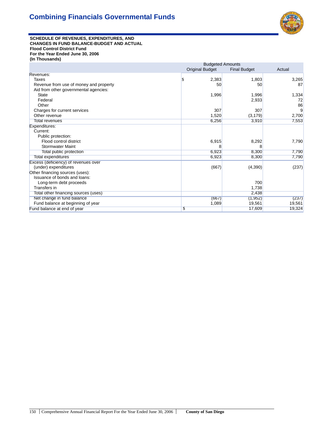

**SCHEDULE OF REVENUES, EXPENDITURES, AND CHANGES IN FUND BALANCE-BUDGET AND ACTUAL Flood Control District Fund For the Year Ended June 30, 2006 (In Thousands)**

|                                        | <b>Budgeted Amounts</b> |                     |        |  |
|----------------------------------------|-------------------------|---------------------|--------|--|
|                                        | <b>Original Budget</b>  | <b>Final Budget</b> | Actual |  |
| Revenues:                              |                         |                     |        |  |
| Taxes                                  | 2,383<br>\$             | 1,803               | 3,265  |  |
| Revenue from use of money and property | 50                      | 50                  | 87     |  |
| Aid from other governmental agencies:  |                         |                     |        |  |
| <b>State</b>                           | 1,996                   | 1,996               | 1,334  |  |
| Federal                                |                         | 2,933               | 72     |  |
| Other                                  |                         |                     | 86     |  |
| Charges for current services           | 307                     | 307                 | 9      |  |
| Other revenue                          | 1,520                   | (3, 179)            | 2,700  |  |
| <b>Total revenues</b>                  | 6,256                   | 3,910               | 7,553  |  |
| Expenditures:                          |                         |                     |        |  |
| Current:                               |                         |                     |        |  |
| Public protection:                     |                         |                     |        |  |
| Flood control district                 | 6,915                   | 8,292               | 7,790  |  |
| <b>Stormwater Maint</b>                | 8                       | 8                   |        |  |
| Total public protection                | 6,923                   | 8,300               | 7,790  |  |
| <b>Total expenditures</b>              | 6,923                   | 8,300               | 7,790  |  |
| Excess (deficiency) of revenues over   |                         |                     |        |  |
| (under) expenditures                   | (667)                   | (4, 390)            | (237)  |  |
| Other financing sources (uses):        |                         |                     |        |  |
| Issuance of bonds and loans:           |                         |                     |        |  |
| Long-term debt proceeds                |                         | 700                 |        |  |
| Transfers in                           |                         | 1,738               |        |  |
| Total other financing sources (uses)   |                         | 2,438               |        |  |
| Net change in fund balance             | (667)                   | (1, 952)            | (237)  |  |
| Fund balance at beginning of year      | 1,089                   | 19,561              | 19,561 |  |
| Fund balance at end of year            | \$                      | 17,609              | 19,324 |  |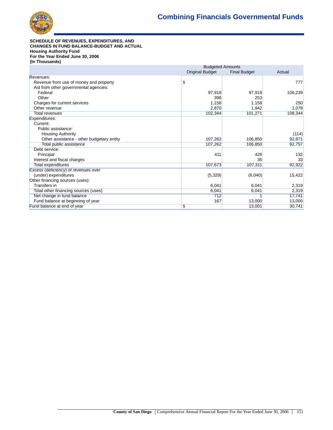

**SCHEDULE OF REVENUES, EXPENDITURES, AND CHANGES IN FUND BALANCE-BUDGET AND ACTUAL Housing Authority Fund For the Year Ended June 30, 2006 (In Thousands)**

|                                           | <b>Budgeted Amounts</b> |                     |         |  |
|-------------------------------------------|-------------------------|---------------------|---------|--|
|                                           | <b>Original Budget</b>  | <b>Final Budget</b> | Actual  |  |
| Revenues:                                 |                         |                     |         |  |
| Revenue from use of money and property    | \$                      |                     | 777     |  |
| Aid from other governmental agencies:     |                         |                     |         |  |
| Federal                                   | 97,918                  | 97,918              | 106,239 |  |
| Other                                     | 398                     | 253                 |         |  |
| Charges for current services              | 1,158                   | 1,158               | 250     |  |
| Other revenue                             | 2,870                   | 1,942               | 1,078   |  |
| <b>Total revenues</b>                     | 102,344                 | 101,271             | 108,344 |  |
| Expenditures:                             |                         |                     |         |  |
| Current:                                  |                         |                     |         |  |
| Public assistance:                        |                         |                     |         |  |
| <b>Housing Authority</b>                  |                         |                     | (114)   |  |
| Other assistance - other budgetary entity | 107,262                 | 106,850             | 92,871  |  |
| Total public assistance                   | 107,262                 | 106,850             | 92,757  |  |
| Debt service:                             |                         |                     |         |  |
| Principal                                 | 411                     | 426                 | 132     |  |
| Interest and fiscal charges               |                         | 35                  | 33      |  |
| <b>Total expenditures</b>                 | 107,673                 | 107,311             | 92,922  |  |
| Excess (deficiency) of revenues over      |                         |                     |         |  |
| (under) expenditures                      | (5,329)                 | (6,040)             | 15,422  |  |
| Other financing sources (uses):           |                         |                     |         |  |
| Transfers in                              | 6,041                   | 6,041               | 2,319   |  |
| Total other financing sources (uses)      | 6,041                   | 6,041               | 2,319   |  |
| Net change in fund balance                | 712                     |                     | 17,741  |  |
| Fund balance at beginning of year         | 167                     | 13,000              | 13,000  |  |
| Fund balance at end of year               | \$                      | 13,001              | 30,741  |  |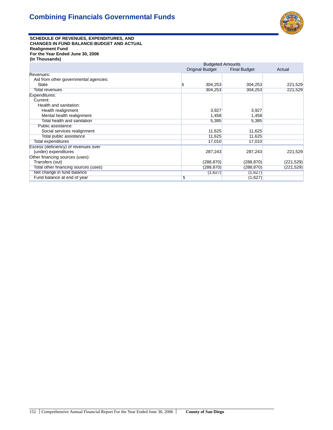

**SCHEDULE OF REVENUES, EXPENDITURES, AND CHANGES IN FUND BALANCE-BUDGET AND ACTUAL Realignment Fund For the Year Ended June 30, 2006 (In Thousands)**

|                                       | <b>Budgeted Amounts</b> |                     |            |  |
|---------------------------------------|-------------------------|---------------------|------------|--|
|                                       | Original Budget         | <b>Final Budget</b> | Actual     |  |
| Revenues:                             |                         |                     |            |  |
| Aid from other governmental agencies: |                         |                     |            |  |
| <b>State</b>                          | 304,253                 | 304,253             | 221,529    |  |
| Total revenues                        | 304,253                 | 304,253             | 221,529    |  |
| Expenditures:                         |                         |                     |            |  |
| Current:                              |                         |                     |            |  |
| Health and sanitation:                |                         |                     |            |  |
| Health realignment                    | 3,927                   | 3,927               |            |  |
| Mental health realignment             | 1,458                   | 1,458               |            |  |
| Total health and sanitation           | 5,385                   | 5,385               |            |  |
| Public assistance:                    |                         |                     |            |  |
| Social services realignment           | 11,625                  | 11,625              |            |  |
| Total public assistance               | 11,625                  | 11,625              |            |  |
| <b>Total expenditures</b>             | 17,010                  | 17,010              |            |  |
| Excess (deficiency) of revenues over  |                         |                     |            |  |
| (under) expenditures                  | 287,243                 | 287,243             | 221,529    |  |
| Other financing sources (uses):       |                         |                     |            |  |
| Transfers (out)                       | (288, 870)              | (288, 870)          | (221, 529) |  |
| Total other financing sources (uses)  | (288, 870)              | (288, 870)          | (221, 529) |  |
| Net change in fund balance            | (1,627)                 | (1,627)             |            |  |
| Fund balance at end of year           | \$                      | (1,627)             |            |  |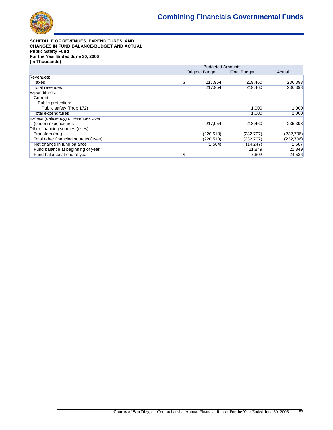

**SCHEDULE OF REVENUES, EXPENDITURES, AND CHANGES IN FUND BALANCE-BUDGET AND ACTUAL Public Safety Fund For the Year Ended June 30, 2006 (In Thousands)**

|                                      | <b>Budgeted Amounts</b> |                        |                     |            |
|--------------------------------------|-------------------------|------------------------|---------------------|------------|
|                                      |                         | <b>Original Budget</b> | <b>Final Budget</b> | Actual     |
| Revenues:                            |                         |                        |                     |            |
| Taxes                                | S                       | 217,954                | 219,460             | 236,393    |
| Total revenues                       |                         | 217.954                | 219,460             | 236,393    |
| Expenditures:                        |                         |                        |                     |            |
| Current:                             |                         |                        |                     |            |
| Public protection:                   |                         |                        |                     |            |
| Public safety (Prop 172)             |                         |                        | 1,000               | 1,000      |
| Total expenditures                   |                         |                        | 1,000               | 1,000      |
| Excess (deficiency) of revenues over |                         |                        |                     |            |
| (under) expenditures                 |                         | 217,954                | 218,460             | 235,393    |
| Other financing sources (uses):      |                         |                        |                     |            |
| Transfers (out)                      |                         | (220, 518)             | (232, 707)          | (232, 706) |
| Total other financing sources (uses) |                         | (220, 518)             | (232, 707)          | (232, 706) |
| Net change in fund balance           |                         | (2, 564)               | (14, 247)           | 2,687      |
| Fund balance at beginning of year    |                         |                        | 21,849              | 21,849     |
| Fund balance at end of year          | \$                      |                        | 7,602               | 24,536     |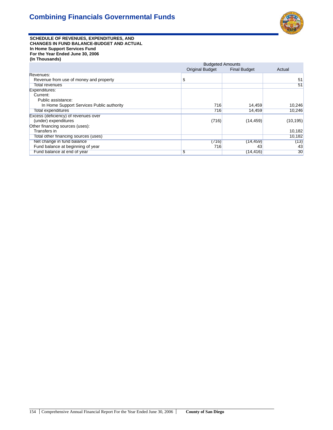

**SCHEDULE OF REVENUES, EXPENDITURES, AND CHANGES IN FUND BALANCE-BUDGET AND ACTUAL In Home Support Services Fund For the Year Ended June 30, 2006 (In Thousands)**

|                                           | <b>Budgeted Amounts</b> |                     |           |
|-------------------------------------------|-------------------------|---------------------|-----------|
|                                           | <b>Original Budget</b>  | <b>Final Budget</b> | Actual    |
| Revenues:                                 |                         |                     |           |
| Revenue from use of money and property    | Ф                       |                     | 51        |
| Total revenues                            |                         |                     | 51        |
| Expenditures:                             |                         |                     |           |
| Current:                                  |                         |                     |           |
| Public assistance:                        |                         |                     |           |
| In Home Support Services Public authority | 716                     | 14,459              | 10,246    |
| <b>Total expenditures</b>                 | 716                     | 14,459              | 10,246    |
| Excess (deficiency) of revenues over      |                         |                     |           |
| (under) expenditures                      | (716)                   | (14, 459)           | (10, 195) |
| Other financing sources (uses):           |                         |                     |           |
| Transfers in                              |                         |                     | 10,182    |
| Total other financing sources (uses)      |                         |                     | 10,182    |
| Net change in fund balance                | (716)                   | (14, 459)           | (13)      |
| Fund balance at beginning of year         | 716                     | 43                  | 43        |
| Fund balance at end of year               | \$                      | (14, 416)           | 30        |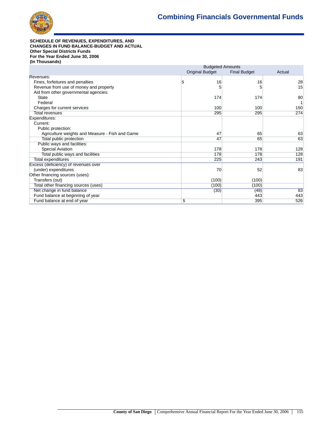

#### **SCHEDULE OF REVENUES, EXPENDITURES, AND CHANGES IN FUND BALANCE-BUDGET AND ACTUAL Other Special Districts Funds For the Year Ended June 30, 2006 (In Thousands)**

|                                                 | <b>Budgeted Amounts</b> |                     |        |  |
|-------------------------------------------------|-------------------------|---------------------|--------|--|
|                                                 | Original Budget         | <b>Final Budget</b> | Actual |  |
| Revenues:                                       |                         |                     |        |  |
| Fines, forfeitures and penalties                | 16                      | 16                  | 28     |  |
| Revenue from use of money and property          |                         | 5                   | 15     |  |
| Aid from other governmental agencies:           |                         |                     |        |  |
| <b>State</b>                                    | 174                     | 174                 | 80     |  |
| Federal                                         |                         |                     | 1      |  |
| Charges for current services                    | 100                     | 100                 | 150    |  |
| <b>Total revenues</b>                           | 295                     | 295                 | 274    |  |
| Expenditures:                                   |                         |                     |        |  |
| Current:                                        |                         |                     |        |  |
| Public protection:                              |                         |                     |        |  |
| Agriculture weights and Measure - Fish and Game | 47                      | 65                  | 63     |  |
| Total public protection                         | 47                      | 65                  | 63     |  |
| Public ways and facilities:                     |                         |                     |        |  |
| <b>Special Aviation</b>                         | 178                     | 178                 | 128    |  |
| Total public ways and facilities                | 178                     | 178                 | 128    |  |
| <b>Total expenditures</b>                       | 225                     | 243                 | 191    |  |
| Excess (deficiency) of revenues over            |                         |                     |        |  |
| (under) expenditures                            | 70                      | 52                  | 83     |  |
| Other financing sources (uses):                 |                         |                     |        |  |
| Transfers (out)                                 | (100)                   | (100)               |        |  |
| Total other financing sources (uses)            | (100)                   | (100)               |        |  |
| Net change in fund balance                      | (30)                    | (48)                | 83     |  |
| Fund balance at beginning of year               |                         | 443                 | 443    |  |
| Fund balance at end of year                     | \$                      | 395                 | 526    |  |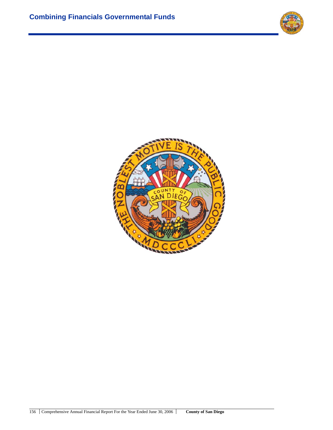

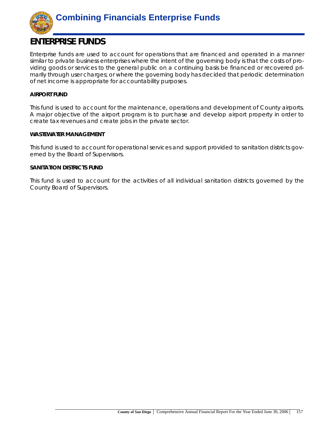

## **ENTERPRISE FUNDS**

Enterprise funds are used to account for operations that are financed and operated in a manner similar to private business enterprises where the intent of the governing body is that the costs of providing goods or services to the general public on a continuing basis be financed or recovered primarily through user charges; or where the governing body has decided that periodic determination of net income is appropriate for accountability purposes.

## **AIRPORT FUND**

This fund is used to account for the maintenance, operations and development of County airports. A major objective of the airport program is to purchase and develop airport property in order to create tax revenues and create jobs in the private sector.

## **WASTEWATER MANAGEMENT**

This fund is used to account for operational services and support provided to sanitation districts governed by the Board of Supervisors.

## **SANITATION DISTRICTS FUND**

This fund is used to account for the activities of all individual sanitation districts governed by the County Board of Supervisors.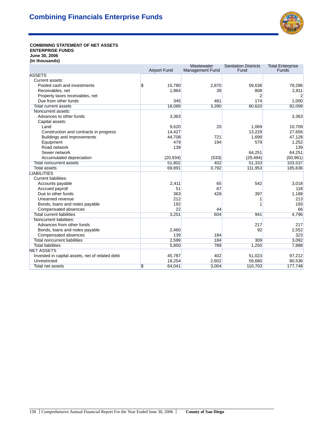

#### **COMBINING STATEMENT OF NET ASSETS ENTERPRISE FUNDS June 30, 2006 (In thousands)**

| <b>ASSETS</b><br>Current assets:<br>$\boldsymbol{\mathsf{s}}$<br>Pooled cash and investments<br>2,870<br>78,286<br>15,780<br>59,636<br>1,964<br>39<br>808<br>Receivables, net<br>2,811<br>2<br>Property taxes receivables, net<br>Due from other funds<br>345<br>481<br>174<br>1,000<br>18,089<br>3,390<br>60,620<br><b>Total current assets</b><br>82,099<br>Noncurrent assets:<br>3,363<br>3,363<br>Advances to other funds<br>Capital assets:<br>Land<br>20<br>1,069<br>10,709<br>9,620<br>Construction and contracts in progress<br>14,427<br>13,229<br>27,656<br>1,699<br>47,128<br>Buildings and improvements<br>44,708<br>721<br>Equipment<br>194<br>579<br>479<br>1,252<br>Road network<br>139<br>139<br>64,251<br>Sewer network<br>64,251<br>(533)<br>(20, 934)<br>(29, 494)<br>(50, 961)<br>Accumulated depreciation<br>51,802<br>402<br>51,333<br>103,537<br><b>Total noncurrent assets</b><br>3,792<br>69,891<br>111,953<br>185,636<br><b>Total assets</b><br><b>LIABILITIES</b><br><b>Current liabilities:</b><br>2,411<br>65<br>542<br>3,018<br>Accounts payable<br>67<br>Accrued payroll<br>51<br>118<br>Due to other funds<br>363<br>428<br>397<br>1,188<br>212<br>213<br>Unearned revenue<br>192<br>193<br>Bonds, loans and notes payable<br>22<br>66<br>Compensated absences<br>44<br><b>Total current liabilities</b><br>3,251<br>604<br>4,796<br>941<br>Noncurrent liabilities:<br>Advances from other funds<br>217<br>217<br>2,460<br>92<br>Bonds, loans and notes payable<br>2,552<br>139<br>323<br>184<br>Compensated absences<br>2,599<br>184<br>Total noncurrent liabilities<br>309<br>3,092<br>5,850<br>788<br><b>Total liabilities</b><br>1,250<br>7,888<br><b>NET ASSETS</b><br>Invested in capital assets, net of related debt<br>45,787<br>402<br>51,023<br>97,212<br>18,254<br>2,602<br>59,680<br>80,536<br>Unrestricted<br>$\overline{\mathbb{S}}$<br>64,041<br>3,004<br>110,703<br>177,748<br>Total net assets |                     | Wastewater      | <b>Sanitation Districts</b> | <b>Total Enterprise</b> |
|-------------------------------------------------------------------------------------------------------------------------------------------------------------------------------------------------------------------------------------------------------------------------------------------------------------------------------------------------------------------------------------------------------------------------------------------------------------------------------------------------------------------------------------------------------------------------------------------------------------------------------------------------------------------------------------------------------------------------------------------------------------------------------------------------------------------------------------------------------------------------------------------------------------------------------------------------------------------------------------------------------------------------------------------------------------------------------------------------------------------------------------------------------------------------------------------------------------------------------------------------------------------------------------------------------------------------------------------------------------------------------------------------------------------------------------------------------------------------------------------------------------------------------------------------------------------------------------------------------------------------------------------------------------------------------------------------------------------------------------------------------------------------------------------------------------------------------------------------------------------------------------------------------------------------------------------------|---------------------|-----------------|-----------------------------|-------------------------|
|                                                                                                                                                                                                                                                                                                                                                                                                                                                                                                                                                                                                                                                                                                                                                                                                                                                                                                                                                                                                                                                                                                                                                                                                                                                                                                                                                                                                                                                                                                                                                                                                                                                                                                                                                                                                                                                                                                                                                 | <b>Airport Fund</b> | Management Fund | Fund                        | Funds                   |
|                                                                                                                                                                                                                                                                                                                                                                                                                                                                                                                                                                                                                                                                                                                                                                                                                                                                                                                                                                                                                                                                                                                                                                                                                                                                                                                                                                                                                                                                                                                                                                                                                                                                                                                                                                                                                                                                                                                                                 |                     |                 |                             |                         |
|                                                                                                                                                                                                                                                                                                                                                                                                                                                                                                                                                                                                                                                                                                                                                                                                                                                                                                                                                                                                                                                                                                                                                                                                                                                                                                                                                                                                                                                                                                                                                                                                                                                                                                                                                                                                                                                                                                                                                 |                     |                 |                             |                         |
|                                                                                                                                                                                                                                                                                                                                                                                                                                                                                                                                                                                                                                                                                                                                                                                                                                                                                                                                                                                                                                                                                                                                                                                                                                                                                                                                                                                                                                                                                                                                                                                                                                                                                                                                                                                                                                                                                                                                                 |                     |                 |                             |                         |
|                                                                                                                                                                                                                                                                                                                                                                                                                                                                                                                                                                                                                                                                                                                                                                                                                                                                                                                                                                                                                                                                                                                                                                                                                                                                                                                                                                                                                                                                                                                                                                                                                                                                                                                                                                                                                                                                                                                                                 |                     |                 |                             |                         |
|                                                                                                                                                                                                                                                                                                                                                                                                                                                                                                                                                                                                                                                                                                                                                                                                                                                                                                                                                                                                                                                                                                                                                                                                                                                                                                                                                                                                                                                                                                                                                                                                                                                                                                                                                                                                                                                                                                                                                 |                     |                 |                             |                         |
|                                                                                                                                                                                                                                                                                                                                                                                                                                                                                                                                                                                                                                                                                                                                                                                                                                                                                                                                                                                                                                                                                                                                                                                                                                                                                                                                                                                                                                                                                                                                                                                                                                                                                                                                                                                                                                                                                                                                                 |                     |                 |                             |                         |
|                                                                                                                                                                                                                                                                                                                                                                                                                                                                                                                                                                                                                                                                                                                                                                                                                                                                                                                                                                                                                                                                                                                                                                                                                                                                                                                                                                                                                                                                                                                                                                                                                                                                                                                                                                                                                                                                                                                                                 |                     |                 |                             |                         |
|                                                                                                                                                                                                                                                                                                                                                                                                                                                                                                                                                                                                                                                                                                                                                                                                                                                                                                                                                                                                                                                                                                                                                                                                                                                                                                                                                                                                                                                                                                                                                                                                                                                                                                                                                                                                                                                                                                                                                 |                     |                 |                             |                         |
|                                                                                                                                                                                                                                                                                                                                                                                                                                                                                                                                                                                                                                                                                                                                                                                                                                                                                                                                                                                                                                                                                                                                                                                                                                                                                                                                                                                                                                                                                                                                                                                                                                                                                                                                                                                                                                                                                                                                                 |                     |                 |                             |                         |
|                                                                                                                                                                                                                                                                                                                                                                                                                                                                                                                                                                                                                                                                                                                                                                                                                                                                                                                                                                                                                                                                                                                                                                                                                                                                                                                                                                                                                                                                                                                                                                                                                                                                                                                                                                                                                                                                                                                                                 |                     |                 |                             |                         |
|                                                                                                                                                                                                                                                                                                                                                                                                                                                                                                                                                                                                                                                                                                                                                                                                                                                                                                                                                                                                                                                                                                                                                                                                                                                                                                                                                                                                                                                                                                                                                                                                                                                                                                                                                                                                                                                                                                                                                 |                     |                 |                             |                         |
|                                                                                                                                                                                                                                                                                                                                                                                                                                                                                                                                                                                                                                                                                                                                                                                                                                                                                                                                                                                                                                                                                                                                                                                                                                                                                                                                                                                                                                                                                                                                                                                                                                                                                                                                                                                                                                                                                                                                                 |                     |                 |                             |                         |
|                                                                                                                                                                                                                                                                                                                                                                                                                                                                                                                                                                                                                                                                                                                                                                                                                                                                                                                                                                                                                                                                                                                                                                                                                                                                                                                                                                                                                                                                                                                                                                                                                                                                                                                                                                                                                                                                                                                                                 |                     |                 |                             |                         |
|                                                                                                                                                                                                                                                                                                                                                                                                                                                                                                                                                                                                                                                                                                                                                                                                                                                                                                                                                                                                                                                                                                                                                                                                                                                                                                                                                                                                                                                                                                                                                                                                                                                                                                                                                                                                                                                                                                                                                 |                     |                 |                             |                         |
|                                                                                                                                                                                                                                                                                                                                                                                                                                                                                                                                                                                                                                                                                                                                                                                                                                                                                                                                                                                                                                                                                                                                                                                                                                                                                                                                                                                                                                                                                                                                                                                                                                                                                                                                                                                                                                                                                                                                                 |                     |                 |                             |                         |
|                                                                                                                                                                                                                                                                                                                                                                                                                                                                                                                                                                                                                                                                                                                                                                                                                                                                                                                                                                                                                                                                                                                                                                                                                                                                                                                                                                                                                                                                                                                                                                                                                                                                                                                                                                                                                                                                                                                                                 |                     |                 |                             |                         |
|                                                                                                                                                                                                                                                                                                                                                                                                                                                                                                                                                                                                                                                                                                                                                                                                                                                                                                                                                                                                                                                                                                                                                                                                                                                                                                                                                                                                                                                                                                                                                                                                                                                                                                                                                                                                                                                                                                                                                 |                     |                 |                             |                         |
|                                                                                                                                                                                                                                                                                                                                                                                                                                                                                                                                                                                                                                                                                                                                                                                                                                                                                                                                                                                                                                                                                                                                                                                                                                                                                                                                                                                                                                                                                                                                                                                                                                                                                                                                                                                                                                                                                                                                                 |                     |                 |                             |                         |
|                                                                                                                                                                                                                                                                                                                                                                                                                                                                                                                                                                                                                                                                                                                                                                                                                                                                                                                                                                                                                                                                                                                                                                                                                                                                                                                                                                                                                                                                                                                                                                                                                                                                                                                                                                                                                                                                                                                                                 |                     |                 |                             |                         |
|                                                                                                                                                                                                                                                                                                                                                                                                                                                                                                                                                                                                                                                                                                                                                                                                                                                                                                                                                                                                                                                                                                                                                                                                                                                                                                                                                                                                                                                                                                                                                                                                                                                                                                                                                                                                                                                                                                                                                 |                     |                 |                             |                         |
|                                                                                                                                                                                                                                                                                                                                                                                                                                                                                                                                                                                                                                                                                                                                                                                                                                                                                                                                                                                                                                                                                                                                                                                                                                                                                                                                                                                                                                                                                                                                                                                                                                                                                                                                                                                                                                                                                                                                                 |                     |                 |                             |                         |
|                                                                                                                                                                                                                                                                                                                                                                                                                                                                                                                                                                                                                                                                                                                                                                                                                                                                                                                                                                                                                                                                                                                                                                                                                                                                                                                                                                                                                                                                                                                                                                                                                                                                                                                                                                                                                                                                                                                                                 |                     |                 |                             |                         |
|                                                                                                                                                                                                                                                                                                                                                                                                                                                                                                                                                                                                                                                                                                                                                                                                                                                                                                                                                                                                                                                                                                                                                                                                                                                                                                                                                                                                                                                                                                                                                                                                                                                                                                                                                                                                                                                                                                                                                 |                     |                 |                             |                         |
|                                                                                                                                                                                                                                                                                                                                                                                                                                                                                                                                                                                                                                                                                                                                                                                                                                                                                                                                                                                                                                                                                                                                                                                                                                                                                                                                                                                                                                                                                                                                                                                                                                                                                                                                                                                                                                                                                                                                                 |                     |                 |                             |                         |
|                                                                                                                                                                                                                                                                                                                                                                                                                                                                                                                                                                                                                                                                                                                                                                                                                                                                                                                                                                                                                                                                                                                                                                                                                                                                                                                                                                                                                                                                                                                                                                                                                                                                                                                                                                                                                                                                                                                                                 |                     |                 |                             |                         |
|                                                                                                                                                                                                                                                                                                                                                                                                                                                                                                                                                                                                                                                                                                                                                                                                                                                                                                                                                                                                                                                                                                                                                                                                                                                                                                                                                                                                                                                                                                                                                                                                                                                                                                                                                                                                                                                                                                                                                 |                     |                 |                             |                         |
|                                                                                                                                                                                                                                                                                                                                                                                                                                                                                                                                                                                                                                                                                                                                                                                                                                                                                                                                                                                                                                                                                                                                                                                                                                                                                                                                                                                                                                                                                                                                                                                                                                                                                                                                                                                                                                                                                                                                                 |                     |                 |                             |                         |
|                                                                                                                                                                                                                                                                                                                                                                                                                                                                                                                                                                                                                                                                                                                                                                                                                                                                                                                                                                                                                                                                                                                                                                                                                                                                                                                                                                                                                                                                                                                                                                                                                                                                                                                                                                                                                                                                                                                                                 |                     |                 |                             |                         |
|                                                                                                                                                                                                                                                                                                                                                                                                                                                                                                                                                                                                                                                                                                                                                                                                                                                                                                                                                                                                                                                                                                                                                                                                                                                                                                                                                                                                                                                                                                                                                                                                                                                                                                                                                                                                                                                                                                                                                 |                     |                 |                             |                         |
|                                                                                                                                                                                                                                                                                                                                                                                                                                                                                                                                                                                                                                                                                                                                                                                                                                                                                                                                                                                                                                                                                                                                                                                                                                                                                                                                                                                                                                                                                                                                                                                                                                                                                                                                                                                                                                                                                                                                                 |                     |                 |                             |                         |
|                                                                                                                                                                                                                                                                                                                                                                                                                                                                                                                                                                                                                                                                                                                                                                                                                                                                                                                                                                                                                                                                                                                                                                                                                                                                                                                                                                                                                                                                                                                                                                                                                                                                                                                                                                                                                                                                                                                                                 |                     |                 |                             |                         |
|                                                                                                                                                                                                                                                                                                                                                                                                                                                                                                                                                                                                                                                                                                                                                                                                                                                                                                                                                                                                                                                                                                                                                                                                                                                                                                                                                                                                                                                                                                                                                                                                                                                                                                                                                                                                                                                                                                                                                 |                     |                 |                             |                         |
|                                                                                                                                                                                                                                                                                                                                                                                                                                                                                                                                                                                                                                                                                                                                                                                                                                                                                                                                                                                                                                                                                                                                                                                                                                                                                                                                                                                                                                                                                                                                                                                                                                                                                                                                                                                                                                                                                                                                                 |                     |                 |                             |                         |
|                                                                                                                                                                                                                                                                                                                                                                                                                                                                                                                                                                                                                                                                                                                                                                                                                                                                                                                                                                                                                                                                                                                                                                                                                                                                                                                                                                                                                                                                                                                                                                                                                                                                                                                                                                                                                                                                                                                                                 |                     |                 |                             |                         |
|                                                                                                                                                                                                                                                                                                                                                                                                                                                                                                                                                                                                                                                                                                                                                                                                                                                                                                                                                                                                                                                                                                                                                                                                                                                                                                                                                                                                                                                                                                                                                                                                                                                                                                                                                                                                                                                                                                                                                 |                     |                 |                             |                         |
|                                                                                                                                                                                                                                                                                                                                                                                                                                                                                                                                                                                                                                                                                                                                                                                                                                                                                                                                                                                                                                                                                                                                                                                                                                                                                                                                                                                                                                                                                                                                                                                                                                                                                                                                                                                                                                                                                                                                                 |                     |                 |                             |                         |
|                                                                                                                                                                                                                                                                                                                                                                                                                                                                                                                                                                                                                                                                                                                                                                                                                                                                                                                                                                                                                                                                                                                                                                                                                                                                                                                                                                                                                                                                                                                                                                                                                                                                                                                                                                                                                                                                                                                                                 |                     |                 |                             |                         |
|                                                                                                                                                                                                                                                                                                                                                                                                                                                                                                                                                                                                                                                                                                                                                                                                                                                                                                                                                                                                                                                                                                                                                                                                                                                                                                                                                                                                                                                                                                                                                                                                                                                                                                                                                                                                                                                                                                                                                 |                     |                 |                             |                         |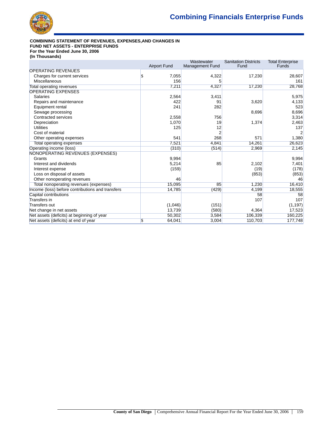

### **COMBINING STATEMENT OF REVENUES, EXPENSES, AND CHANGES IN FUND NET ASSETS - ENTERPRISE FUNDS For the Year Ended June 30, 2006**

|  | (In Thousands) |
|--|----------------|
|--|----------------|

|                                                  |                     | Wastewater             | <b>Sanitation Districts</b> | <b>Total Enterprise</b> |
|--------------------------------------------------|---------------------|------------------------|-----------------------------|-------------------------|
|                                                  | <b>Airport Fund</b> | <b>Management Fund</b> | Fund                        | Funds                   |
| <b>OPERATING REVENUES</b>                        |                     |                        |                             |                         |
| Charges for current services                     | S.<br>7,055         | 4,322                  | 17,230                      | 28,607                  |
| <b>Miscellaneous</b>                             | 156                 |                        |                             | 161                     |
| Total operating revenues                         | 7,211               | 4,327                  | 17,230                      | 28,768                  |
| <b>OPERATING EXPENSES</b>                        |                     |                        |                             |                         |
| <b>Salaries</b>                                  | 2,564               | 3,411                  |                             | 5,975                   |
| Repairs and maintenance                          | 422                 | 91                     | 3,620                       | 4,133                   |
| Equipment rental                                 | 241                 | 282                    |                             | 523                     |
| Sewage processing                                |                     |                        | 8,696                       | 8,696                   |
| <b>Contracted services</b>                       | 2,558               | 756                    |                             | 3,314                   |
| Depreciation                                     | 1,070               | 19                     | 1,374                       | 2,463                   |
| <b>Utilities</b>                                 | 125                 | 12                     |                             | 137                     |
| Cost of material                                 |                     | $\overline{2}$         |                             |                         |
| Other operating expenses                         | 541                 | 268                    | 571                         | 1,380                   |
| Total operating expenses                         | 7,521               | 4,841                  | 14,261                      | 26,623                  |
| Operating income (loss)                          | (310)               | (514)                  | 2,969                       | 2,145                   |
| NONOPERATING REVENUES (EXPENSES)                 |                     |                        |                             |                         |
| Grants                                           | 9,994               |                        |                             | 9,994                   |
| Interest and dividends                           | 5,214               | 85                     | 2,102                       | 7,401                   |
| Interest expense                                 | (159)               |                        | (19)                        | (178)                   |
| Loss on disposal of assets                       |                     |                        | (853)                       | (853)                   |
| Other nonoperating revenues                      | 46                  |                        |                             | 46                      |
| Total nonoperating revenues (expenses)           | 15,095              | 85                     | 1,230                       | 16,410                  |
| Income (loss) before contributions and transfers | 14,785              | (429)                  | 4,199                       | 18,555                  |
| Capital contributions                            |                     |                        | 58                          | 58                      |
| Transfers in                                     |                     |                        | 107                         | 107                     |
| <b>Transfers out</b>                             | (1,046)             | (151)                  |                             | (1, 197)                |
| Net change in net assets                         | 13,739              | (580)                  | 4,364                       | 17,523                  |
| Net assets (deficits) at beginning of year       | 50,302              | 3,584                  | 106,339                     | 160,225                 |
| Net assets (deficits) at end of year             | 64,041<br>\$        | 3,004                  | 110,703                     | 177,748                 |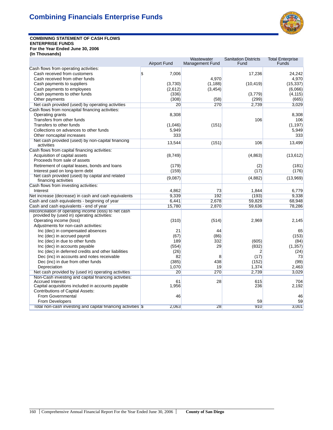

#### **COMBINING STATEMENT OF CASH FLOWS ENTERPRISE FUNDS For the Year Ended June 30, 2006 (In Thousands)**

| Cash flows from operating activities:<br>Cash received from customers<br>\$<br>7,006<br>17,236<br>24,242<br>4,970<br>Cash received from other funds<br>4,970<br>(1, 188)<br>Cash payments to suppliers<br>(3,730)<br>(10, 419)<br>(15, 337)<br>Cash payments to employees<br>(2,612)<br>(3, 454)<br>(6,066)<br>Cash payments to other funds<br>(336)<br>(4, 115)<br>(3,779)<br>Other payments<br>(308)<br>(58)<br>(299)<br>(665)<br>20<br>270<br>2,739<br>Net cash provided (used) by operating activities<br>3,029<br>Cash flows from noncapital financing activities:<br>Operating grants<br>8,308<br>8,308<br>Transfers from other funds<br>106<br>106<br>Transfers to other funds<br>(1,046)<br>(151)<br>(1, 197)<br>5,949<br>5,949<br>Collections on advances to other funds<br>333<br>Other noncapital increases<br>333<br>Net cash provided (used) by non-capital financing<br>13,544<br>106<br>(151)<br>13,499<br>activities<br>Cash flows from capital financing activities:<br>Acquisition of capital assets<br>(8,749)<br>(13, 612)<br>(4,863)<br>Proceeds from sale of assets<br>Retirement of capital leases, bonds and loans<br>(179)<br>(2)<br>(181)<br>Interest paid on long-term debt<br>(159)<br>(17)<br>(176)<br>Net cash provided (used) by capital and related<br>(4,882)<br>(9,087)<br>(13,969)<br>financing activities<br>Cash flows from investing activities:<br>4,862<br>73<br>1,844<br>6,779<br>Interest<br>192<br>9,339<br>(193)<br>9,338<br>6,441<br>2,678<br>59,829<br>68,948<br>Cash and cash equivalents - beginning of year<br>Cash and cash equivalents - end of year<br>15,780<br>2,870<br>59,636<br>78,286<br>Reconciliation of operating income (loss) to net cash<br>provided by (used in) operating activities:<br>Operating income (loss)<br>(310)<br>(514)<br>2,969<br>2,145<br>Adjustments for non-cash activities:<br>Inc (dec) in compensated absences<br>21<br>44<br>65<br>Inc (dec) in accrued payroll<br>(67)<br>(86)<br>(153)<br>Inc (dec) in due to other funds<br>189<br>332<br>(605)<br>(84)<br>Inc (dec) in accounts payable<br>(554)<br>29<br>(832)<br>(1, 357)<br>Inc (dec) in deferred credits and other liabilities<br>(26)<br>2<br>(24)<br>73<br>Dec (inc) in accounts and notes receivable<br>82<br>8<br>(17)<br>Dec (inc) in due from other funds<br>(385)<br>438<br>(99)<br>(152)<br>1,070<br>Depreciation<br>19<br>1,374<br>2,463<br>Net cash provided by (used in) operating activities<br>20<br>270<br>2,739<br>3,029<br>Non-Cash investing and capital financing activities:<br><b>Accrued Interest</b><br>61<br>28<br>615<br>704 |                                                      |                     | Wastewater             | <b>Sanitation Districts</b><br>Fund | <b>Total Enterprise</b><br><b>Funds</b> |
|---------------------------------------------------------------------------------------------------------------------------------------------------------------------------------------------------------------------------------------------------------------------------------------------------------------------------------------------------------------------------------------------------------------------------------------------------------------------------------------------------------------------------------------------------------------------------------------------------------------------------------------------------------------------------------------------------------------------------------------------------------------------------------------------------------------------------------------------------------------------------------------------------------------------------------------------------------------------------------------------------------------------------------------------------------------------------------------------------------------------------------------------------------------------------------------------------------------------------------------------------------------------------------------------------------------------------------------------------------------------------------------------------------------------------------------------------------------------------------------------------------------------------------------------------------------------------------------------------------------------------------------------------------------------------------------------------------------------------------------------------------------------------------------------------------------------------------------------------------------------------------------------------------------------------------------------------------------------------------------------------------------------------------------------------------------------------------------------------------------------------------------------------------------------------------------------------------------------------------------------------------------------------------------------------------------------------------------------------------------------------------------------------------------------------------------------------------------------------------------------------------------------------------------------------------------------------------------------------|------------------------------------------------------|---------------------|------------------------|-------------------------------------|-----------------------------------------|
|                                                                                                                                                                                                                                                                                                                                                                                                                                                                                                                                                                                                                                                                                                                                                                                                                                                                                                                                                                                                                                                                                                                                                                                                                                                                                                                                                                                                                                                                                                                                                                                                                                                                                                                                                                                                                                                                                                                                                                                                                                                                                                                                                                                                                                                                                                                                                                                                                                                                                                                                                                                                   |                                                      | <b>Airport Fund</b> | <b>Management Fund</b> |                                     |                                         |
|                                                                                                                                                                                                                                                                                                                                                                                                                                                                                                                                                                                                                                                                                                                                                                                                                                                                                                                                                                                                                                                                                                                                                                                                                                                                                                                                                                                                                                                                                                                                                                                                                                                                                                                                                                                                                                                                                                                                                                                                                                                                                                                                                                                                                                                                                                                                                                                                                                                                                                                                                                                                   |                                                      |                     |                        |                                     |                                         |
|                                                                                                                                                                                                                                                                                                                                                                                                                                                                                                                                                                                                                                                                                                                                                                                                                                                                                                                                                                                                                                                                                                                                                                                                                                                                                                                                                                                                                                                                                                                                                                                                                                                                                                                                                                                                                                                                                                                                                                                                                                                                                                                                                                                                                                                                                                                                                                                                                                                                                                                                                                                                   |                                                      |                     |                        |                                     |                                         |
|                                                                                                                                                                                                                                                                                                                                                                                                                                                                                                                                                                                                                                                                                                                                                                                                                                                                                                                                                                                                                                                                                                                                                                                                                                                                                                                                                                                                                                                                                                                                                                                                                                                                                                                                                                                                                                                                                                                                                                                                                                                                                                                                                                                                                                                                                                                                                                                                                                                                                                                                                                                                   |                                                      |                     |                        |                                     |                                         |
|                                                                                                                                                                                                                                                                                                                                                                                                                                                                                                                                                                                                                                                                                                                                                                                                                                                                                                                                                                                                                                                                                                                                                                                                                                                                                                                                                                                                                                                                                                                                                                                                                                                                                                                                                                                                                                                                                                                                                                                                                                                                                                                                                                                                                                                                                                                                                                                                                                                                                                                                                                                                   |                                                      |                     |                        |                                     |                                         |
|                                                                                                                                                                                                                                                                                                                                                                                                                                                                                                                                                                                                                                                                                                                                                                                                                                                                                                                                                                                                                                                                                                                                                                                                                                                                                                                                                                                                                                                                                                                                                                                                                                                                                                                                                                                                                                                                                                                                                                                                                                                                                                                                                                                                                                                                                                                                                                                                                                                                                                                                                                                                   |                                                      |                     |                        |                                     |                                         |
|                                                                                                                                                                                                                                                                                                                                                                                                                                                                                                                                                                                                                                                                                                                                                                                                                                                                                                                                                                                                                                                                                                                                                                                                                                                                                                                                                                                                                                                                                                                                                                                                                                                                                                                                                                                                                                                                                                                                                                                                                                                                                                                                                                                                                                                                                                                                                                                                                                                                                                                                                                                                   |                                                      |                     |                        |                                     |                                         |
|                                                                                                                                                                                                                                                                                                                                                                                                                                                                                                                                                                                                                                                                                                                                                                                                                                                                                                                                                                                                                                                                                                                                                                                                                                                                                                                                                                                                                                                                                                                                                                                                                                                                                                                                                                                                                                                                                                                                                                                                                                                                                                                                                                                                                                                                                                                                                                                                                                                                                                                                                                                                   |                                                      |                     |                        |                                     |                                         |
|                                                                                                                                                                                                                                                                                                                                                                                                                                                                                                                                                                                                                                                                                                                                                                                                                                                                                                                                                                                                                                                                                                                                                                                                                                                                                                                                                                                                                                                                                                                                                                                                                                                                                                                                                                                                                                                                                                                                                                                                                                                                                                                                                                                                                                                                                                                                                                                                                                                                                                                                                                                                   |                                                      |                     |                        |                                     |                                         |
|                                                                                                                                                                                                                                                                                                                                                                                                                                                                                                                                                                                                                                                                                                                                                                                                                                                                                                                                                                                                                                                                                                                                                                                                                                                                                                                                                                                                                                                                                                                                                                                                                                                                                                                                                                                                                                                                                                                                                                                                                                                                                                                                                                                                                                                                                                                                                                                                                                                                                                                                                                                                   |                                                      |                     |                        |                                     |                                         |
|                                                                                                                                                                                                                                                                                                                                                                                                                                                                                                                                                                                                                                                                                                                                                                                                                                                                                                                                                                                                                                                                                                                                                                                                                                                                                                                                                                                                                                                                                                                                                                                                                                                                                                                                                                                                                                                                                                                                                                                                                                                                                                                                                                                                                                                                                                                                                                                                                                                                                                                                                                                                   |                                                      |                     |                        |                                     |                                         |
|                                                                                                                                                                                                                                                                                                                                                                                                                                                                                                                                                                                                                                                                                                                                                                                                                                                                                                                                                                                                                                                                                                                                                                                                                                                                                                                                                                                                                                                                                                                                                                                                                                                                                                                                                                                                                                                                                                                                                                                                                                                                                                                                                                                                                                                                                                                                                                                                                                                                                                                                                                                                   |                                                      |                     |                        |                                     |                                         |
|                                                                                                                                                                                                                                                                                                                                                                                                                                                                                                                                                                                                                                                                                                                                                                                                                                                                                                                                                                                                                                                                                                                                                                                                                                                                                                                                                                                                                                                                                                                                                                                                                                                                                                                                                                                                                                                                                                                                                                                                                                                                                                                                                                                                                                                                                                                                                                                                                                                                                                                                                                                                   |                                                      |                     |                        |                                     |                                         |
|                                                                                                                                                                                                                                                                                                                                                                                                                                                                                                                                                                                                                                                                                                                                                                                                                                                                                                                                                                                                                                                                                                                                                                                                                                                                                                                                                                                                                                                                                                                                                                                                                                                                                                                                                                                                                                                                                                                                                                                                                                                                                                                                                                                                                                                                                                                                                                                                                                                                                                                                                                                                   |                                                      |                     |                        |                                     |                                         |
|                                                                                                                                                                                                                                                                                                                                                                                                                                                                                                                                                                                                                                                                                                                                                                                                                                                                                                                                                                                                                                                                                                                                                                                                                                                                                                                                                                                                                                                                                                                                                                                                                                                                                                                                                                                                                                                                                                                                                                                                                                                                                                                                                                                                                                                                                                                                                                                                                                                                                                                                                                                                   |                                                      |                     |                        |                                     |                                         |
|                                                                                                                                                                                                                                                                                                                                                                                                                                                                                                                                                                                                                                                                                                                                                                                                                                                                                                                                                                                                                                                                                                                                                                                                                                                                                                                                                                                                                                                                                                                                                                                                                                                                                                                                                                                                                                                                                                                                                                                                                                                                                                                                                                                                                                                                                                                                                                                                                                                                                                                                                                                                   |                                                      |                     |                        |                                     |                                         |
|                                                                                                                                                                                                                                                                                                                                                                                                                                                                                                                                                                                                                                                                                                                                                                                                                                                                                                                                                                                                                                                                                                                                                                                                                                                                                                                                                                                                                                                                                                                                                                                                                                                                                                                                                                                                                                                                                                                                                                                                                                                                                                                                                                                                                                                                                                                                                                                                                                                                                                                                                                                                   |                                                      |                     |                        |                                     |                                         |
|                                                                                                                                                                                                                                                                                                                                                                                                                                                                                                                                                                                                                                                                                                                                                                                                                                                                                                                                                                                                                                                                                                                                                                                                                                                                                                                                                                                                                                                                                                                                                                                                                                                                                                                                                                                                                                                                                                                                                                                                                                                                                                                                                                                                                                                                                                                                                                                                                                                                                                                                                                                                   |                                                      |                     |                        |                                     |                                         |
|                                                                                                                                                                                                                                                                                                                                                                                                                                                                                                                                                                                                                                                                                                                                                                                                                                                                                                                                                                                                                                                                                                                                                                                                                                                                                                                                                                                                                                                                                                                                                                                                                                                                                                                                                                                                                                                                                                                                                                                                                                                                                                                                                                                                                                                                                                                                                                                                                                                                                                                                                                                                   |                                                      |                     |                        |                                     |                                         |
|                                                                                                                                                                                                                                                                                                                                                                                                                                                                                                                                                                                                                                                                                                                                                                                                                                                                                                                                                                                                                                                                                                                                                                                                                                                                                                                                                                                                                                                                                                                                                                                                                                                                                                                                                                                                                                                                                                                                                                                                                                                                                                                                                                                                                                                                                                                                                                                                                                                                                                                                                                                                   |                                                      |                     |                        |                                     |                                         |
|                                                                                                                                                                                                                                                                                                                                                                                                                                                                                                                                                                                                                                                                                                                                                                                                                                                                                                                                                                                                                                                                                                                                                                                                                                                                                                                                                                                                                                                                                                                                                                                                                                                                                                                                                                                                                                                                                                                                                                                                                                                                                                                                                                                                                                                                                                                                                                                                                                                                                                                                                                                                   |                                                      |                     |                        |                                     |                                         |
|                                                                                                                                                                                                                                                                                                                                                                                                                                                                                                                                                                                                                                                                                                                                                                                                                                                                                                                                                                                                                                                                                                                                                                                                                                                                                                                                                                                                                                                                                                                                                                                                                                                                                                                                                                                                                                                                                                                                                                                                                                                                                                                                                                                                                                                                                                                                                                                                                                                                                                                                                                                                   |                                                      |                     |                        |                                     |                                         |
|                                                                                                                                                                                                                                                                                                                                                                                                                                                                                                                                                                                                                                                                                                                                                                                                                                                                                                                                                                                                                                                                                                                                                                                                                                                                                                                                                                                                                                                                                                                                                                                                                                                                                                                                                                                                                                                                                                                                                                                                                                                                                                                                                                                                                                                                                                                                                                                                                                                                                                                                                                                                   |                                                      |                     |                        |                                     |                                         |
|                                                                                                                                                                                                                                                                                                                                                                                                                                                                                                                                                                                                                                                                                                                                                                                                                                                                                                                                                                                                                                                                                                                                                                                                                                                                                                                                                                                                                                                                                                                                                                                                                                                                                                                                                                                                                                                                                                                                                                                                                                                                                                                                                                                                                                                                                                                                                                                                                                                                                                                                                                                                   |                                                      |                     |                        |                                     |                                         |
|                                                                                                                                                                                                                                                                                                                                                                                                                                                                                                                                                                                                                                                                                                                                                                                                                                                                                                                                                                                                                                                                                                                                                                                                                                                                                                                                                                                                                                                                                                                                                                                                                                                                                                                                                                                                                                                                                                                                                                                                                                                                                                                                                                                                                                                                                                                                                                                                                                                                                                                                                                                                   |                                                      |                     |                        |                                     |                                         |
|                                                                                                                                                                                                                                                                                                                                                                                                                                                                                                                                                                                                                                                                                                                                                                                                                                                                                                                                                                                                                                                                                                                                                                                                                                                                                                                                                                                                                                                                                                                                                                                                                                                                                                                                                                                                                                                                                                                                                                                                                                                                                                                                                                                                                                                                                                                                                                                                                                                                                                                                                                                                   | Net increase (decrease) in cash and cash equivalents |                     |                        |                                     |                                         |
|                                                                                                                                                                                                                                                                                                                                                                                                                                                                                                                                                                                                                                                                                                                                                                                                                                                                                                                                                                                                                                                                                                                                                                                                                                                                                                                                                                                                                                                                                                                                                                                                                                                                                                                                                                                                                                                                                                                                                                                                                                                                                                                                                                                                                                                                                                                                                                                                                                                                                                                                                                                                   |                                                      |                     |                        |                                     |                                         |
|                                                                                                                                                                                                                                                                                                                                                                                                                                                                                                                                                                                                                                                                                                                                                                                                                                                                                                                                                                                                                                                                                                                                                                                                                                                                                                                                                                                                                                                                                                                                                                                                                                                                                                                                                                                                                                                                                                                                                                                                                                                                                                                                                                                                                                                                                                                                                                                                                                                                                                                                                                                                   |                                                      |                     |                        |                                     |                                         |
|                                                                                                                                                                                                                                                                                                                                                                                                                                                                                                                                                                                                                                                                                                                                                                                                                                                                                                                                                                                                                                                                                                                                                                                                                                                                                                                                                                                                                                                                                                                                                                                                                                                                                                                                                                                                                                                                                                                                                                                                                                                                                                                                                                                                                                                                                                                                                                                                                                                                                                                                                                                                   |                                                      |                     |                        |                                     |                                         |
|                                                                                                                                                                                                                                                                                                                                                                                                                                                                                                                                                                                                                                                                                                                                                                                                                                                                                                                                                                                                                                                                                                                                                                                                                                                                                                                                                                                                                                                                                                                                                                                                                                                                                                                                                                                                                                                                                                                                                                                                                                                                                                                                                                                                                                                                                                                                                                                                                                                                                                                                                                                                   |                                                      |                     |                        |                                     |                                         |
|                                                                                                                                                                                                                                                                                                                                                                                                                                                                                                                                                                                                                                                                                                                                                                                                                                                                                                                                                                                                                                                                                                                                                                                                                                                                                                                                                                                                                                                                                                                                                                                                                                                                                                                                                                                                                                                                                                                                                                                                                                                                                                                                                                                                                                                                                                                                                                                                                                                                                                                                                                                                   |                                                      |                     |                        |                                     |                                         |
|                                                                                                                                                                                                                                                                                                                                                                                                                                                                                                                                                                                                                                                                                                                                                                                                                                                                                                                                                                                                                                                                                                                                                                                                                                                                                                                                                                                                                                                                                                                                                                                                                                                                                                                                                                                                                                                                                                                                                                                                                                                                                                                                                                                                                                                                                                                                                                                                                                                                                                                                                                                                   |                                                      |                     |                        |                                     |                                         |
|                                                                                                                                                                                                                                                                                                                                                                                                                                                                                                                                                                                                                                                                                                                                                                                                                                                                                                                                                                                                                                                                                                                                                                                                                                                                                                                                                                                                                                                                                                                                                                                                                                                                                                                                                                                                                                                                                                                                                                                                                                                                                                                                                                                                                                                                                                                                                                                                                                                                                                                                                                                                   |                                                      |                     |                        |                                     |                                         |
|                                                                                                                                                                                                                                                                                                                                                                                                                                                                                                                                                                                                                                                                                                                                                                                                                                                                                                                                                                                                                                                                                                                                                                                                                                                                                                                                                                                                                                                                                                                                                                                                                                                                                                                                                                                                                                                                                                                                                                                                                                                                                                                                                                                                                                                                                                                                                                                                                                                                                                                                                                                                   |                                                      |                     |                        |                                     |                                         |
|                                                                                                                                                                                                                                                                                                                                                                                                                                                                                                                                                                                                                                                                                                                                                                                                                                                                                                                                                                                                                                                                                                                                                                                                                                                                                                                                                                                                                                                                                                                                                                                                                                                                                                                                                                                                                                                                                                                                                                                                                                                                                                                                                                                                                                                                                                                                                                                                                                                                                                                                                                                                   |                                                      |                     |                        |                                     |                                         |
|                                                                                                                                                                                                                                                                                                                                                                                                                                                                                                                                                                                                                                                                                                                                                                                                                                                                                                                                                                                                                                                                                                                                                                                                                                                                                                                                                                                                                                                                                                                                                                                                                                                                                                                                                                                                                                                                                                                                                                                                                                                                                                                                                                                                                                                                                                                                                                                                                                                                                                                                                                                                   |                                                      |                     |                        |                                     |                                         |
|                                                                                                                                                                                                                                                                                                                                                                                                                                                                                                                                                                                                                                                                                                                                                                                                                                                                                                                                                                                                                                                                                                                                                                                                                                                                                                                                                                                                                                                                                                                                                                                                                                                                                                                                                                                                                                                                                                                                                                                                                                                                                                                                                                                                                                                                                                                                                                                                                                                                                                                                                                                                   |                                                      |                     |                        |                                     |                                         |
|                                                                                                                                                                                                                                                                                                                                                                                                                                                                                                                                                                                                                                                                                                                                                                                                                                                                                                                                                                                                                                                                                                                                                                                                                                                                                                                                                                                                                                                                                                                                                                                                                                                                                                                                                                                                                                                                                                                                                                                                                                                                                                                                                                                                                                                                                                                                                                                                                                                                                                                                                                                                   |                                                      |                     |                        |                                     |                                         |
|                                                                                                                                                                                                                                                                                                                                                                                                                                                                                                                                                                                                                                                                                                                                                                                                                                                                                                                                                                                                                                                                                                                                                                                                                                                                                                                                                                                                                                                                                                                                                                                                                                                                                                                                                                                                                                                                                                                                                                                                                                                                                                                                                                                                                                                                                                                                                                                                                                                                                                                                                                                                   |                                                      |                     |                        |                                     |                                         |
|                                                                                                                                                                                                                                                                                                                                                                                                                                                                                                                                                                                                                                                                                                                                                                                                                                                                                                                                                                                                                                                                                                                                                                                                                                                                                                                                                                                                                                                                                                                                                                                                                                                                                                                                                                                                                                                                                                                                                                                                                                                                                                                                                                                                                                                                                                                                                                                                                                                                                                                                                                                                   |                                                      |                     |                        |                                     |                                         |
|                                                                                                                                                                                                                                                                                                                                                                                                                                                                                                                                                                                                                                                                                                                                                                                                                                                                                                                                                                                                                                                                                                                                                                                                                                                                                                                                                                                                                                                                                                                                                                                                                                                                                                                                                                                                                                                                                                                                                                                                                                                                                                                                                                                                                                                                                                                                                                                                                                                                                                                                                                                                   |                                                      |                     |                        |                                     |                                         |
|                                                                                                                                                                                                                                                                                                                                                                                                                                                                                                                                                                                                                                                                                                                                                                                                                                                                                                                                                                                                                                                                                                                                                                                                                                                                                                                                                                                                                                                                                                                                                                                                                                                                                                                                                                                                                                                                                                                                                                                                                                                                                                                                                                                                                                                                                                                                                                                                                                                                                                                                                                                                   |                                                      |                     |                        |                                     |                                         |
|                                                                                                                                                                                                                                                                                                                                                                                                                                                                                                                                                                                                                                                                                                                                                                                                                                                                                                                                                                                                                                                                                                                                                                                                                                                                                                                                                                                                                                                                                                                                                                                                                                                                                                                                                                                                                                                                                                                                                                                                                                                                                                                                                                                                                                                                                                                                                                                                                                                                                                                                                                                                   | Capital acquisitions included in accounts payable    | 1,956               |                        | 236                                 | 2,192                                   |
| <b>Contributions of Capital Assets:</b>                                                                                                                                                                                                                                                                                                                                                                                                                                                                                                                                                                                                                                                                                                                                                                                                                                                                                                                                                                                                                                                                                                                                                                                                                                                                                                                                                                                                                                                                                                                                                                                                                                                                                                                                                                                                                                                                                                                                                                                                                                                                                                                                                                                                                                                                                                                                                                                                                                                                                                                                                           |                                                      |                     |                        |                                     |                                         |
| <b>From Governmental</b><br>46<br>46                                                                                                                                                                                                                                                                                                                                                                                                                                                                                                                                                                                                                                                                                                                                                                                                                                                                                                                                                                                                                                                                                                                                                                                                                                                                                                                                                                                                                                                                                                                                                                                                                                                                                                                                                                                                                                                                                                                                                                                                                                                                                                                                                                                                                                                                                                                                                                                                                                                                                                                                                              |                                                      |                     |                        |                                     |                                         |
| 59<br><b>From Developers</b><br>59                                                                                                                                                                                                                                                                                                                                                                                                                                                                                                                                                                                                                                                                                                                                                                                                                                                                                                                                                                                                                                                                                                                                                                                                                                                                                                                                                                                                                                                                                                                                                                                                                                                                                                                                                                                                                                                                                                                                                                                                                                                                                                                                                                                                                                                                                                                                                                                                                                                                                                                                                                |                                                      |                     |                        |                                     |                                         |
| 2,063<br>28<br>910<br>3,001<br>Total non-cash investing and capital financing activities \\$                                                                                                                                                                                                                                                                                                                                                                                                                                                                                                                                                                                                                                                                                                                                                                                                                                                                                                                                                                                                                                                                                                                                                                                                                                                                                                                                                                                                                                                                                                                                                                                                                                                                                                                                                                                                                                                                                                                                                                                                                                                                                                                                                                                                                                                                                                                                                                                                                                                                                                      |                                                      |                     |                        |                                     |                                         |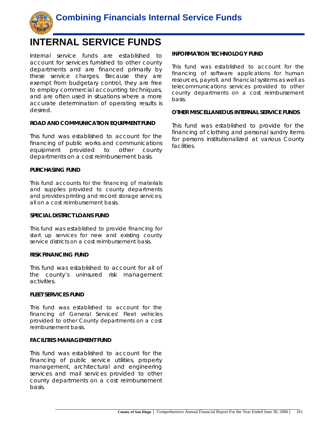

# **INTERNAL SERVICE FUNDS**

Internal service funds are established to account for services furnished to other county departments and are financed primarily by these service charges. Because they are exempt from budgetary control, they are free to employ commercial accounting techniques, and are often used in situations where a more accurate determination of operating results is desired.

## **ROAD AND COMMUNICATION EQUIPMENT FUND**

This fund was established to account for the financing of public works and communications equipment provided to other county departments on a cost reimbursement basis.

## **PURCHASING FUND**

This fund accounts for the financing of materials and supplies provided to county departments and provides printing and record storage services; all on a cost reimbursement basis.

### **SPECIAL DISTRICT LOANS FUND**

This fund was established to provide financing for start up services for new and existing county service districts on a cost reimbursement basis.

## **RISK FINANCING FUND**

This fund was established to account for all of the county's uninsured risk management activities.

## **FLEET SERVICES FUND**

This fund was established to account for the financing of General Services' Fleet vehicles provided to other County departments on a cost reimbursement basis.

## **FACILITIES MANAGEMENT FUND**

This fund was established to account for the financing of public service utilities, property management, architectural and engineering services and mail services provided to other county departments on a cost reimbursement basis.

## **INFORMATION TECHNOLOGY FUND**

This fund was established to account for the financing of software applications for human resources, payroll, and financial systems as well as telecommunications services provided to other county departments on a cost reimbursement basis.

## **OTHER MISCELLANEOUS INTERNAL SERVICE FUNDS**

This fund was established to provide for the financing of clothing and personal sundry items for persons institutionalized at various County facilities.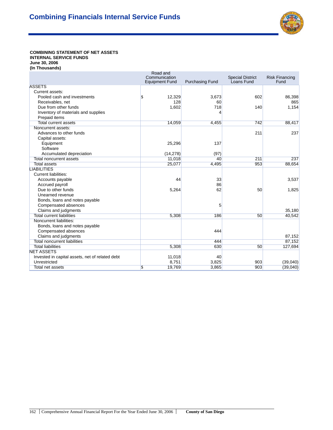

**COMBINING STATEMENT OF NET ASSETS INTERNAL SERVICE FUNDS June 30, 2006 (In Thousands)**

|                                                 | Road and                               |                        |                                       |                               |
|-------------------------------------------------|----------------------------------------|------------------------|---------------------------------------|-------------------------------|
|                                                 | Communication<br><b>Equipment Fund</b> | <b>Purchasing Fund</b> | <b>Special District</b><br>Loans Fund | <b>Risk Financing</b><br>Fund |
| <b>ASSETS</b>                                   |                                        |                        |                                       |                               |
| Current assets:                                 |                                        |                        |                                       |                               |
| Pooled cash and investments                     | <sup>\$</sup><br>12,329                | 3,673                  | 602                                   | 86,398                        |
| Receivables, net                                | 128                                    | 60                     |                                       | 865                           |
| Due from other funds                            | 1,602                                  | 718                    | 140                                   | 1,154                         |
| Inventory of materials and supplies             |                                        | Δ                      |                                       |                               |
| Prepaid items                                   |                                        |                        |                                       |                               |
| <b>Total current assets</b>                     | 14,059                                 | 4,455                  | 742                                   | 88,417                        |
| Noncurrent assets:                              |                                        |                        |                                       |                               |
| Advances to other funds                         |                                        |                        | 211                                   | 237                           |
| Capital assets:                                 |                                        |                        |                                       |                               |
| Equipment                                       | 25,296                                 | 137                    |                                       |                               |
| Software                                        |                                        |                        |                                       |                               |
| Accumulated depreciation                        | (14, 278)                              | (97)                   |                                       |                               |
| <b>Total noncurrent assets</b>                  | 11,018                                 | 40                     | 211                                   | 237                           |
| <b>Total assets</b>                             | 25,077                                 | 4,495                  | 953                                   | 88,654                        |
| <b>LIABILITIES</b>                              |                                        |                        |                                       |                               |
| <b>Current liabilities:</b>                     |                                        |                        |                                       |                               |
| Accounts payable                                | 44                                     | 33                     |                                       | 3,537                         |
| Accrued payroll                                 |                                        | 86                     |                                       |                               |
| Due to other funds                              | 5,264                                  | 62                     | 50                                    | 1,825                         |
| Unearned revenue                                |                                        |                        |                                       |                               |
| Bonds, loans and notes payable                  |                                        |                        |                                       |                               |
| Compensated absences                            |                                        | 5                      |                                       |                               |
| Claims and judgments                            |                                        |                        |                                       | 35,180                        |
| <b>Total current liabilities</b>                | 5,308                                  | 186                    | 50                                    | 40,542                        |
| Noncurrent liabilities:                         |                                        |                        |                                       |                               |
| Bonds, loans and notes payable                  |                                        |                        |                                       |                               |
| Compensated absences                            |                                        | 444                    |                                       |                               |
| Claims and judgments                            |                                        |                        |                                       | 87,152                        |
| <b>Total noncurrent liabilities</b>             |                                        | 444                    |                                       | 87,152                        |
| <b>Total liabilities</b>                        | 5,308                                  | 630                    | 50                                    | 127,694                       |
| <b>NET ASSETS</b>                               |                                        |                        |                                       |                               |
| Invested in capital assets, net of related debt | 11,018                                 | 40                     |                                       |                               |
| Unrestricted                                    | 8,751                                  | 3,825                  | 903                                   | (39,040)                      |
| <b>Total net assets</b>                         | 19,769<br><sup>\$</sup>                | 3,865                  | 903                                   | (39,040)                      |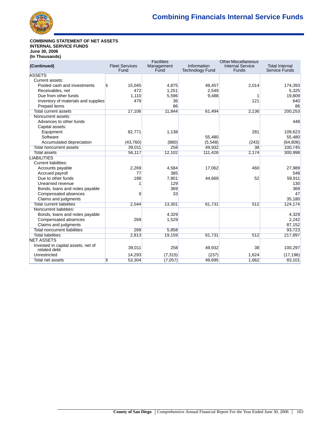

#### **COMBINING STATEMENT OF NET ASSETS INTERNAL SERVICE FUNDS June 30, 2006 (In Thousands)**

| <b>Facilities</b><br><b>Other Miscellaneous</b>    |                                   |                    |                                       |                                         |                                               |
|----------------------------------------------------|-----------------------------------|--------------------|---------------------------------------|-----------------------------------------|-----------------------------------------------|
| (Continued)                                        | <b>Fleet Services</b><br>Fund     | Management<br>Fund | Information<br><b>Technology Fund</b> | <b>Internal Service</b><br><b>Funds</b> | <b>Total Internal</b><br><b>Service Funds</b> |
| <b>ASSETS</b>                                      |                                   |                    |                                       |                                         |                                               |
| Current assets:                                    |                                   |                    |                                       |                                         |                                               |
| Pooled cash and investments                        | \$<br>15,045                      | 4,875              | 49,457                                | 2,014                                   | 174,393                                       |
| Receivables, net                                   | 472                               | 1,251              | 2,549                                 |                                         | 5,325                                         |
| Due from other funds                               | 1,110                             | 5,596              | 9,488                                 |                                         | 19,809                                        |
| Inventory of materials and supplies                | 479                               | 36                 |                                       | 121                                     | 640                                           |
| Prepaid items                                      |                                   | 86                 |                                       |                                         | 86                                            |
| <b>Total current assets</b>                        | 17,106                            | 11,844             | 61,494                                | 2,136                                   | 200,253                                       |
| Noncurrent assets:                                 |                                   |                    |                                       |                                         |                                               |
| Advances to other funds                            |                                   |                    |                                       |                                         | 448                                           |
| Capital assets:                                    |                                   |                    |                                       |                                         |                                               |
| Equipment                                          | 82,771                            | 1,138              |                                       | 281                                     | 109,623                                       |
| Software                                           |                                   |                    | 55,480                                |                                         | 55,480                                        |
| Accumulated depreciation                           | (43,760)                          | (880)              | (5,548)                               | (243)                                   | (64, 806)                                     |
| <b>Total noncurrent assets</b>                     | 39,011                            | 258                | 49,932                                | 38                                      | 100,745                                       |
| <b>Total assets</b>                                | 56,117                            | 12,102             | 111,426                               | 2,174                                   | 300,998                                       |
| <b>LIABILITIES</b>                                 |                                   |                    |                                       |                                         |                                               |
| <b>Current liabilities:</b>                        |                                   |                    |                                       |                                         |                                               |
| Accounts payable                                   | 2,269                             | 4,584              | 17,062                                | 460                                     | 27,989                                        |
| Accrued payroll                                    | 77                                | 385                |                                       |                                         | 548                                           |
| Due to other funds                                 | 188                               | 7,801              | 44,669                                | 52                                      | 59,911                                        |
| Unearned revenue                                   |                                   | 129                |                                       |                                         | 130                                           |
| Bonds, loans and notes payable                     |                                   | 369                |                                       |                                         | 369                                           |
| Compensated absences                               | 9                                 | 33                 |                                       |                                         | 47                                            |
| Claims and judgments                               |                                   |                    |                                       |                                         | 35,180                                        |
| <b>Total current liabilities</b>                   | 2,544                             | 13,301             | 61,731                                | 512                                     | 124,174                                       |
| Noncurrent liabilities:                            |                                   |                    |                                       |                                         |                                               |
| Bonds, loans and notes payable                     |                                   | 4,329              |                                       |                                         | 4,329                                         |
| Compensated absences                               | 269                               | 1,529              |                                       |                                         | 2,242                                         |
| Claims and judgments                               |                                   |                    |                                       |                                         | 87,152                                        |
| <b>Total noncurrent liabilities</b>                | 269                               | 5,858              |                                       |                                         | 93,723                                        |
| <b>Total liabilities</b>                           | 2,813                             | 19,159             | 61,731                                | 512                                     | 217,897                                       |
| <b>NET ASSETS</b>                                  |                                   |                    |                                       |                                         |                                               |
| Invested in capital assets, net of<br>related debt | 39,011                            | 258                | 49,932                                | 38                                      | 100,297                                       |
| Unrestricted                                       | 14,293                            | (7, 315)           | (237)                                 | 1,624                                   | (17, 196)                                     |
| Total net assets                                   | $\overline{\mathbb{S}}$<br>53,304 | (7,057)            | 49,695                                | 1,662                                   | 83,101                                        |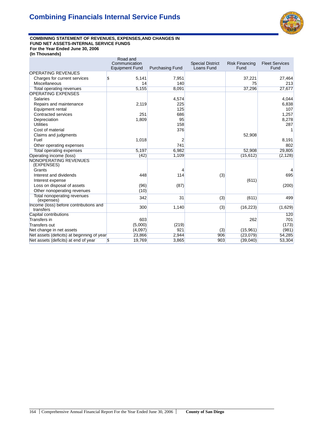

#### **COMBINING STATEMENT OF REVENUES, EXPENSES, AND CHANGES IN FUND NET ASSETS-INTERNAL SERVICE FUNDS For the Year Ended June 30, 2006**

|                                                     | Road and<br>Communication<br><b>Equipment Fund</b> | <b>Purchasing Fund</b> | <b>Special District</b><br>Loans Fund | <b>Risk Financing</b><br>Fund | <b>Fleet Services</b><br>Fund |
|-----------------------------------------------------|----------------------------------------------------|------------------------|---------------------------------------|-------------------------------|-------------------------------|
| <b>OPERATING REVENUES</b>                           |                                                    |                        |                                       |                               |                               |
| Charges for current services                        | 5,141<br>\$                                        | 7,951                  |                                       | 37,221                        | 27,464                        |
| Miscellaneous                                       | 14                                                 | 140                    |                                       | 75                            | 213                           |
| <b>Total operating revenues</b>                     | 5,155                                              | 8,091                  |                                       | 37,296                        | 27,677                        |
| <b>OPERATING EXPENSES</b>                           |                                                    |                        |                                       |                               |                               |
| <b>Salaries</b>                                     |                                                    | 4,574                  |                                       |                               | 4,044                         |
| Repairs and maintenance                             | 2,119                                              | 225                    |                                       |                               | 6,838                         |
| Equipment rental                                    |                                                    | 125                    |                                       |                               | 107                           |
| Contracted services                                 | 251                                                | 686                    |                                       |                               | 1,257                         |
| Depreciation                                        | 1,809                                              | 95                     |                                       |                               | 8,278                         |
| <b>Utilities</b>                                    |                                                    | 158                    |                                       |                               | 287                           |
| Cost of material                                    |                                                    | 376                    |                                       |                               |                               |
| Claims and judgments                                |                                                    |                        |                                       | 52,908                        |                               |
| Fuel                                                | 1,018                                              | 2                      |                                       |                               | 8,191                         |
| Other operating expenses                            |                                                    | 741                    |                                       |                               | 802                           |
| <b>Total operating expenses</b>                     | 5,197                                              | 6,982                  |                                       | 52,908                        | 29,805                        |
| Operating income (loss)                             | (42)                                               | 1,109                  |                                       | (15, 612)                     | (2, 128)                      |
| NONOPERATING REVENUES<br>(EXPENSES)                 |                                                    |                        |                                       |                               |                               |
| Grants                                              |                                                    | 4                      |                                       |                               |                               |
| Interest and dividends                              | 448                                                | 114                    | (3)                                   |                               | 695                           |
| Interest expense                                    |                                                    |                        |                                       | (611)                         |                               |
| Loss on disposal of assets                          | (96)                                               | (87)                   |                                       |                               | (200)                         |
| Other nonoperating revenues                         | (10)                                               |                        |                                       |                               |                               |
| <b>Total nonoperating revenues</b><br>(expenses)    | 342                                                | 31                     | (3)                                   | (611)                         | 499                           |
| Income (loss) before contributions and<br>transfers | 300                                                | 1,140                  | (3)                                   | (16, 223)                     | (1,629)                       |
| Capital contributions                               |                                                    |                        |                                       |                               | 120                           |
| Transfers in                                        | 603                                                |                        |                                       | 262                           | 701                           |
| <b>Transfers out</b>                                | (5,000)                                            | (219)                  |                                       |                               | (173)                         |
| Net change in net assets                            | (4,097)                                            | 921                    | (3)                                   | (15,961)                      | (981)                         |
| Net assets (deficits) at beginning of year          | 23,866                                             | 2,944                  | 906                                   | (23,079)                      | 54,285                        |
| Net assets (deficits) at end of year                | 19,769<br>\$                                       | 3,865                  | 903                                   | (39,040)                      | 53,304                        |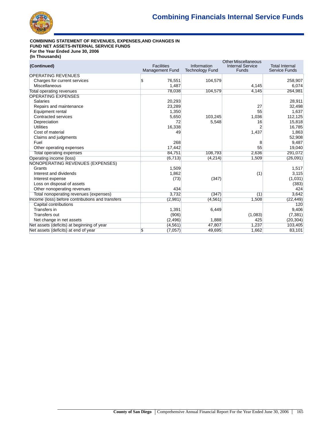

#### **COMBINING STATEMENT OF REVENUES, EXPENSES,AND CHANGES IN FUND NET ASSETS-INTERNAL SERVICE FUNDS For the Year Ended June 30, 2006 (In Thousands)**

|                                                  | <b>Other Miscellaneous</b>                  |                                       |                                         |                                               |  |
|--------------------------------------------------|---------------------------------------------|---------------------------------------|-----------------------------------------|-----------------------------------------------|--|
| (Continued)                                      | <b>Facilities</b><br><b>Management Fund</b> | Information<br><b>Technology Fund</b> | <b>Internal Service</b><br><b>Funds</b> | <b>Total Internal</b><br><b>Service Funds</b> |  |
| <b>OPERATING REVENUES</b>                        |                                             |                                       |                                         |                                               |  |
| Charges for current services                     | \$<br>76,551                                | 104,579                               |                                         | 258,907                                       |  |
| Miscellaneous                                    | 1,487                                       |                                       | 4,145                                   | 6,074                                         |  |
| Total operating revenues                         | 78,038                                      | 104.579                               | 4.145                                   | 264,981                                       |  |
| <b>OPERATING EXPENSES</b>                        |                                             |                                       |                                         |                                               |  |
| <b>Salaries</b>                                  | 20,293                                      |                                       |                                         | 28,911                                        |  |
| Repairs and maintenance                          | 23,289                                      |                                       | 27                                      | 32,498                                        |  |
| Equipment rental                                 | 1,350                                       |                                       | 55                                      | 1,637                                         |  |
| Contracted services                              | 5,650                                       | 103,245                               | 1,036                                   | 112,125                                       |  |
| Depreciation                                     | 72                                          | 5,548                                 | 16                                      | 15,818                                        |  |
| Utilities                                        | 16,338                                      |                                       | 2                                       | 16,785                                        |  |
| Cost of material                                 | 49                                          |                                       | 1,437                                   | 1,863                                         |  |
| Claims and judgments                             |                                             |                                       |                                         | 52,908                                        |  |
| Fuel                                             | 268                                         |                                       | 8                                       | 9,487                                         |  |
| Other operating expenses                         | 17,442                                      |                                       | 55                                      | 19,040                                        |  |
| Total operating expenses                         | 84,751                                      | 108,793                               | 2,636                                   | 291,072                                       |  |
| Operating income (loss)                          | (6, 713)                                    | (4,214)                               | 1,509                                   | (26,091)                                      |  |
| NONOPERATING REVENUES (EXPENSES)                 |                                             |                                       |                                         |                                               |  |
| Grants                                           | 1,509                                       |                                       |                                         | 1,517                                         |  |
| Interest and dividends                           | 1,862                                       |                                       | (1)                                     | 3,115                                         |  |
| Interest expense                                 | (73)                                        | (347)                                 |                                         | (1,031)                                       |  |
| Loss on disposal of assets                       |                                             |                                       |                                         | (383)                                         |  |
| Other nonoperating revenues                      | 434                                         |                                       |                                         | 424                                           |  |
| Total nonoperating revenues (expenses)           | 3,732                                       | (347)                                 | (1)                                     | 3,642                                         |  |
| Income (loss) before contributions and transfers | (2,981)                                     | (4, 561)                              | 1,508                                   | (22, 449)                                     |  |
| Capital contributions                            |                                             |                                       |                                         | 120                                           |  |
| Transfers in                                     | 1,391                                       | 6,449                                 |                                         | 9,406                                         |  |
| Transfers out                                    | (906)                                       |                                       | (1,083)                                 | (7, 381)                                      |  |
| Net change in net assets                         | (2, 496)                                    | 1,888                                 | 425                                     | (20, 304)                                     |  |
| Net assets (deficits) at beginning of year       | (4, 561)                                    | 47,807                                | 1,237                                   | 103,405                                       |  |
| Net assets (deficits) at end of year             | (7,057)<br>\$                               | 49,695                                | 1,662                                   | 83,101                                        |  |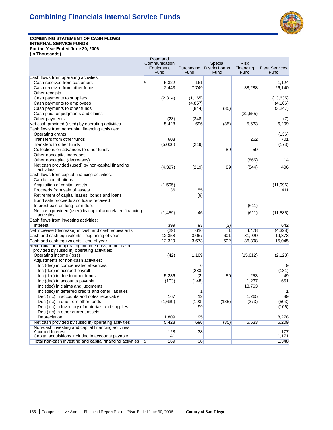

Combining Statement of Cash Flows - Internal Service Funds **COMBINING STATEMENT OF CASH FLOWS INTERNAL SERVICE FUNDS For the Year Ended June 30, 2006 (In Thousands)**

| <b>Risk</b><br>Communication<br>Special<br><b>Fleet Services</b><br>Purchasing<br><b>District Loans</b><br>Financing<br>Equipment<br>Fund<br>Fund<br>Fund<br>Fund<br>Fund<br>Cash flows from operating activities:<br>\$<br>Cash received from customers<br>5,322<br>161<br>1,124<br>Cash received from other funds<br>2,443<br>7,749<br>38,288<br>26,140<br>Other receipts<br>Cash payments to suppliers<br>(2,314)<br>(1, 165)<br>(13, 635)<br>Cash payments to employees<br>(4, 857)<br>(4, 166)<br>Cash payments to other funds<br>(85)<br>(844)<br>(3,247)<br>Cash paid for judgments and claims<br>(32, 655)<br>(23)<br>Other payments<br>(348)<br>(7)<br>Net cash provided (used) by operating activities<br>5,428<br>696<br>(85)<br>5,633<br>6,209<br>Cash flows from noncapital financing activities:<br>Operating grants<br>(136)<br>Transfers from other funds<br>603<br>262<br>701<br>Transfers to other funds<br>(5,000)<br>(173)<br>(219)<br>89<br>59<br>Collections on advances to other funds<br>Other noncapital increases<br>Other noncapital (decreases)<br>(865)<br>14<br>Net cash provided (used) by non-capital financing<br>(4, 397)<br>(219)<br>89<br>(544)<br>406<br>activities<br>Capital contributions<br>(1,595)<br>(11,996)<br>Acquisition of capital assets<br>Proceeds from sale of assets<br>136<br>55<br>411<br>Retirement of capital leases, bonds and loans<br>(9)<br>Bond sale proceeds and loans received<br>Interest paid on long-term debt<br>(611)<br>Net cash provided (used) by capital and related financing<br>(1, 459)<br>46<br>(611)<br>(11, 585)<br>activities<br>Cash flows from investing activities:<br>399<br>93<br>Interest<br>(3)<br>642<br>4,478<br>(29)<br>616<br>(4,328)<br>Net increase (decrease) in cash and cash equivalents<br>1<br>81,920<br>19,373<br>Cash and cash equivalents - beginning of year<br>12,358<br>3,057<br>601<br>12,329<br>3,673<br>602<br>86,398<br>15,045<br>Cash and cash equivalents - end of year<br>Reconciliation of operating income (loss) to net cash<br>provided by (used in) operating activities:<br>Operating income (loss)<br>(42)<br>1,109<br>(15, 612)<br>(2, 128)<br>Adjustments for non-cash activities:<br>Inc (dec) in compensated absences<br>9<br>6<br>Inc (dec) in accrued payroll<br>(283)<br>(131)<br>Inc (dec) in due to other funds<br>5,236<br>50<br>253<br>49<br>(2)<br>1,237<br>(103)<br>651<br>Inc (dec) in accounts payable<br>(148)<br>Inc (dec) in claims and judgments<br>18,763<br>Inc (dec) in deferred credits and other liabilities<br>1<br>1<br>89<br>Dec (inc) in accounts and notes receivable<br>167<br>12<br>1,265<br>Dec (inc) in due from other funds<br>(1,639)<br>(193)<br>(135)<br>(273)<br>Dec (inc) in Inventory of materials and supplies<br>99<br>Dec (inc) in other current assets<br>Depreciation<br>1.809<br>95<br>Net cash provided by (used in) operating activities<br>5,428<br>696<br>(85)<br>5,633<br>Non-cash investing and capital financing activities:<br>38<br><b>Accrued Interest</b><br>128<br>177<br>Capital acquisitions included in accounts payable<br>41 |                                                           | Road and          |    |  |       |
|-------------------------------------------------------------------------------------------------------------------------------------------------------------------------------------------------------------------------------------------------------------------------------------------------------------------------------------------------------------------------------------------------------------------------------------------------------------------------------------------------------------------------------------------------------------------------------------------------------------------------------------------------------------------------------------------------------------------------------------------------------------------------------------------------------------------------------------------------------------------------------------------------------------------------------------------------------------------------------------------------------------------------------------------------------------------------------------------------------------------------------------------------------------------------------------------------------------------------------------------------------------------------------------------------------------------------------------------------------------------------------------------------------------------------------------------------------------------------------------------------------------------------------------------------------------------------------------------------------------------------------------------------------------------------------------------------------------------------------------------------------------------------------------------------------------------------------------------------------------------------------------------------------------------------------------------------------------------------------------------------------------------------------------------------------------------------------------------------------------------------------------------------------------------------------------------------------------------------------------------------------------------------------------------------------------------------------------------------------------------------------------------------------------------------------------------------------------------------------------------------------------------------------------------------------------------------------------------------------------------------------------------------------------------------------------------------------------------------------------------------------------------------------------------------------------------------------------------------------------------------------------------------------------------------------------------------------------------------------------------------------------------------------------------------------------------------------------------------------------------|-----------------------------------------------------------|-------------------|----|--|-------|
| 8,278<br>6,209<br>1,171                                                                                                                                                                                                                                                                                                                                                                                                                                                                                                                                                                                                                                                                                                                                                                                                                                                                                                                                                                                                                                                                                                                                                                                                                                                                                                                                                                                                                                                                                                                                                                                                                                                                                                                                                                                                                                                                                                                                                                                                                                                                                                                                                                                                                                                                                                                                                                                                                                                                                                                                                                                                                                                                                                                                                                                                                                                                                                                                                                                                                                                                                           |                                                           |                   |    |  |       |
| (503)<br>(106)                                                                                                                                                                                                                                                                                                                                                                                                                                                                                                                                                                                                                                                                                                                                                                                                                                                                                                                                                                                                                                                                                                                                                                                                                                                                                                                                                                                                                                                                                                                                                                                                                                                                                                                                                                                                                                                                                                                                                                                                                                                                                                                                                                                                                                                                                                                                                                                                                                                                                                                                                                                                                                                                                                                                                                                                                                                                                                                                                                                                                                                                                                    |                                                           |                   |    |  |       |
|                                                                                                                                                                                                                                                                                                                                                                                                                                                                                                                                                                                                                                                                                                                                                                                                                                                                                                                                                                                                                                                                                                                                                                                                                                                                                                                                                                                                                                                                                                                                                                                                                                                                                                                                                                                                                                                                                                                                                                                                                                                                                                                                                                                                                                                                                                                                                                                                                                                                                                                                                                                                                                                                                                                                                                                                                                                                                                                                                                                                                                                                                                                   |                                                           |                   |    |  |       |
|                                                                                                                                                                                                                                                                                                                                                                                                                                                                                                                                                                                                                                                                                                                                                                                                                                                                                                                                                                                                                                                                                                                                                                                                                                                                                                                                                                                                                                                                                                                                                                                                                                                                                                                                                                                                                                                                                                                                                                                                                                                                                                                                                                                                                                                                                                                                                                                                                                                                                                                                                                                                                                                                                                                                                                                                                                                                                                                                                                                                                                                                                                                   |                                                           |                   |    |  |       |
|                                                                                                                                                                                                                                                                                                                                                                                                                                                                                                                                                                                                                                                                                                                                                                                                                                                                                                                                                                                                                                                                                                                                                                                                                                                                                                                                                                                                                                                                                                                                                                                                                                                                                                                                                                                                                                                                                                                                                                                                                                                                                                                                                                                                                                                                                                                                                                                                                                                                                                                                                                                                                                                                                                                                                                                                                                                                                                                                                                                                                                                                                                                   |                                                           |                   |    |  |       |
|                                                                                                                                                                                                                                                                                                                                                                                                                                                                                                                                                                                                                                                                                                                                                                                                                                                                                                                                                                                                                                                                                                                                                                                                                                                                                                                                                                                                                                                                                                                                                                                                                                                                                                                                                                                                                                                                                                                                                                                                                                                                                                                                                                                                                                                                                                                                                                                                                                                                                                                                                                                                                                                                                                                                                                                                                                                                                                                                                                                                                                                                                                                   |                                                           |                   |    |  |       |
|                                                                                                                                                                                                                                                                                                                                                                                                                                                                                                                                                                                                                                                                                                                                                                                                                                                                                                                                                                                                                                                                                                                                                                                                                                                                                                                                                                                                                                                                                                                                                                                                                                                                                                                                                                                                                                                                                                                                                                                                                                                                                                                                                                                                                                                                                                                                                                                                                                                                                                                                                                                                                                                                                                                                                                                                                                                                                                                                                                                                                                                                                                                   |                                                           |                   |    |  |       |
|                                                                                                                                                                                                                                                                                                                                                                                                                                                                                                                                                                                                                                                                                                                                                                                                                                                                                                                                                                                                                                                                                                                                                                                                                                                                                                                                                                                                                                                                                                                                                                                                                                                                                                                                                                                                                                                                                                                                                                                                                                                                                                                                                                                                                                                                                                                                                                                                                                                                                                                                                                                                                                                                                                                                                                                                                                                                                                                                                                                                                                                                                                                   |                                                           |                   |    |  |       |
|                                                                                                                                                                                                                                                                                                                                                                                                                                                                                                                                                                                                                                                                                                                                                                                                                                                                                                                                                                                                                                                                                                                                                                                                                                                                                                                                                                                                                                                                                                                                                                                                                                                                                                                                                                                                                                                                                                                                                                                                                                                                                                                                                                                                                                                                                                                                                                                                                                                                                                                                                                                                                                                                                                                                                                                                                                                                                                                                                                                                                                                                                                                   |                                                           |                   |    |  |       |
|                                                                                                                                                                                                                                                                                                                                                                                                                                                                                                                                                                                                                                                                                                                                                                                                                                                                                                                                                                                                                                                                                                                                                                                                                                                                                                                                                                                                                                                                                                                                                                                                                                                                                                                                                                                                                                                                                                                                                                                                                                                                                                                                                                                                                                                                                                                                                                                                                                                                                                                                                                                                                                                                                                                                                                                                                                                                                                                                                                                                                                                                                                                   |                                                           |                   |    |  |       |
|                                                                                                                                                                                                                                                                                                                                                                                                                                                                                                                                                                                                                                                                                                                                                                                                                                                                                                                                                                                                                                                                                                                                                                                                                                                                                                                                                                                                                                                                                                                                                                                                                                                                                                                                                                                                                                                                                                                                                                                                                                                                                                                                                                                                                                                                                                                                                                                                                                                                                                                                                                                                                                                                                                                                                                                                                                                                                                                                                                                                                                                                                                                   |                                                           |                   |    |  |       |
|                                                                                                                                                                                                                                                                                                                                                                                                                                                                                                                                                                                                                                                                                                                                                                                                                                                                                                                                                                                                                                                                                                                                                                                                                                                                                                                                                                                                                                                                                                                                                                                                                                                                                                                                                                                                                                                                                                                                                                                                                                                                                                                                                                                                                                                                                                                                                                                                                                                                                                                                                                                                                                                                                                                                                                                                                                                                                                                                                                                                                                                                                                                   |                                                           |                   |    |  |       |
|                                                                                                                                                                                                                                                                                                                                                                                                                                                                                                                                                                                                                                                                                                                                                                                                                                                                                                                                                                                                                                                                                                                                                                                                                                                                                                                                                                                                                                                                                                                                                                                                                                                                                                                                                                                                                                                                                                                                                                                                                                                                                                                                                                                                                                                                                                                                                                                                                                                                                                                                                                                                                                                                                                                                                                                                                                                                                                                                                                                                                                                                                                                   |                                                           |                   |    |  |       |
|                                                                                                                                                                                                                                                                                                                                                                                                                                                                                                                                                                                                                                                                                                                                                                                                                                                                                                                                                                                                                                                                                                                                                                                                                                                                                                                                                                                                                                                                                                                                                                                                                                                                                                                                                                                                                                                                                                                                                                                                                                                                                                                                                                                                                                                                                                                                                                                                                                                                                                                                                                                                                                                                                                                                                                                                                                                                                                                                                                                                                                                                                                                   |                                                           |                   |    |  |       |
|                                                                                                                                                                                                                                                                                                                                                                                                                                                                                                                                                                                                                                                                                                                                                                                                                                                                                                                                                                                                                                                                                                                                                                                                                                                                                                                                                                                                                                                                                                                                                                                                                                                                                                                                                                                                                                                                                                                                                                                                                                                                                                                                                                                                                                                                                                                                                                                                                                                                                                                                                                                                                                                                                                                                                                                                                                                                                                                                                                                                                                                                                                                   |                                                           |                   |    |  |       |
|                                                                                                                                                                                                                                                                                                                                                                                                                                                                                                                                                                                                                                                                                                                                                                                                                                                                                                                                                                                                                                                                                                                                                                                                                                                                                                                                                                                                                                                                                                                                                                                                                                                                                                                                                                                                                                                                                                                                                                                                                                                                                                                                                                                                                                                                                                                                                                                                                                                                                                                                                                                                                                                                                                                                                                                                                                                                                                                                                                                                                                                                                                                   |                                                           |                   |    |  |       |
|                                                                                                                                                                                                                                                                                                                                                                                                                                                                                                                                                                                                                                                                                                                                                                                                                                                                                                                                                                                                                                                                                                                                                                                                                                                                                                                                                                                                                                                                                                                                                                                                                                                                                                                                                                                                                                                                                                                                                                                                                                                                                                                                                                                                                                                                                                                                                                                                                                                                                                                                                                                                                                                                                                                                                                                                                                                                                                                                                                                                                                                                                                                   |                                                           |                   |    |  |       |
|                                                                                                                                                                                                                                                                                                                                                                                                                                                                                                                                                                                                                                                                                                                                                                                                                                                                                                                                                                                                                                                                                                                                                                                                                                                                                                                                                                                                                                                                                                                                                                                                                                                                                                                                                                                                                                                                                                                                                                                                                                                                                                                                                                                                                                                                                                                                                                                                                                                                                                                                                                                                                                                                                                                                                                                                                                                                                                                                                                                                                                                                                                                   |                                                           |                   |    |  |       |
|                                                                                                                                                                                                                                                                                                                                                                                                                                                                                                                                                                                                                                                                                                                                                                                                                                                                                                                                                                                                                                                                                                                                                                                                                                                                                                                                                                                                                                                                                                                                                                                                                                                                                                                                                                                                                                                                                                                                                                                                                                                                                                                                                                                                                                                                                                                                                                                                                                                                                                                                                                                                                                                                                                                                                                                                                                                                                                                                                                                                                                                                                                                   |                                                           |                   |    |  |       |
|                                                                                                                                                                                                                                                                                                                                                                                                                                                                                                                                                                                                                                                                                                                                                                                                                                                                                                                                                                                                                                                                                                                                                                                                                                                                                                                                                                                                                                                                                                                                                                                                                                                                                                                                                                                                                                                                                                                                                                                                                                                                                                                                                                                                                                                                                                                                                                                                                                                                                                                                                                                                                                                                                                                                                                                                                                                                                                                                                                                                                                                                                                                   | Cash flows from capital financing activities:             |                   |    |  |       |
|                                                                                                                                                                                                                                                                                                                                                                                                                                                                                                                                                                                                                                                                                                                                                                                                                                                                                                                                                                                                                                                                                                                                                                                                                                                                                                                                                                                                                                                                                                                                                                                                                                                                                                                                                                                                                                                                                                                                                                                                                                                                                                                                                                                                                                                                                                                                                                                                                                                                                                                                                                                                                                                                                                                                                                                                                                                                                                                                                                                                                                                                                                                   |                                                           |                   |    |  |       |
|                                                                                                                                                                                                                                                                                                                                                                                                                                                                                                                                                                                                                                                                                                                                                                                                                                                                                                                                                                                                                                                                                                                                                                                                                                                                                                                                                                                                                                                                                                                                                                                                                                                                                                                                                                                                                                                                                                                                                                                                                                                                                                                                                                                                                                                                                                                                                                                                                                                                                                                                                                                                                                                                                                                                                                                                                                                                                                                                                                                                                                                                                                                   |                                                           |                   |    |  |       |
|                                                                                                                                                                                                                                                                                                                                                                                                                                                                                                                                                                                                                                                                                                                                                                                                                                                                                                                                                                                                                                                                                                                                                                                                                                                                                                                                                                                                                                                                                                                                                                                                                                                                                                                                                                                                                                                                                                                                                                                                                                                                                                                                                                                                                                                                                                                                                                                                                                                                                                                                                                                                                                                                                                                                                                                                                                                                                                                                                                                                                                                                                                                   |                                                           |                   |    |  |       |
|                                                                                                                                                                                                                                                                                                                                                                                                                                                                                                                                                                                                                                                                                                                                                                                                                                                                                                                                                                                                                                                                                                                                                                                                                                                                                                                                                                                                                                                                                                                                                                                                                                                                                                                                                                                                                                                                                                                                                                                                                                                                                                                                                                                                                                                                                                                                                                                                                                                                                                                                                                                                                                                                                                                                                                                                                                                                                                                                                                                                                                                                                                                   |                                                           |                   |    |  |       |
|                                                                                                                                                                                                                                                                                                                                                                                                                                                                                                                                                                                                                                                                                                                                                                                                                                                                                                                                                                                                                                                                                                                                                                                                                                                                                                                                                                                                                                                                                                                                                                                                                                                                                                                                                                                                                                                                                                                                                                                                                                                                                                                                                                                                                                                                                                                                                                                                                                                                                                                                                                                                                                                                                                                                                                                                                                                                                                                                                                                                                                                                                                                   |                                                           |                   |    |  |       |
|                                                                                                                                                                                                                                                                                                                                                                                                                                                                                                                                                                                                                                                                                                                                                                                                                                                                                                                                                                                                                                                                                                                                                                                                                                                                                                                                                                                                                                                                                                                                                                                                                                                                                                                                                                                                                                                                                                                                                                                                                                                                                                                                                                                                                                                                                                                                                                                                                                                                                                                                                                                                                                                                                                                                                                                                                                                                                                                                                                                                                                                                                                                   |                                                           |                   |    |  |       |
|                                                                                                                                                                                                                                                                                                                                                                                                                                                                                                                                                                                                                                                                                                                                                                                                                                                                                                                                                                                                                                                                                                                                                                                                                                                                                                                                                                                                                                                                                                                                                                                                                                                                                                                                                                                                                                                                                                                                                                                                                                                                                                                                                                                                                                                                                                                                                                                                                                                                                                                                                                                                                                                                                                                                                                                                                                                                                                                                                                                                                                                                                                                   |                                                           |                   |    |  |       |
|                                                                                                                                                                                                                                                                                                                                                                                                                                                                                                                                                                                                                                                                                                                                                                                                                                                                                                                                                                                                                                                                                                                                                                                                                                                                                                                                                                                                                                                                                                                                                                                                                                                                                                                                                                                                                                                                                                                                                                                                                                                                                                                                                                                                                                                                                                                                                                                                                                                                                                                                                                                                                                                                                                                                                                                                                                                                                                                                                                                                                                                                                                                   |                                                           |                   |    |  |       |
|                                                                                                                                                                                                                                                                                                                                                                                                                                                                                                                                                                                                                                                                                                                                                                                                                                                                                                                                                                                                                                                                                                                                                                                                                                                                                                                                                                                                                                                                                                                                                                                                                                                                                                                                                                                                                                                                                                                                                                                                                                                                                                                                                                                                                                                                                                                                                                                                                                                                                                                                                                                                                                                                                                                                                                                                                                                                                                                                                                                                                                                                                                                   |                                                           |                   |    |  |       |
|                                                                                                                                                                                                                                                                                                                                                                                                                                                                                                                                                                                                                                                                                                                                                                                                                                                                                                                                                                                                                                                                                                                                                                                                                                                                                                                                                                                                                                                                                                                                                                                                                                                                                                                                                                                                                                                                                                                                                                                                                                                                                                                                                                                                                                                                                                                                                                                                                                                                                                                                                                                                                                                                                                                                                                                                                                                                                                                                                                                                                                                                                                                   |                                                           |                   |    |  |       |
|                                                                                                                                                                                                                                                                                                                                                                                                                                                                                                                                                                                                                                                                                                                                                                                                                                                                                                                                                                                                                                                                                                                                                                                                                                                                                                                                                                                                                                                                                                                                                                                                                                                                                                                                                                                                                                                                                                                                                                                                                                                                                                                                                                                                                                                                                                                                                                                                                                                                                                                                                                                                                                                                                                                                                                                                                                                                                                                                                                                                                                                                                                                   |                                                           |                   |    |  |       |
|                                                                                                                                                                                                                                                                                                                                                                                                                                                                                                                                                                                                                                                                                                                                                                                                                                                                                                                                                                                                                                                                                                                                                                                                                                                                                                                                                                                                                                                                                                                                                                                                                                                                                                                                                                                                                                                                                                                                                                                                                                                                                                                                                                                                                                                                                                                                                                                                                                                                                                                                                                                                                                                                                                                                                                                                                                                                                                                                                                                                                                                                                                                   |                                                           |                   |    |  |       |
|                                                                                                                                                                                                                                                                                                                                                                                                                                                                                                                                                                                                                                                                                                                                                                                                                                                                                                                                                                                                                                                                                                                                                                                                                                                                                                                                                                                                                                                                                                                                                                                                                                                                                                                                                                                                                                                                                                                                                                                                                                                                                                                                                                                                                                                                                                                                                                                                                                                                                                                                                                                                                                                                                                                                                                                                                                                                                                                                                                                                                                                                                                                   |                                                           |                   |    |  |       |
|                                                                                                                                                                                                                                                                                                                                                                                                                                                                                                                                                                                                                                                                                                                                                                                                                                                                                                                                                                                                                                                                                                                                                                                                                                                                                                                                                                                                                                                                                                                                                                                                                                                                                                                                                                                                                                                                                                                                                                                                                                                                                                                                                                                                                                                                                                                                                                                                                                                                                                                                                                                                                                                                                                                                                                                                                                                                                                                                                                                                                                                                                                                   |                                                           |                   |    |  |       |
|                                                                                                                                                                                                                                                                                                                                                                                                                                                                                                                                                                                                                                                                                                                                                                                                                                                                                                                                                                                                                                                                                                                                                                                                                                                                                                                                                                                                                                                                                                                                                                                                                                                                                                                                                                                                                                                                                                                                                                                                                                                                                                                                                                                                                                                                                                                                                                                                                                                                                                                                                                                                                                                                                                                                                                                                                                                                                                                                                                                                                                                                                                                   |                                                           |                   |    |  |       |
|                                                                                                                                                                                                                                                                                                                                                                                                                                                                                                                                                                                                                                                                                                                                                                                                                                                                                                                                                                                                                                                                                                                                                                                                                                                                                                                                                                                                                                                                                                                                                                                                                                                                                                                                                                                                                                                                                                                                                                                                                                                                                                                                                                                                                                                                                                                                                                                                                                                                                                                                                                                                                                                                                                                                                                                                                                                                                                                                                                                                                                                                                                                   |                                                           |                   |    |  |       |
|                                                                                                                                                                                                                                                                                                                                                                                                                                                                                                                                                                                                                                                                                                                                                                                                                                                                                                                                                                                                                                                                                                                                                                                                                                                                                                                                                                                                                                                                                                                                                                                                                                                                                                                                                                                                                                                                                                                                                                                                                                                                                                                                                                                                                                                                                                                                                                                                                                                                                                                                                                                                                                                                                                                                                                                                                                                                                                                                                                                                                                                                                                                   |                                                           |                   |    |  |       |
|                                                                                                                                                                                                                                                                                                                                                                                                                                                                                                                                                                                                                                                                                                                                                                                                                                                                                                                                                                                                                                                                                                                                                                                                                                                                                                                                                                                                                                                                                                                                                                                                                                                                                                                                                                                                                                                                                                                                                                                                                                                                                                                                                                                                                                                                                                                                                                                                                                                                                                                                                                                                                                                                                                                                                                                                                                                                                                                                                                                                                                                                                                                   |                                                           |                   |    |  |       |
|                                                                                                                                                                                                                                                                                                                                                                                                                                                                                                                                                                                                                                                                                                                                                                                                                                                                                                                                                                                                                                                                                                                                                                                                                                                                                                                                                                                                                                                                                                                                                                                                                                                                                                                                                                                                                                                                                                                                                                                                                                                                                                                                                                                                                                                                                                                                                                                                                                                                                                                                                                                                                                                                                                                                                                                                                                                                                                                                                                                                                                                                                                                   |                                                           |                   |    |  |       |
|                                                                                                                                                                                                                                                                                                                                                                                                                                                                                                                                                                                                                                                                                                                                                                                                                                                                                                                                                                                                                                                                                                                                                                                                                                                                                                                                                                                                                                                                                                                                                                                                                                                                                                                                                                                                                                                                                                                                                                                                                                                                                                                                                                                                                                                                                                                                                                                                                                                                                                                                                                                                                                                                                                                                                                                                                                                                                                                                                                                                                                                                                                                   |                                                           |                   |    |  |       |
|                                                                                                                                                                                                                                                                                                                                                                                                                                                                                                                                                                                                                                                                                                                                                                                                                                                                                                                                                                                                                                                                                                                                                                                                                                                                                                                                                                                                                                                                                                                                                                                                                                                                                                                                                                                                                                                                                                                                                                                                                                                                                                                                                                                                                                                                                                                                                                                                                                                                                                                                                                                                                                                                                                                                                                                                                                                                                                                                                                                                                                                                                                                   |                                                           |                   |    |  |       |
|                                                                                                                                                                                                                                                                                                                                                                                                                                                                                                                                                                                                                                                                                                                                                                                                                                                                                                                                                                                                                                                                                                                                                                                                                                                                                                                                                                                                                                                                                                                                                                                                                                                                                                                                                                                                                                                                                                                                                                                                                                                                                                                                                                                                                                                                                                                                                                                                                                                                                                                                                                                                                                                                                                                                                                                                                                                                                                                                                                                                                                                                                                                   |                                                           |                   |    |  |       |
|                                                                                                                                                                                                                                                                                                                                                                                                                                                                                                                                                                                                                                                                                                                                                                                                                                                                                                                                                                                                                                                                                                                                                                                                                                                                                                                                                                                                                                                                                                                                                                                                                                                                                                                                                                                                                                                                                                                                                                                                                                                                                                                                                                                                                                                                                                                                                                                                                                                                                                                                                                                                                                                                                                                                                                                                                                                                                                                                                                                                                                                                                                                   |                                                           |                   |    |  |       |
|                                                                                                                                                                                                                                                                                                                                                                                                                                                                                                                                                                                                                                                                                                                                                                                                                                                                                                                                                                                                                                                                                                                                                                                                                                                                                                                                                                                                                                                                                                                                                                                                                                                                                                                                                                                                                                                                                                                                                                                                                                                                                                                                                                                                                                                                                                                                                                                                                                                                                                                                                                                                                                                                                                                                                                                                                                                                                                                                                                                                                                                                                                                   |                                                           |                   |    |  |       |
|                                                                                                                                                                                                                                                                                                                                                                                                                                                                                                                                                                                                                                                                                                                                                                                                                                                                                                                                                                                                                                                                                                                                                                                                                                                                                                                                                                                                                                                                                                                                                                                                                                                                                                                                                                                                                                                                                                                                                                                                                                                                                                                                                                                                                                                                                                                                                                                                                                                                                                                                                                                                                                                                                                                                                                                                                                                                                                                                                                                                                                                                                                                   |                                                           |                   |    |  |       |
|                                                                                                                                                                                                                                                                                                                                                                                                                                                                                                                                                                                                                                                                                                                                                                                                                                                                                                                                                                                                                                                                                                                                                                                                                                                                                                                                                                                                                                                                                                                                                                                                                                                                                                                                                                                                                                                                                                                                                                                                                                                                                                                                                                                                                                                                                                                                                                                                                                                                                                                                                                                                                                                                                                                                                                                                                                                                                                                                                                                                                                                                                                                   |                                                           |                   |    |  |       |
|                                                                                                                                                                                                                                                                                                                                                                                                                                                                                                                                                                                                                                                                                                                                                                                                                                                                                                                                                                                                                                                                                                                                                                                                                                                                                                                                                                                                                                                                                                                                                                                                                                                                                                                                                                                                                                                                                                                                                                                                                                                                                                                                                                                                                                                                                                                                                                                                                                                                                                                                                                                                                                                                                                                                                                                                                                                                                                                                                                                                                                                                                                                   |                                                           |                   |    |  |       |
|                                                                                                                                                                                                                                                                                                                                                                                                                                                                                                                                                                                                                                                                                                                                                                                                                                                                                                                                                                                                                                                                                                                                                                                                                                                                                                                                                                                                                                                                                                                                                                                                                                                                                                                                                                                                                                                                                                                                                                                                                                                                                                                                                                                                                                                                                                                                                                                                                                                                                                                                                                                                                                                                                                                                                                                                                                                                                                                                                                                                                                                                                                                   |                                                           |                   |    |  |       |
|                                                                                                                                                                                                                                                                                                                                                                                                                                                                                                                                                                                                                                                                                                                                                                                                                                                                                                                                                                                                                                                                                                                                                                                                                                                                                                                                                                                                                                                                                                                                                                                                                                                                                                                                                                                                                                                                                                                                                                                                                                                                                                                                                                                                                                                                                                                                                                                                                                                                                                                                                                                                                                                                                                                                                                                                                                                                                                                                                                                                                                                                                                                   | Total non-cash investing and capital financing activities | 169<br>$\sqrt{S}$ | 38 |  | 1,348 |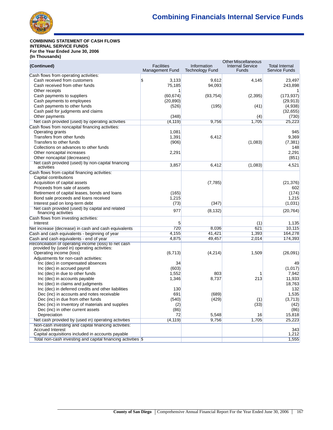

#### **COMBINING STATEMENT OF CASH FLOWS INTERNAL SERVICE FUNDS For the Year Ended June 30, 2006 (In Thousands)**

| <b>Other Miscellaneous</b>                                    |                                      |                                       |                                  |                                        |
|---------------------------------------------------------------|--------------------------------------|---------------------------------------|----------------------------------|----------------------------------------|
| (Continued)                                                   | <b>Facilities</b><br>Management Fund | Information<br><b>Technology Fund</b> | <b>Internal Service</b><br>Funds | <b>Total Internal</b><br>Service Funds |
| Cash flows from operating activities:                         |                                      |                                       |                                  |                                        |
| Cash received from customers                                  | \$<br>3,133                          | 9,612                                 | 4,145                            | 23,497                                 |
| Cash received from other funds                                | 75,185                               | 94,093                                |                                  | 243,898                                |
| Other receipts                                                | 1                                    |                                       |                                  |                                        |
| Cash payments to suppliers                                    | (60, 674)                            | (93, 754)                             | (2, 395)                         | (173, 937)                             |
| Cash payments to employees                                    | (20, 890)                            |                                       |                                  | (29, 913)                              |
| Cash payments to other funds                                  | (526)                                | (195)                                 | (41)                             | (4,938)                                |
| Cash paid for judgments and claims                            |                                      |                                       |                                  | (32,655)                               |
| Other payments                                                | (348)                                |                                       | (4)                              | (730)                                  |
| Net cash provided (used) by operating activities              | (4, 119)                             | 9,756                                 | 1,705                            | 25,223                                 |
| Cash flows from noncapital financing activities:              |                                      |                                       |                                  |                                        |
| Operating grants                                              | 1,081                                |                                       |                                  | 945                                    |
| Transfers from other funds                                    | 1,391                                | 6,412                                 |                                  | 9,369                                  |
| Transfers to other funds                                      | (906)                                |                                       | (1,083)                          | (7, 381)                               |
| Collections on advances to other funds                        |                                      |                                       |                                  | 148                                    |
| Other noncapital increases                                    | 2,291                                |                                       |                                  | 2,291                                  |
| Other noncapital (decreases)                                  |                                      |                                       |                                  | (851)                                  |
| Net cash provided (used) by non-capital financing             |                                      |                                       |                                  |                                        |
| activities                                                    | 3,857                                | 6,412                                 | (1,083)                          | 4,521                                  |
| Cash flows from capital financing activities:                 |                                      |                                       |                                  |                                        |
| Capital contributions                                         |                                      |                                       |                                  |                                        |
| Acquisition of capital assets                                 |                                      | (7, 785)                              |                                  | (21, 376)                              |
| Proceeds from sale of assets                                  |                                      |                                       |                                  | 602                                    |
| Retirement of capital leases, bonds and loans                 | (165)                                |                                       |                                  | (174)                                  |
| Bond sale proceeds and loans received                         | 1,215                                |                                       |                                  | 1,215                                  |
| Interest paid on long-term debt                               | (73)                                 | (347)                                 |                                  | (1,031)                                |
| Net cash provided (used) by capital and related               |                                      |                                       |                                  |                                        |
| financing activities                                          | 977                                  | (8, 132)                              |                                  | (20, 764)                              |
| Cash flows from investing activities:                         |                                      |                                       |                                  |                                        |
| Interest                                                      | 5                                    |                                       | (1)                              | 1,135                                  |
| Net increase (decrease) in cash and cash equivalents          | 720                                  | 8.036                                 | 621                              | 10.115                                 |
| Cash and cash equivalents - beginning of year                 | 4,155                                | 41,421                                | 1,393                            | 164,278                                |
| Cash and cash equivalents - end of year                       | 4,875                                | 49,457                                | 2,014                            | 174,393                                |
| Reconciliation of operating income (loss) to net cash         |                                      |                                       |                                  |                                        |
| provided by (used in) operating activities:                   |                                      |                                       |                                  |                                        |
| Operating income (loss)                                       | (6, 713)                             | (4,214)                               | 1,509                            | (26,091)                               |
| Adjustments for non-cash activities:                          |                                      |                                       |                                  |                                        |
| Inc (dec) in compensated absences                             | 34                                   |                                       |                                  | 49                                     |
| Inc (dec) in accrued payroll                                  | (603)                                |                                       |                                  | (1,017)                                |
| Inc (dec) in due to other funds                               | 1,552                                | 803                                   | 1                                | 7,942                                  |
| Inc (dec) in accounts payable                                 | 1,346                                | 8,737                                 | 213                              | 11,933                                 |
| Inc (dec) in claims and judgments                             |                                      |                                       |                                  | 18,763                                 |
| Inc (dec) in deferred credits and other liabilities           | 130                                  |                                       |                                  | 132                                    |
| Dec (inc) in accounts and notes receivable                    | 691                                  | (689)                                 |                                  | 1,535                                  |
| Dec (inc) in due from other funds                             | (540)                                | (429)                                 | (1)                              | (3,713)                                |
| Dec (inc) in Inventory of materials and supplies              | (2)                                  |                                       | (33)                             | (42)                                   |
| Dec (inc) in other current assets                             | (86)                                 |                                       |                                  | (86)                                   |
| Depreciation                                                  | 72                                   | 5,548                                 | 16                               | 15,818                                 |
| Net cash provided by (used in) operating activities           | (4, 119)                             | 9.756                                 | 1,705                            | 25.223                                 |
| Non-cash investing and capital financing activities:          |                                      |                                       |                                  |                                        |
| <b>Accrued Interest</b>                                       |                                      |                                       |                                  | 343                                    |
| Capital acquisitions included in accounts payable             |                                      |                                       |                                  | 1,212                                  |
| Total non-cash investing and capital financing activities \\$ |                                      |                                       |                                  | 1,555                                  |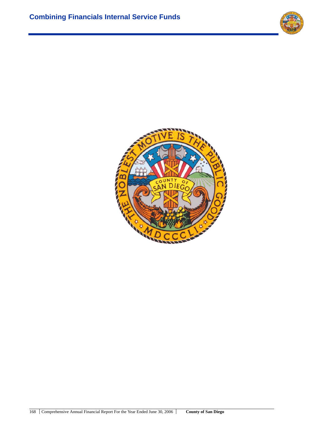

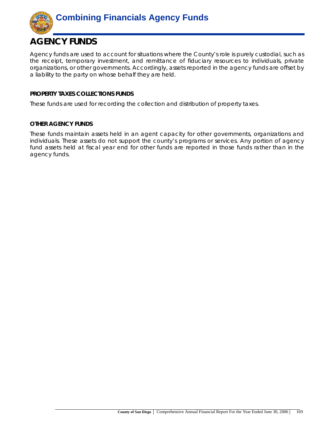

## **AGENCY FUNDS**

Agency funds are used to account for situations where the County's role is purely custodial, such as the receipt, temporary investment, and remittance of fiduciary resources to individuals, private organizations, or other governments. Accordingly, assets reported in the agency funds are offset by a liability to the party on whose behalf they are held.

## **PROPERTY TAXES COLLECTIONS FUNDS**

These funds are used for recording the collection and distribution of property taxes.

## **OTHER AGENCY FUNDS**

These funds maintain assets held in an agent capacity for other governments, organizations and individuals. These assets do not support the county's programs or services. Any portion of agency fund assets held at fiscal year end for other funds are reported in those funds rather than in the agency funds.